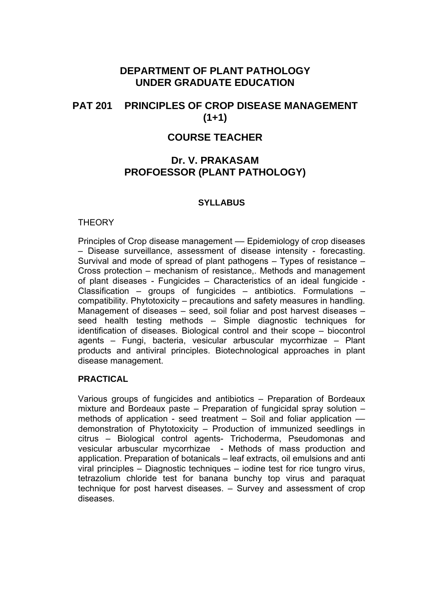# **DEPARTMENT OF PLANT PATHOLOGY UNDER GRADUATE EDUCATION**

# **PAT 201 PRINCIPLES OF CROP DISEASE MANAGEMENT (1+1)**

# **COURSE TEACHER**

# **Dr. V. PRAKASAM PROFOESSOR (PLANT PATHOLOGY)**

## **SYLLABUS**

## **THEORY**

Principles of Crop disease management –– Epidemiology of crop diseases – Disease surveillance, assessment of disease intensity - forecasting. Survival and mode of spread of plant pathogens – Types of resistance – Cross protection – mechanism of resistance,. Methods and management of plant diseases - Fungicides – Characteristics of an ideal fungicide - Classification – groups of fungicides – antibiotics. Formulations – compatibility. Phytotoxicity – precautions and safety measures in handling. Management of diseases – seed, soil foliar and post harvest diseases – seed health testing methods – Simple diagnostic techniques for identification of diseases. Biological control and their scope – biocontrol agents – Fungi, bacteria, vesicular arbuscular mycorrhizae – Plant products and antiviral principles. Biotechnological approaches in plant disease management.

## **PRACTICAL**

Various groups of fungicides and antibiotics – Preparation of Bordeaux mixture and Bordeaux paste – Preparation of fungicidal spray solution – methods of application - seed treatment – Soil and foliar application –– demonstration of Phytotoxicity – Production of immunized seedlings in citrus – Biological control agents- Trichoderma, Pseudomonas and vesicular arbuscular mycorrhizae - Methods of mass production and application. Preparation of botanicals – leaf extracts, oil emulsions and anti viral principles – Diagnostic techniques – iodine test for rice tungro virus, tetrazolium chloride test for banana bunchy top virus and paraquat technique for post harvest diseases. – Survey and assessment of crop diseases.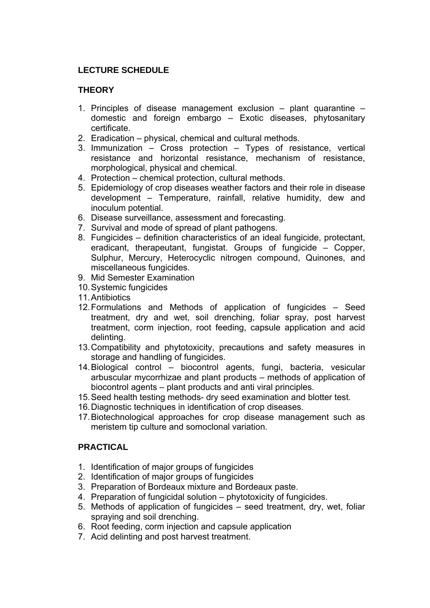## **LECTURE SCHEDULE**

## **THEORY**

- 1. Principles of disease management exclusion plant quarantine domestic and foreign embargo – Exotic diseases, phytosanitary certificate.
- 2. Eradication physical, chemical and cultural methods.
- 3. Immunization Cross protection Types of resistance, vertical resistance and horizontal resistance, mechanism of resistance, morphological, physical and chemical.
- 4. Protection chemical protection, cultural methods.
- 5. Epidemiology of crop diseases weather factors and their role in disease development – Temperature, rainfall, relative humidity, dew and inoculum potential.
- 6. Disease surveillance, assessment and forecasting.
- 7. Survival and mode of spread of plant pathogens.
- 8. Fungicides definition characteristics of an ideal fungicide, protectant, eradicant, therapeutant, fungistat. Groups of fungicide – Copper, Sulphur, Mercury, Heterocyclic nitrogen compound, Quinones, and miscellaneous fungicides.
- 9. Mid Semester Examination
- 10. Systemic fungicides
- 11. Antibiotics
- 12. Formulations and Methods of application of fungicides Seed treatment, dry and wet, soil drenching, foliar spray, post harvest treatment, corm injection, root feeding, capsule application and acid delinting.
- 13. Compatibility and phytotoxicity, precautions and safety measures in storage and handling of fungicides.
- 14. Biological control biocontrol agents, fungi, bacteria, vesicular arbuscular mycorrhizae and plant products – methods of application of biocontrol agents – plant products and anti viral principles.
- 15. Seed health testing methods- dry seed examination and blotter test.
- 16. Diagnostic techniques in identification of crop diseases.
- 17. Biotechnological approaches for crop disease management such as meristem tip culture and somoclonal variation.

## **PRACTICAL**

- 1. Identification of major groups of fungicides
- 2. Identification of major groups of fungicides
- 3. Preparation of Bordeaux mixture and Bordeaux paste.
- 4. Preparation of fungicidal solution phytotoxicity of fungicides.
- 5. Methods of application of fungicides seed treatment, dry, wet, foliar spraying and soil drenching.
- 6. Root feeding, corm injection and capsule application
- 7. Acid delinting and post harvest treatment.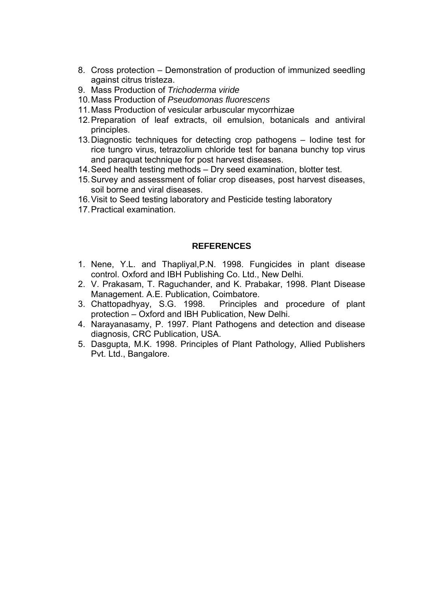- 8. Cross protection Demonstration of production of immunized seedling against citrus tristeza.
- 9. Mass Production of *Trichoderma viride*
- 10. Mass Production of *Pseudomonas fluorescens*
- 11. Mass Production of vesicular arbuscular mycorrhizae
- 12. Preparation of leaf extracts, oil emulsion, botanicals and antiviral principles.
- 13. Diagnostic techniques for detecting crop pathogens Iodine test for rice tungro virus, tetrazolium chloride test for banana bunchy top virus and paraquat technique for post harvest diseases.
- 14. Seed health testing methods Dry seed examination, blotter test.
- 15. Survey and assessment of foliar crop diseases, post harvest diseases, soil borne and viral diseases.
- 16. Visit to Seed testing laboratory and Pesticide testing laboratory
- 17. Practical examination.

## **REFERENCES**

- 1. Nene, Y.L. and Thapliyal,P.N. 1998. Fungicides in plant disease control. Oxford and IBH Publishing Co. Ltd., New Delhi.
- 2. V. Prakasam, T. Raguchander, and K. Prabakar, 1998. Plant Disease Management. A.E. Publication, Coimbatore.
- 3. Chattopadhyay, S.G. 1998. Principles and procedure of plant protection – Oxford and IBH Publication, New Delhi.
- 4. Narayanasamy, P. 1997. Plant Pathogens and detection and disease diagnosis, CRC Publication, USA.
- 5. Dasgupta, M.K. 1998. Principles of Plant Pathology, Allied Publishers Pvt. Ltd., Bangalore.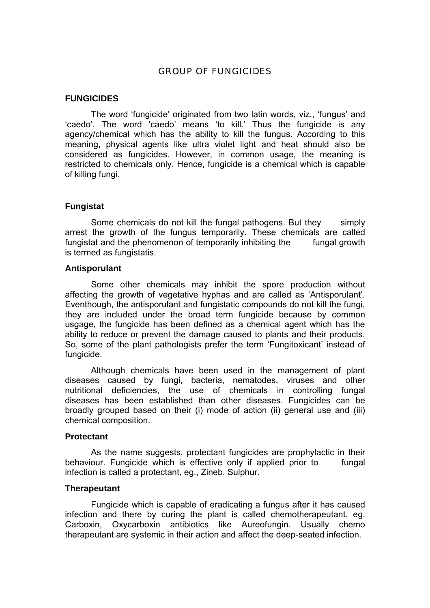## GROUP OF FUNGICIDES

## **FUNGICIDES**

 The word 'fungicide' originated from two latin words, viz., 'fungus' and 'caedo'. The word 'caedo' means 'to kill.' Thus the fungicide is any agency/chemical which has the ability to kill the fungus. According to this meaning, physical agents like ultra violet light and heat should also be considered as fungicides. However, in common usage, the meaning is restricted to chemicals only. Hence, fungicide is a chemical which is capable of killing fungi.

#### **Fungistat**

 Some chemicals do not kill the fungal pathogens. But they simply arrest the growth of the fungus temporarily. These chemicals are called fungistat and the phenomenon of temporarily inhibiting the fungal growth is termed as fungistatis.

#### **Antisporulant**

 Some other chemicals may inhibit the spore production without affecting the growth of vegetative hyphas and are called as 'Antisporulant'. Eventhough, the antisporulant and fungistatic compounds do not kill the fungi, they are included under the broad term fungicide because by common usgage, the fungicide has been defined as a chemical agent which has the ability to reduce or prevent the damage caused to plants and their products. So, some of the plant pathologists prefer the term 'Fungitoxicant' instead of fungicide.

 Although chemicals have been used in the management of plant diseases caused by fungi, bacteria, nematodes, viruses and other nutritional deficiencies, the use of chemicals in controlling fungal diseases has been established than other diseases. Fungicides can be broadly grouped based on their (i) mode of action (ii) general use and (iii) chemical composition.

#### **Protectant**

 As the name suggests, protectant fungicides are prophylactic in their behaviour. Fungicide which is effective only if applied prior to fungal infection is called a protectant, eg., Zineb, Sulphur.

#### **Therapeutant**

 Fungicide which is capable of eradicating a fungus after it has caused infection and there by curing the plant is called chemotherapeutant. eg. Carboxin, Oxycarboxin antibiotics like Aureofungin. Usually chemo therapeutant are systemic in their action and affect the deep-seated infection.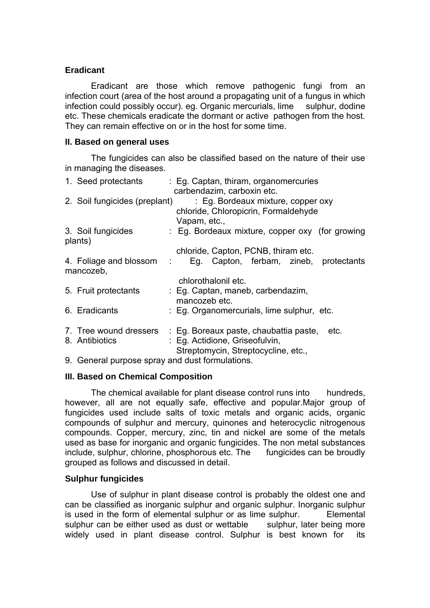## **Eradicant**

 Eradicant are those which remove pathogenic fungi from an infection court (area of the host around a propagating unit of a fungus in which infection could possibly occur). eg. Organic mercurials, lime sulphur, dodine etc. These chemicals eradicate the dormant or active pathogen from the host. They can remain effective on or in the host for some time.

## **II. Based on general uses**

 The fungicides can also be classified based on the nature of their use in managing the diseases.

| 1. Seed protectants           | : Eg. Captan, thiram, organomercuries           |  |
|-------------------------------|-------------------------------------------------|--|
|                               | carbendazim, carboxin etc.                      |  |
| 2. Soil fungicides (preplant) | : Eg. Bordeaux mixture, copper oxy              |  |
|                               | chloride, Chloropicrin, Formaldehyde            |  |
|                               | Vapam, etc.,                                    |  |
| 3. Soil fungicides            | : Eq. Bordeaux mixture, copper oxy (for growing |  |
| plants)                       |                                                 |  |
|                               | chloride, Capton, PCNB, thiram etc.             |  |
| 4. Foliage and blossom :      | Eg. Capton, ferbam, zineb, protectants          |  |
| mancozeb,                     |                                                 |  |
|                               | chlorothalonil etc.                             |  |
| 5. Fruit protectants          | : Eg. Captan, maneb, carbendazim,               |  |
|                               | mancozeb etc.                                   |  |
| 6. Eradicants                 | : Eg. Organomercurials, lime sulphur, etc.      |  |
|                               |                                                 |  |
| 7. Tree wound dressers        | : Eg. Boreaux paste, chaubattia paste,<br>etc.  |  |
| 8. Antibiotics                | : Eg. Actidione, Griseofulvin,                  |  |
|                               | Streptomycin, Streptocycline, etc.,             |  |

9. General purpose spray and dust formulations.

## **III. Based on Chemical Composition**

The chemical available for plant disease control runs into hundreds, however, all are not equally safe, effective and popular.Major group of fungicides used include salts of toxic metals and organic acids, organic compounds of sulphur and mercury, quinones and heterocyclic nitrogenous compounds. Copper, mercury, zinc, tin and nickel are some of the metals used as base for inorganic and organic fungicides. The non metal substances include, sulphur, chlorine, phosphorous etc. The fungicides can be broudly grouped as follows and discussed in detail.

## **Sulphur fungicides**

 Use of sulphur in plant disease control is probably the oldest one and can be classified as inorganic sulphur and organic sulphur. Inorganic sulphur is used in the form of elemental sulphur or as lime sulphur. Elemental sulphur can be either used as dust or wettable sulphur, later being more widely used in plant disease control. Sulphur is best known for its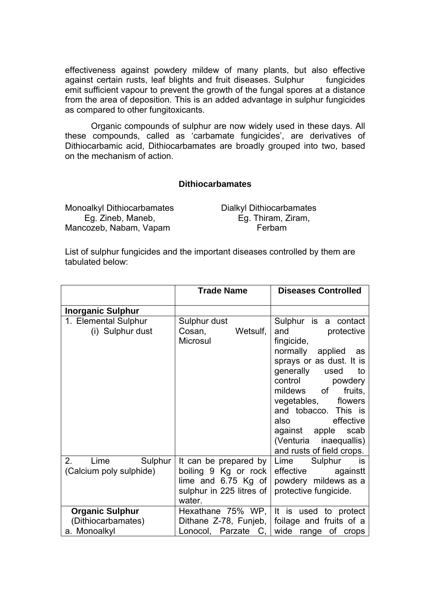effectiveness against powdery mildew of many plants, but also effective against certain rusts, leaf blights and fruit diseases. Sulphur fungicides emit sufficient vapour to prevent the growth of the fungal spores at a distance from the area of deposition. This is an added advantage in sulphur fungicides as compared to other fungitoxicants.

 Organic compounds of sulphur are now widely used in these days. All these compounds, called as 'carbamate fungicides', are derivatives of Dithiocarbamic acid, Dithiocarbamates are broadly grouped into two, based on the mechanism of action.

## **Dithiocarbamates**

Monoalkyl Dithiocarbamates Dialkyl Dithiocarbamates Eg. Zineb, Maneb, Eg. Thiram, Ziram, Mancozeb, Nabam, Vapam Ferbam

List of sulphur fungicides and the important diseases controlled by them are tabulated below:

|                                                              | <b>Trade Name</b>                                                                                                | <b>Diseases Controlled</b>                                                                                                                                                                                                                                                                                                   |
|--------------------------------------------------------------|------------------------------------------------------------------------------------------------------------------|------------------------------------------------------------------------------------------------------------------------------------------------------------------------------------------------------------------------------------------------------------------------------------------------------------------------------|
| <b>Inorganic Sulphur</b>                                     |                                                                                                                  |                                                                                                                                                                                                                                                                                                                              |
| 1. Elemental Sulphur<br>(i) Sulphur dust                     | Sulphur dust<br>Cosan,<br>Wetsulf,<br>Microsul                                                                   | Sulphur is a contact<br>and protective<br>fingicide,<br>normally applied as<br>sprays or as dust. It is<br>generally used<br>to<br>control<br>powdery<br>mildews of<br>fruits,<br>vegetables, flowers<br>and tobacco. This is<br>also effective<br>against apple scab<br>(Venturia inaequallis)<br>and rusts of field crops. |
| 2.<br>Lime<br>Sulphur<br>(Calcium poly sulphide)             | It can be prepared by $ $<br>boiling 9 Kg or rock<br>lime and $6.75$ Kg of<br>sulphur in 225 litres of<br>water. | Lime<br>Sulphur<br>is is<br>effective againstt<br>powdery mildews as a<br>protective fungicide.                                                                                                                                                                                                                              |
| <b>Organic Sulphur</b><br>(Dithiocarbamates)<br>a. Monoalkyl | Hexathane $75\%$ WP,<br>Dithane Z-78, Funjeb,<br>Lonocol, Parzate C,                                             | It is used to protect<br>foilage and fruits of a<br>wide range of crops                                                                                                                                                                                                                                                      |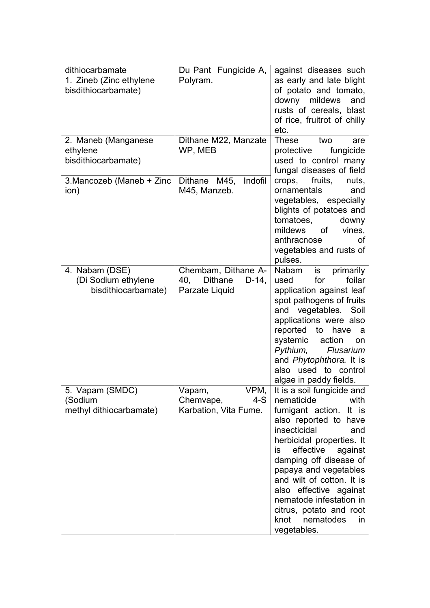| dithiocarbamate           | Du Pant Fungicide A,              | against diseases such       |
|---------------------------|-----------------------------------|-----------------------------|
| 1. Zineb (Zinc ethylene   | Polyram.                          | as early and late blight    |
| bisdithiocarbamate)       |                                   | of potato and tomato,       |
|                           |                                   | downy mildews<br>and        |
|                           |                                   | rusts of cereals, blast     |
|                           |                                   | of rice, fruitrot of chilly |
|                           |                                   | etc.                        |
| 2. Maneb (Manganese       | Dithane M22, Manzate              | <b>These</b><br>two<br>are  |
| ethylene                  | WP, MEB                           | protective<br>fungicide     |
| bisdithiocarbamate)       |                                   | used to control many        |
|                           |                                   | fungal diseases of field    |
| 3. Mancozeb (Maneb + Zinc | Dithane M45,<br>Indofil           | fruits,<br>crops,<br>nuts,  |
| ion)                      | M45, Manzeb.                      | ornamentals<br>and          |
|                           |                                   | vegetables, especially      |
|                           |                                   | blights of potatoes and     |
|                           |                                   | tomatoes,<br>downy          |
|                           |                                   | mildews<br>of<br>vines,     |
|                           |                                   | anthracnose<br>οf           |
|                           |                                   | vegetables and rusts of     |
|                           |                                   | pulses.                     |
| 4. Nabam (DSE)            | Chembam, Dithane A-               | primarily<br>Nabam<br>is    |
| (Di Sodium ethylene       | <b>Dithane</b><br>40,<br>$D-14$ , | for<br>foilar<br>used       |
| bisdithiocarbamate)       | Parzate Liquid                    | application against leaf    |
|                           |                                   | spot pathogens of fruits    |
|                           |                                   | and vegetables. Soil        |
|                           |                                   | applications were also      |
|                           |                                   | reported to<br>have<br>a    |
|                           |                                   | systemic<br>action<br>on    |
|                           |                                   | Pythium,<br>Flusarium       |
|                           |                                   | and Phytophthora. It is     |
|                           |                                   | also used to control        |
|                           |                                   | algae in paddy fields.      |
| 5. Vapam (SMDC)           | VPM,<br>Vapam,                    | It is a soil fungicide and  |
| (Sodium                   | $4-S$<br>Chemvape,                | nematicide<br>with          |
| methyl dithiocarbamate)   | Karbation, Vita Fume.             | fumigant action.<br>It is   |
|                           |                                   | also reported to have       |
|                           |                                   | insecticidal<br>and         |
|                           |                                   | herbicidal properties. It   |
|                           |                                   | effective<br>against<br>is  |
|                           |                                   | damping off disease of      |
|                           |                                   | papaya and vegetables       |
|                           |                                   | and wilt of cotton. It is   |
|                           |                                   | also effective against      |
|                           |                                   | nematode infestation in     |
|                           |                                   | citrus, potato and root     |
|                           |                                   | knot<br>nematodes<br>in     |
|                           |                                   | vegetables.                 |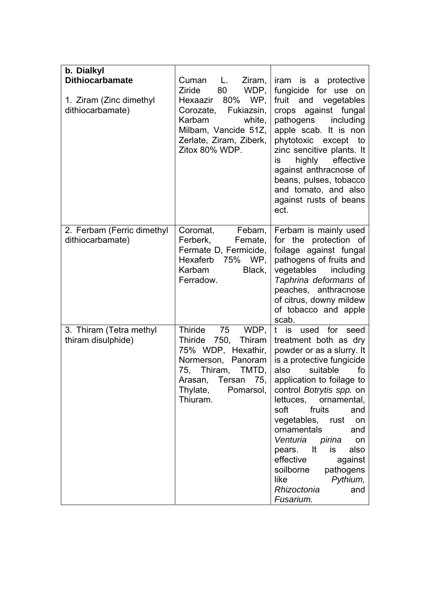| b. Dialkyl<br><b>Dithiocarbamate</b><br>1. Ziram (Zinc dimethyl<br>dithiocarbamate) | Ziram,<br>Cuman<br>L.<br>WDP,<br>Ziride<br>80<br>80%<br>WP,<br>Hexaazir<br>Corozate,<br>Fukiazsin,<br>Karbam<br>white,<br>Milbam, Vancide 51Z,<br>Zerlate, Ziram, Ziberk,<br>Zitox 80% WDP. | iram is a protective<br>fungicide for use on<br>fruit<br>and<br>vegetables<br>crops against fungal<br>pathogens including<br>apple scab. It is non<br>phytotoxic except to<br>zinc sencitive plants. It<br>highly<br>effective<br>is<br>against anthracnose of<br>beans, pulses, tobacco<br>and tomato, and also<br>against rusts of beans<br>ect.                                                                                                               |
|-------------------------------------------------------------------------------------|---------------------------------------------------------------------------------------------------------------------------------------------------------------------------------------------|------------------------------------------------------------------------------------------------------------------------------------------------------------------------------------------------------------------------------------------------------------------------------------------------------------------------------------------------------------------------------------------------------------------------------------------------------------------|
| 2. Ferbam (Ferric dimethyl<br>dithiocarbamate)                                      | Coromat,<br>Febam,<br>Ferberk,<br>Femate,<br>Fermate D, Fermicide,<br>Hexaferb 75%<br>WP,<br>Karbam<br>Black,<br>Ferradow.                                                                  | Ferbam is mainly used<br>for the protection of<br>foilage against fungal<br>pathogens of fruits and<br>vegetables<br>including<br>Taphrina deformans of<br>peaches, anthracnose<br>of citrus, downy mildew<br>of tobacco and apple<br>scab.                                                                                                                                                                                                                      |
| 3. Thiram (Tetra methyl<br>thiram disulphide)                                       | Thiride<br>75<br>WDP,<br>Thiride 750,<br>Thiram<br>75% WDP, Hexathir,<br>Normerson, Panoram<br>75,<br>Thiram, TMTD,<br>75,<br>Arasan, Tersan<br>Thylate,<br>Pomarsol,<br>Thiuram.           | t is used for seed<br>treatment both as dry<br>powder or as a slurry. It<br>is a protective fungicide<br>also<br>suitable<br>fo<br>application to foilage to<br>control Botrytis spp. on<br>lettuces,<br>ornamental,<br>soft<br>fruits<br>and<br>vegetables,<br>rust<br>on<br>ornamentals<br>and<br>Venturia pirina<br>on<br>It<br>pears.<br>also<br>is<br>effective<br>against<br>pathogens<br>soilborne<br>like<br>Pythium,<br>Rhizoctonia<br>and<br>Fusarium. |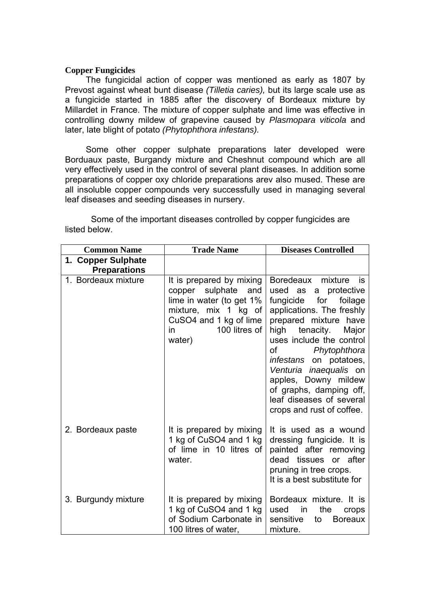#### **Copper Fungicides**

 The fungicidal action of copper was mentioned as early as 1807 by Prevost against wheat bunt disease *(Tilletia caries),* but its large scale use as a fungicide started in 1885 after the discovery of Bordeaux mixture by Millardet in France. The mixture of copper sulphate and lime was effective in controlling downy mildew of grapevine caused by *Plasmopara viticola* and later, late blight of potato *(Phytophthora infestans).* 

 Some other copper sulphate preparations later developed were Borduaux paste, Burgandy mixture and Cheshnut compound which are all very effectively used in the control of several plant diseases. In addition some preparations of copper oxy chloride preparations arev also mused. These are all insoluble copper compounds very successfully used in managing several leaf diseases and seeding diseases in nursery.

| <b>Common Name</b>                        | <b>Trade Name</b>                                                                                                                                                    | <b>Diseases Controlled</b>                                                                                                                                                                                                                                                                                                                                                  |
|-------------------------------------------|----------------------------------------------------------------------------------------------------------------------------------------------------------------------|-----------------------------------------------------------------------------------------------------------------------------------------------------------------------------------------------------------------------------------------------------------------------------------------------------------------------------------------------------------------------------|
| 1. Copper Sulphate<br><b>Preparations</b> |                                                                                                                                                                      |                                                                                                                                                                                                                                                                                                                                                                             |
| 1. Bordeaux mixture                       | It is prepared by mixing<br>sulphate<br>and<br>copper<br>lime in water (to get 1%<br>mixture, mix 1 kg of<br>CuSO4 and 1 kg of lime<br>100 litres of<br>in<br>water) | Boredeaux mixture is<br>used as a protective<br>fungicide for foilage<br>applications. The freshly<br>prepared mixture have<br>high<br>tenacity.<br>Major<br>uses include the control<br>Phytophthora<br>of<br>infestans on potatoes,<br>Venturia inaequalis on<br>apples, Downy mildew<br>of graphs, damping off,<br>leaf diseases of several<br>crops and rust of coffee. |
| 2. Bordeaux paste                         | It is prepared by mixing<br>1 kg of CuSO4 and 1 kg<br>of lime in 10 litres of<br>water.                                                                              | It is used as a wound<br>dressing fungicide. It is<br>painted after removing<br>dead tissues or after<br>pruning in tree crops.<br>It is a best substitute for                                                                                                                                                                                                              |
| 3. Burgundy mixture                       | It is prepared by mixing<br>1 kg of CuSO4 and 1 kg<br>of Sodium Carbonate in<br>100 litres of water,                                                                 | Bordeaux mixture. It is<br>used<br>the<br>in<br>crops<br>sensitive<br><b>Boreaux</b><br>to<br>mixture.                                                                                                                                                                                                                                                                      |

 Some of the important diseases controlled by copper fungicides are listed below.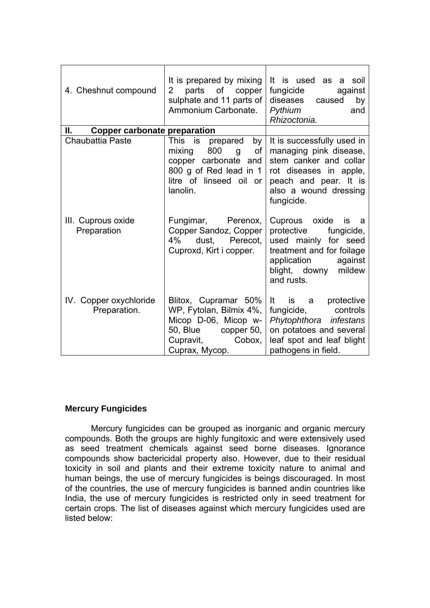| 4. Cheshnut compound                      | It is prepared by mixing<br>$\overline{2}$<br>parts of copper<br>sulphate and 11 parts of<br>Ammonium Carbonate.                            | It is used as a<br>soil<br>fungicide<br>against<br>diseases<br>caused<br>by<br>Pythium<br>and<br>Rhizoctonia.                                                               |
|-------------------------------------------|---------------------------------------------------------------------------------------------------------------------------------------------|-----------------------------------------------------------------------------------------------------------------------------------------------------------------------------|
| Ш.<br><b>Copper carbonate preparation</b> |                                                                                                                                             |                                                                                                                                                                             |
| Chaubattia Paste                          | This is prepared<br>by<br>mixing<br>800<br>of<br>g<br>copper carbonate and<br>800 g of Red lead in 1<br>litre of linseed oil or<br>lanolin. | It is successfully used in<br>managing pink disease,<br>stem canker and collar<br>rot diseases in apple,<br>peach and pear. It is<br>also a wound dressing<br>fungicide.    |
| III. Cuprous oxide<br>Preparation         | Fungimar, Perenox,<br>Copper Sandoz, Copper<br>dust. Perecot.<br>4%<br>Cuproxd, Kirt i copper.                                              | Cuprous oxide<br>is<br>- a<br>protective<br>fungicide,<br>used mainly for seed<br>treatment and for foilage<br>application<br>against<br>blight, downy mildew<br>and rusts. |
| IV. Copper oxychloride<br>Preparation.    | Blitox, Cupramar 50%<br>WP, Fytolan, Bilmix 4%,<br>Micop D-06, Micop w-<br>50, Blue copper 50,<br>Cupravit,<br>Cobox,<br>Cuprax, Mycop.     | It is a protective<br>controls<br>fungicide,<br>Phytophthora infestans<br>on potatoes and several<br>leaf spot and leaf blight<br>pathogens in field.                       |

## **Mercury Fungicides**

 Mercury fungicides can be grouped as inorganic and organic mercury compounds. Both the groups are highly fungitoxic and were extensively used as seed treatment chemicals against seed borne diseases. Ignorance compounds show bactericidal property also. However, due to their residual toxicity in soil and plants and their extreme toxicity nature to animal and human beings, the use of mercury fungicides is beings discouraged. In most of the countries, the use of mercury fungicides is banned andin countries like India, the use of mercury fungicides is restricted only in seed treatment for certain crops. The list of diseases against which mercury fungicides used are listed below: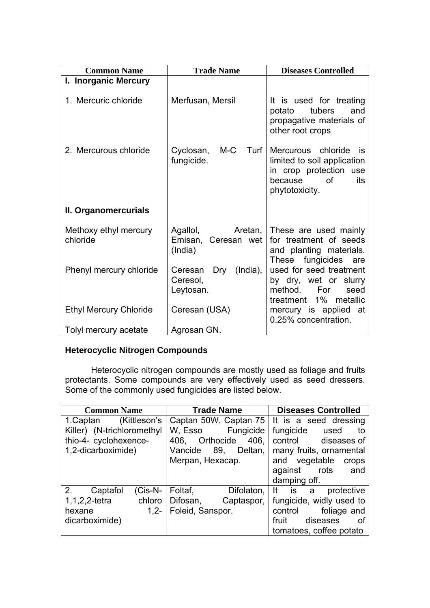| <b>Common Name</b>                | <b>Trade Name</b>                                       | <b>Diseases Controlled</b>                                                                                                  |
|-----------------------------------|---------------------------------------------------------|-----------------------------------------------------------------------------------------------------------------------------|
| I. Inorganic Mercury              |                                                         |                                                                                                                             |
| 1. Mercuric chloride              | Merfusan, Mersil                                        | It is used for treating<br>and<br>potato<br>tubers<br>propagative materials of<br>other root crops                          |
| 2. Mercurous chloride             | M-C<br>Turf  <br>Cyclosan,<br>fungicide.                | Mercurous chloride<br>İS<br>limited to soil application<br>in crop protection use<br>0f<br>its<br>because<br>phytotoxicity. |
| II. Organomercurials              |                                                         |                                                                                                                             |
| Methoxy ethyl mercury<br>chloride | Agallol,<br>Aretan, I<br>Emisan, Ceresan wet<br>(India) | These are used mainly<br>for treatment of seeds<br>and planting materials.<br>fungicides<br>These<br>are                    |
| Phenyl mercury chloride           | Dry<br>$(India)$ ,<br>Ceresan<br>Ceresol,<br>Leytosan.  | used for seed treatment<br>by dry, wet or slurry<br>method.<br>For<br>seed<br>treatment 1%<br>metallic                      |
| <b>Ethyl Mercury Chloride</b>     | Ceresan (USA)                                           | mercury is applied at<br>0.25% concentration.                                                                               |
| Tolyl mercury acetate             | Agrosan GN.                                             |                                                                                                                             |

## **Heterocyclic Nitrogen Compounds**

Heterocyclic nitrogen compounds are mostly used as foliage and fruits protectants. Some compounds are very effectively used as seed dressers. Some of the commonly used fungicides are listed below.

| <b>Common Name</b>            | <b>Trade Name</b>                             | <b>Diseases Controlled</b>      |
|-------------------------------|-----------------------------------------------|---------------------------------|
| (Kittleson's<br>1. Captan     | Captan 50W, Captan 75   It is a seed dressing |                                 |
| Killer) (N-trichloromethyl    | Fungicide  <br>W, Esso                        | fungicide<br>used<br>to         |
| thio-4- cyclohexence-         | Orthocide<br>406.<br>406.                     | control<br>diseases of          |
| 1,2-dicarboximide)            | Deltan,<br>Vancide<br>89.                     | many fruits, ornamental         |
|                               | Merpan, Hexacap.                              | vegetable<br>and<br>crops       |
|                               |                                               | against<br>rots<br>and          |
|                               |                                               | damping off.                    |
| 2.<br>$(Cis-N-$<br>Captafol   | Foltaf,<br>Difolaton,                         | -lt<br>protective<br>is is<br>a |
| $1, 1, 2, 2$ -tetra<br>chloro | Difosan,<br>Captaspor,                        | fungicide, widly used to        |
| $1.2 -$<br>hexane             | Foleid, Sanspor.                              | foliage and<br>control          |
| dicarboximide)                |                                               | fruit<br>diseases<br>οf         |
|                               |                                               | tomatoes, coffee potato         |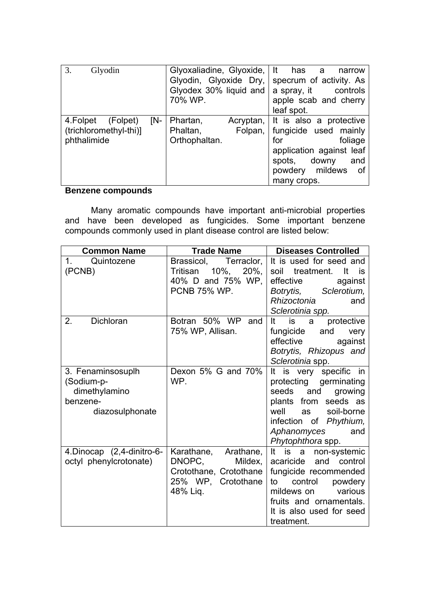| 3.<br>Glyodin                                                        | Glyoxaliadine, Glyoxide, It has<br>Glyodin, Glyoxide Dry,<br>Glyodex 30% liquid and<br>70% WP. | narrow<br>$\overline{a}$<br>specrum of activity. As<br>a spray, it controls<br>apple scab and cherry<br>leaf spot.                                                         |
|----------------------------------------------------------------------|------------------------------------------------------------------------------------------------|----------------------------------------------------------------------------------------------------------------------------------------------------------------------------|
| [N-<br>4.Folpet<br>(Folpet)<br>(trichloromethyl-thi)]<br>phthalimide | Phartan,<br>Phaltan,<br>Folpan,<br>Orthophaltan.                                               | Acryptan, It is also a protective<br>fungicide used mainly<br>foliage<br>for<br>application against leaf<br>downy<br>spots,<br>and<br>powdery mildews<br>of<br>many crops. |

# **Benzene compounds**

 Many aromatic compounds have important anti-microbial properties and have been developed as fungicides. Some important benzene compounds commonly used in plant disease control are listed below:

| <b>Common Name</b>                                                              | <b>Trade Name</b>                                                                                     | <b>Diseases Controlled</b>                                                                                                                                                                          |
|---------------------------------------------------------------------------------|-------------------------------------------------------------------------------------------------------|-----------------------------------------------------------------------------------------------------------------------------------------------------------------------------------------------------|
| Quintozene<br>1.<br>(PCNB)                                                      | Terraclor,<br>Brassicol,<br>$10\%$ , 20%,<br>Tritisan<br>40% D and 75% WP,<br><b>PCNB 75% WP.</b>     | It is used for seed and<br>soil treatment. It is<br>effective<br>against<br>Sclerotium,<br>Botrytis,<br>Rhizoctonia<br>and<br>Sclerotinia spp.                                                      |
| <b>Dichloran</b><br>2.                                                          | Botran 50% WP<br>and<br>75% WP, Allisan.                                                              | It<br>protective<br>is<br>a<br>fungicide<br>and<br>very<br>effective<br>against<br>Botrytis, Rhizopus and<br>Sclerotinia spp.                                                                       |
| 3. Fenaminsosuplh<br>(Sodium-p-<br>dimethylamino<br>benzene-<br>diazosulphonate | Dexon 5% G and 70%<br>WP.                                                                             | It is very specific in<br>protecting germinating<br>seeds and growing<br>plants from seeds as<br>soil-borne<br>well<br>as<br>infection of Phythium,<br>Aphanomyces<br>and<br>Phytophthora spp.      |
| 4. Dinocap (2,4-dinitro-6-<br>octyl phenylcrotonate)                            | Karathane, Arathane,<br>DNOPC,<br>Mildex,<br>Crotothane, Crotothane<br>25% WP, Crotothane<br>48% Liq. | It is a non-systemic<br>and control<br>acaricide<br>fungicide recommended<br>control<br>powdery<br>to<br>various<br>mildews on<br>fruits and ornamentals.<br>It is also used for seed<br>treatment. |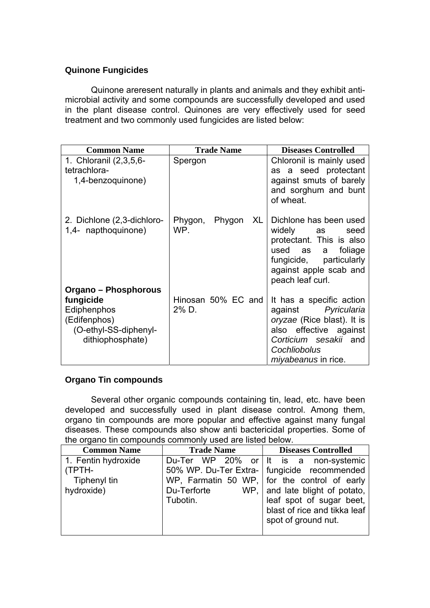## **Quinone Fungicides**

 Quinone areresent naturally in plants and animals and they exhibit antimicrobial activity and some compounds are successfully developed and used in the plant disease control. Quinones are very effectively used for seed treatment and two commonly used fungicides are listed below:

| <b>Common Name</b>                                                                                            | <b>Trade Name</b>           | <b>Diseases Controlled</b>                                                                                                                                                     |
|---------------------------------------------------------------------------------------------------------------|-----------------------------|--------------------------------------------------------------------------------------------------------------------------------------------------------------------------------|
| 1. Chloranil (2,3,5,6-<br>tetrachlora-<br>1,4-benzoquinone)                                                   | Spergon                     | Chloronil is mainly used<br>as a seed protectant<br>against smuts of barely<br>and sorghum and bunt<br>of wheat.                                                               |
| 2. Dichlone (2,3-dichloro-<br>1,4- napthoquinone)                                                             | Phygon, Phygon<br>XL<br>WP. | Dichlone has been used<br>widely<br>seed<br>as<br>protectant. This is also<br>used as<br>foliage<br>a<br>fungicide, particularly<br>against apple scab and<br>peach leaf curl. |
| Organo – Phosphorous<br>fungicide<br>Ediphenphos<br>(Edifenphos)<br>(O-ethyl-SS-diphenyl-<br>dithiophosphate) | Hinosan 50% EC and<br>2% D. | It has a specific action<br>against Pyricularia<br>oryzae (Rice blast). It is<br>also effective against<br>Corticium sesakii and<br>Cochliobolus<br><i>miyabeanus</i> in rice. |

## **Organo Tin compounds**

 Several other organic compounds containing tin, lead, etc. have been developed and successfully used in plant disease control. Among them, organo tin compounds are more popular and effective against many fungal diseases. These compounds also show anti bactericidal properties. Some of the organo tin compounds commonly used are listed below.

| <b>Common Name</b>  | <b>Trade Name</b> | <b>Diseases Controlled</b>                    |
|---------------------|-------------------|-----------------------------------------------|
| 1. Fentin hydroxide |                   | Du-Ter WP 20% or It is a non-systemic         |
| (TPTH-              |                   | 50% WP. Du-Ter Extra-   fungicide recommended |
| Tiphenyl tin        |                   | WP, Farmatin 50 WP, for the control of early  |
| hydroxide)          | Du-Terforte       | WP, and late blight of potato,                |
|                     | Tubotin.          | leaf spot of sugar beet,                      |
|                     |                   | blast of rice and tikka leaf                  |
|                     |                   | spot of ground nut.                           |
|                     |                   |                                               |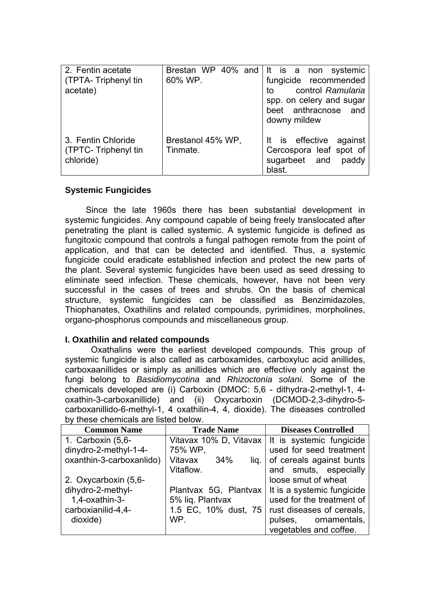| 2. Fentin acetate<br>(TPTA- Triphenyl tin<br>acetate)  | 60% WP.                       | Brestan WP 40% and It is a non systemic<br>fungicide recommended<br>control Ramularia<br>to<br>spp. on celery and sugar<br>beet anthracnose and<br>downy mildew |
|--------------------------------------------------------|-------------------------------|-----------------------------------------------------------------------------------------------------------------------------------------------------------------|
| 3. Fentin Chloride<br>(TPTC-Triphenyl tin<br>chloride) | Brestanol 45% WP,<br>Tinmate. | It is effective against<br>Cercospora leaf spot of<br>sugarbeet and<br>paddy<br>blast.                                                                          |

## **Systemic Fungicides**

 Since the late 1960s there has been substantial development in systemic fungicides. Any compound capable of being freely translocated after penetrating the plant is called systemic. A systemic fungicide is defined as fungitoxic compound that controls a fungal pathogen remote from the point of application, and that can be detected and identified. Thus, a systemic fungicide could eradicate established infection and protect the new parts of the plant. Several systemic fungicides have been used as seed dressing to eliminate seed infection. These chemicals, however, have not been very successful in the cases of trees and shrubs. On the basis of chemical structure, systemic fungicides can be classified as Benzimidazoles, Thiophanates, Oxathilins and related compounds, pyrimidines, morpholines, organo-phosphorus compounds and miscellaneous group.

## **I. Oxathilin and related compounds**

 Oxathalins were the earliest developed compounds. This group of systemic fungicide is also called as carboxamides, carboxyluc acid anillides, carboxaanillides or simply as anillides which are effective only against the fungi belong to *Basidiomycotina* and *Rhizoctonia solani.* Some of the chemicals developed are (i) Carboxin (DMOC: 5,6 - dithydra-2-methyl-1, 4 oxathin-3-carboxanillide) and (ii) Oxycarboxin (DCMOD-2,3-dihydro-5 carboxanillido-6-methyl-1, 4 oxathilin-4, 4, dioxide). The diseases controlled by these chemicals are listed below.

| <b>Common Name</b>       | <b>Trade Name</b>          | <b>Diseases Controlled</b>                         |
|--------------------------|----------------------------|----------------------------------------------------|
| 1. Carboxin (5,6-        |                            | Vitavax 10% D, Vitavax   It is systemic fungicide  |
| dinydro-2-methyl-1-4-    | 75% WP,                    | used for seed treatment                            |
| oxanthin-3-carboxanlido) | Vitavax<br>- 34%<br>lig. I | of cereals against bunts                           |
|                          | Vitaflow.                  | and smuts, especially                              |
| 2. Oxycarboxin (5,6-     |                            | loose smut of wheat                                |
| dihydro-2-methyl-        |                            | Plantvax 5G, Plantvax   It is a systemic fungicide |
| 1.4-oxathin-3-           | 5% liq. Plantvax           | used for the treatment of                          |
| carboxianilid-4,4-       | 1.5 EC, 10% dust, 75       | rust diseases of cereals,                          |
| dioxide)                 | WP.                        | pulses, ornamentals,                               |
|                          |                            | vegetables and coffee.                             |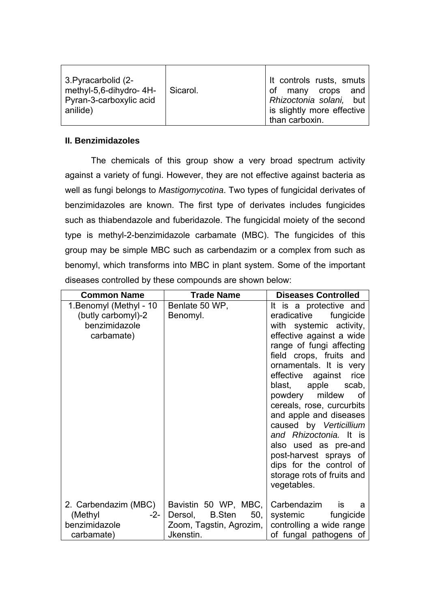| 3. Pyracarbolid (2-<br>methyl-5,6-dihydro-4H-<br>Pyran-3-carboxylic acid<br>anilide) | Sicarol. | It controls rusts, smuts<br>of many crops and<br>Rhizoctonia solani, but<br>is slightly more effective |
|--------------------------------------------------------------------------------------|----------|--------------------------------------------------------------------------------------------------------|
|                                                                                      |          | than carboxin.                                                                                         |

## **II. Benzimidazoles**

 The chemicals of this group show a very broad spectrum activity against a variety of fungi. However, they are not effective against bacteria as well as fungi belongs to *Mastigomycotina*. Two types of fungicidal derivates of benzimidazoles are known. The first type of derivates includes fungicides such as thiabendazole and fuberidazole. The fungicidal moiety of the second type is methyl-2-benzimidazole carbamate (MBC). The fungicides of this group may be simple MBC such as carbendazim or a complex from such as benomyl, which transforms into MBC in plant system. Some of the important diseases controlled by these compounds are shown below:

| <b>Common Name</b>                                                           | <b>Trade Name</b>                                                                                             | <b>Diseases Controlled</b>                                                                                                                                                                                                                                                                                                                                                                                                                                      |
|------------------------------------------------------------------------------|---------------------------------------------------------------------------------------------------------------|-----------------------------------------------------------------------------------------------------------------------------------------------------------------------------------------------------------------------------------------------------------------------------------------------------------------------------------------------------------------------------------------------------------------------------------------------------------------|
| 1. Benomyl (Methyl - 10<br>(butly carbomyl)-2<br>benzimidazole<br>carbamate) | Benlate 50 WP,<br>Benomyl.                                                                                    | It is a protective and<br>eradicative fungicide<br>with systemic activity,<br>effective against a wide<br>range of fungi affecting<br>field crops, fruits and<br>ornamentals. It is very<br>effective against<br>rice<br>blast, apple scab,<br>powdery<br>mildew<br>_of<br>cereals, rose, curcurbits<br>and apple and diseases<br>caused by Verticillium<br>and Rhizoctonia. It is<br>also used as pre-and<br>post-harvest sprays of<br>dips for the control of |
|                                                                              |                                                                                                               | storage rots of fruits and<br>vegetables.                                                                                                                                                                                                                                                                                                                                                                                                                       |
| 2. Carbendazim (MBC)<br>(Methyl<br>-2-<br>benzimidazole<br>carbamate)        | Bavistin 50 WP, MBC, Carbendazim<br><b>B.Sten</b><br>50,<br>Dersol,<br>Zoom, Tagstin, Agrozim, I<br>Jkenstin. | <b>is</b><br>a<br>systemic<br>fungicide<br>controlling a wide range<br>of fungal pathogens of                                                                                                                                                                                                                                                                                                                                                                   |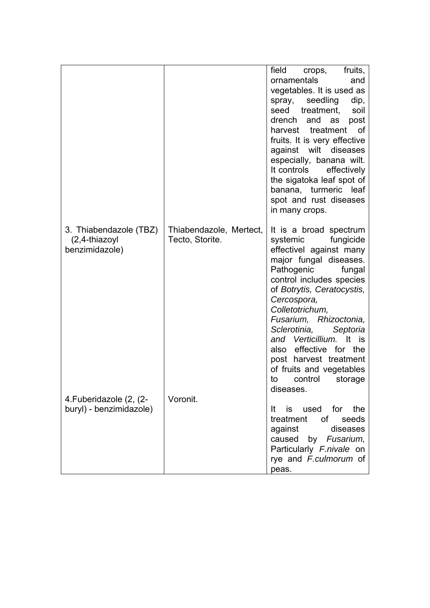|                         |                         | field<br>fruits,<br>crops,                      |
|-------------------------|-------------------------|-------------------------------------------------|
|                         |                         | ornamentals<br>and                              |
|                         |                         | vegetables. It is used as                       |
|                         |                         | seedling<br>dip,<br>spray,                      |
|                         |                         | seed treatment,<br>soil                         |
|                         |                         | drench<br>and<br>as<br>post                     |
|                         |                         | harvest treatment<br>of                         |
|                         |                         | fruits. It is very effective                    |
|                         |                         | against wilt<br>diseases                        |
|                         |                         | especially, banana wilt.                        |
|                         |                         | It controls<br>effectively                      |
|                         |                         | the sigatoka leaf spot of                       |
|                         |                         | banana, turmeric leaf                           |
|                         |                         | spot and rust diseases                          |
|                         |                         | in many crops.                                  |
| 3. Thiabendazole (TBZ)  | Thiabendazole, Mertect, | It is a broad spectrum                          |
| $(2,4-thiazoyl)$        | Tecto, Storite.         | fungicide<br>systemic                           |
| benzimidazole)          |                         | effectivel against many                         |
|                         |                         | major fungal diseases.                          |
|                         |                         | Pathogenic<br>fungal                            |
|                         |                         | control includes species                        |
|                         |                         | of Botrytis, Ceratocystis,                      |
|                         |                         | Cercospora,                                     |
|                         |                         | Colletotrichum,<br>Fusarium, Rhizoctonia,       |
|                         |                         | Sclerotinia,<br>Septoria                        |
|                         |                         | and Verticillium. It is                         |
|                         |                         | also effective for the                          |
|                         |                         | post harvest treatment                          |
|                         |                         | of fruits and vegetables                        |
|                         |                         | control<br>storage<br>to                        |
|                         |                         | diseases.                                       |
| 4. Fuberidazole (2, (2- | Voronit.                |                                                 |
| buryl) - benzimidazole) |                         | It is used for the                              |
|                         |                         | treatment<br>of<br>seeds<br>against<br>diseases |
|                         |                         | caused by Fusarium,                             |
|                         |                         | Particularly F.nivale on                        |
|                         |                         | rye and F.culmorum of                           |
|                         |                         | peas.                                           |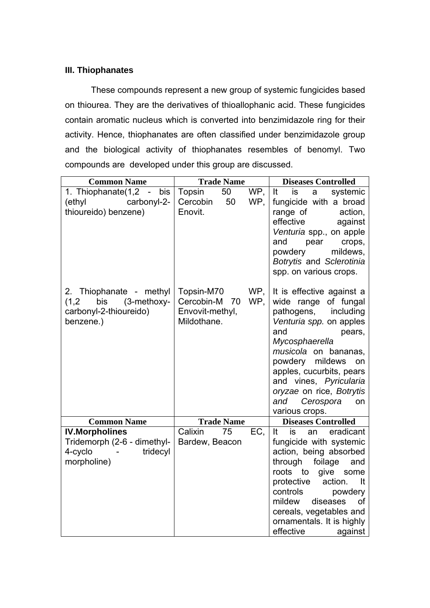## **III. Thiophanates**

 These compounds represent a new group of systemic fungicides based on thiourea. They are the derivatives of thioallophanic acid. These fungicides contain aromatic nucleus which is converted into benzimidazole ring for their activity. Hence, thiophanates are often classified under benzimidazole group and the biological activity of thiophanates resembles of benomyl. Two compounds are developed under this group are discussed.

| <b>Common Name</b>                                                                            | <b>Trade Name</b>                                                |            | <b>Diseases Controlled</b>                                                                                                                                                                                                                                                                                             |
|-----------------------------------------------------------------------------------------------|------------------------------------------------------------------|------------|------------------------------------------------------------------------------------------------------------------------------------------------------------------------------------------------------------------------------------------------------------------------------------------------------------------------|
| 1. Thiophanate(1,2 -<br>bis<br>carbonyl-2-<br>(ethyl<br>thioureido) benzene)                  | Topsin<br>50<br>50<br>Cercobin<br>Enovit.                        | WP,<br>WP, | It<br>is<br>systemic<br>a<br>fungicide with a broad<br>range of<br>action,<br>effective<br>against<br>Venturia spp., on apple<br>and<br>pear<br>crops,<br>mildews,<br>powdery<br>Botrytis and Sclerotinia<br>spp. on various crops.                                                                                    |
| 2. Thiophanate - methyl<br>(1,2)<br>bis<br>(3-methoxy-<br>carbonyl-2-thioureido)<br>benzene.) | Topsin-M70<br>Cercobin-M<br>70<br>Envovit-methyl,<br>Mildothane. | WP,<br>WP, | It is effective against a<br>wide range of fungal<br>pathogens, including<br>Venturia spp. on apples<br>and<br>pears,<br>Mycosphaerella<br>musicola on bananas,<br>powdery<br>mildews<br>on<br>apples, cucurbits, pears<br>and vines, Pyricularia<br>oryzae on rice, Botrytis<br>and Cerospora<br>on<br>various crops. |
| <b>Common Name</b>                                                                            | <b>Trade Name</b>                                                |            | <b>Diseases Controlled</b>                                                                                                                                                                                                                                                                                             |
| <b>IV.Morpholines</b><br>Tridemorph (2-6 - dimethyl-<br>4-cyclo<br>tridecyl<br>morpholine)    | Calixin<br>75<br>Bardew, Beacon                                  | EC,        | It<br>eradicant<br>is<br>an<br>fungicide with systemic<br>action, being absorbed<br>through<br>foilage<br>and<br>roots<br>to give<br>some<br>protective<br>action.<br>It<br>controls<br>powdery<br>mildew<br>diseases<br>of<br>cereals, vegetables and<br>ornamentals. It is highly<br>effective<br>against            |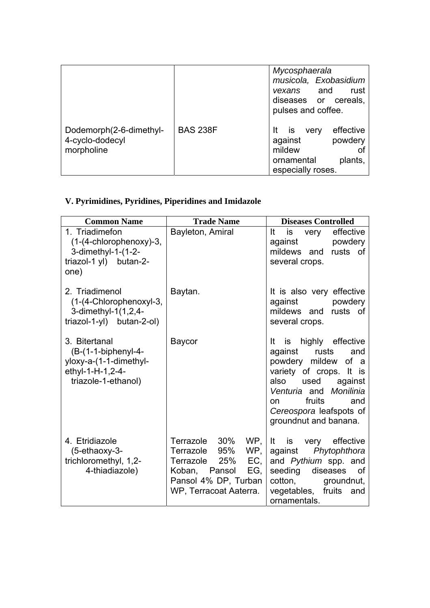|                                                          |                 | Mycosphaerala<br>musicola, Exobasidium<br>and<br>rust<br>vexans<br>diseases or cereals,<br>pulses and coffee.      |
|----------------------------------------------------------|-----------------|--------------------------------------------------------------------------------------------------------------------|
| Dodemorph(2-6-dimethyl-<br>4-cyclo-dodecyl<br>morpholine | <b>BAS 238F</b> | effective<br>It<br><b>IS</b><br>very<br>against<br>powdery<br>mildew<br>ornamental<br>plants,<br>especially roses. |

# **V. Pyrimidines, Pyridines, Piperidines and Imidazole**

| <b>Common Name</b>                                                                                          | <b>Trade Name</b>                                                                                                                          | <b>Diseases Controlled</b>                                                                                                                                                                                                              |
|-------------------------------------------------------------------------------------------------------------|--------------------------------------------------------------------------------------------------------------------------------------------|-----------------------------------------------------------------------------------------------------------------------------------------------------------------------------------------------------------------------------------------|
| 1. Triadimefon<br>$(1-(4-chlorophenoxy)-3,$<br>3-dimethyl-1-(1-2-<br>triazol-1 yl) butan-2-<br>one)         | Bayleton, Amiral                                                                                                                           | effective<br>It<br>is<br>very<br>against<br>powdery<br>mildews and<br>rusts of<br>several crops.                                                                                                                                        |
| 2. Triadimenol<br>(1-(4-Chlorophenoxyl-3,<br>3-dimethyl-1(1,2,4-<br>$triazol-1-yl$ butan-2-ol)              | Baytan.                                                                                                                                    | It is also very effective<br>powdery<br>against<br>mildews and rusts of<br>several crops.                                                                                                                                               |
| 3. Bitertanal<br>$(B-(1-1-biphenyl-4-$<br>yloxy-a-(1-1-dimethyl-<br>ethyl-1-H-1,2-4-<br>triazole-1-ethanol) | Baycor                                                                                                                                     | It is highly effective<br>against rusts<br>and<br>powdery mildew of a<br>variety of crops. It is<br>also used against<br>Venturia and Monilinia<br>fruits<br>and<br>$on$ and $\sim$<br>Cereospora leafspots of<br>groundnut and banana. |
| 4. Etridiazole<br>$(5$ -ethaoxy-3-<br>trichloromethyl, 1,2-<br>4-thiadiazole)                               | Terrazole 30% WP.<br>Terrazole 95% WP,<br>Terrazole 25%<br>EC, I<br>Koban, Pansol<br>EG,<br>Pansol 4% DP, Turban<br>WP, Terracoat Aaterra. | It is<br>very effective<br>against Phytophthora<br>and Pythium spp. and<br>seeding<br>diseases<br>of<br>cotton,<br>groundnut,<br>vegetables, fruits<br>and<br>ornamentals.                                                              |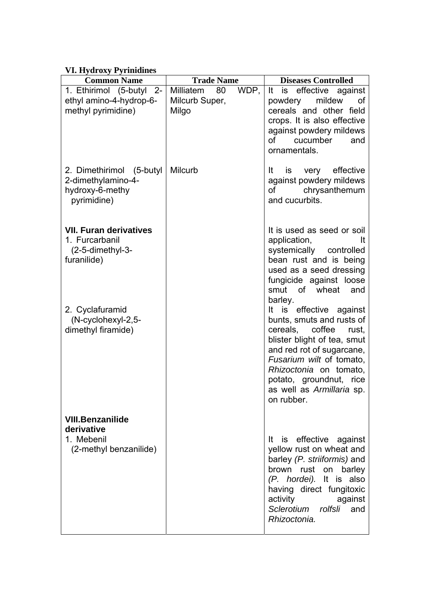## **VI. Hydroxy Pyrinidines**

| <b>Common Name</b>                                                                  | <b>Trade Name</b>                 |      | <b>Diseases Controlled</b>                                                                                                                                                                                                                                               |
|-------------------------------------------------------------------------------------|-----------------------------------|------|--------------------------------------------------------------------------------------------------------------------------------------------------------------------------------------------------------------------------------------------------------------------------|
| 1. Ethirimol (5-butyl 2-<br>ethyl amino-4-hydrop-6-                                 | Milliatem<br>80<br>Milcurb Super, | WDP, | It is effective against<br>mildew<br>powdery<br>οf                                                                                                                                                                                                                       |
| methyl pyrimidine)                                                                  | Milgo                             |      | cereals and other field<br>crops. It is also effective<br>against powdery mildews<br>of<br>cucumber<br>and<br>ornamentals.                                                                                                                                               |
| 2. Dimethirimol<br>(5-butyl<br>2-dimethylamino-4-<br>hydroxy-6-methy<br>pyrimidine) | <b>Milcurb</b>                    |      | effective<br>very<br>It<br>is<br>against powdery mildews<br>chrysanthemum<br>of<br>and cucurbits.                                                                                                                                                                        |
| <b>VII. Furan derivatives</b><br>1. Furcarbanil<br>(2-5-dimethyl-3-<br>furanilide)  |                                   |      | It is used as seed or soil<br>application,<br>It<br>systemically controlled<br>bean rust and is being<br>used as a seed dressing<br>fungicide against loose<br>smut of wheat<br>and<br>barley.                                                                           |
| 2. Cyclafuramid<br>(N-cyclohexyl-2,5-<br>dimethyl firamide)                         |                                   |      | It is effective against<br>bunts, smuts and rusts of<br>cereals, coffee<br>rust,<br>blister blight of tea, smut<br>and red rot of sugarcane,<br>Fusarium wilt of tomato.<br>Rhizoctonia on tomato,<br>potato, groundnut, rice<br>as well as Armillaria sp.<br>on rubber. |
| <b>VIII.Benzanilide</b><br>derivative<br>1. Mebenil                                 |                                   |      | is effective against<br>It                                                                                                                                                                                                                                               |
| (2-methyl benzanilide)                                                              |                                   |      | yellow rust on wheat and<br>barley (P. striiformis) and<br>barley<br>brown rust on<br>(P. hordei). It is also<br>having direct fungitoxic<br>activity<br>against<br>Sclerotium rolfsli and<br>Rhizoctonia.                                                               |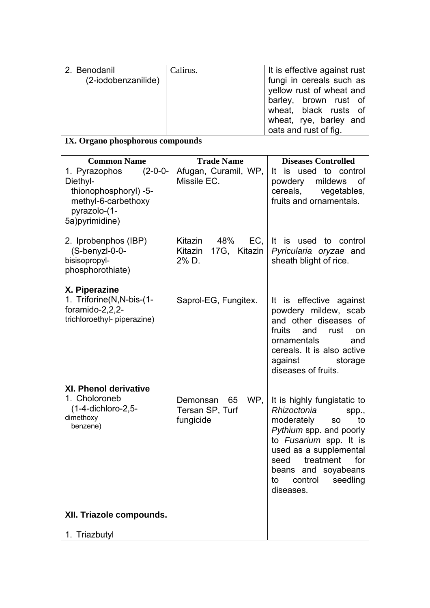| 2. Benodanil        | Calirus. | It is effective against rust |
|---------------------|----------|------------------------------|
| (2-iodobenzanilide) |          | fungi in cereals such as     |
|                     |          | yellow rust of wheat and     |
|                     |          | barley, brown rust of        |
|                     |          | wheat, black rusts of        |
|                     |          | wheat, rye, barley and       |
|                     |          | oats and rust of fig.        |

# **IX. Organo phosphorous compounds**

| <b>Common Name</b>                                                                                                        | <b>Trade Name</b>                                     | <b>Diseases Controlled</b>                                                                                                                                                                                                                                 |
|---------------------------------------------------------------------------------------------------------------------------|-------------------------------------------------------|------------------------------------------------------------------------------------------------------------------------------------------------------------------------------------------------------------------------------------------------------------|
| 1. Pyrazophos<br>$(2-0-0-$<br>Diethyl-<br>thionophosphoryl) -5-<br>methyl-6-carbethoxy<br>pyrazolo-(1-<br>5a) pyrimidine) | Afugan, Curamil, WP,<br>Missile EC.                   | It is used to control<br>powdery<br>mildews<br>Οf<br>cereals,<br>vegetables,<br>fruits and ornamentals.                                                                                                                                                    |
| 2. Iprobenphos (IBP)<br>(S-benyzl-0-0-<br>bisisopropyl-<br>phosphorothiate)                                               | Kitazin<br>48%<br>Kitazin<br>17G, Kitazin<br>2% D.    | EC, It is used to control<br>Pyricularia oryzae and<br>sheath blight of rice.                                                                                                                                                                              |
| X. Piperazine<br>1. Triforine(N,N-bis-(1-<br>foramido-2,2,2-<br>trichloroethyl- piperazine)                               | Saprol-EG, Fungitex.                                  | It is effective against<br>powdery mildew, scab<br>and other diseases of<br>fruits<br>and<br>rust<br><b>on</b><br>ornamentals<br>and<br>cereals. It is also active<br>against<br>storage<br>diseases of fruits.                                            |
| <b>XI. Phenol derivative</b><br>1. Choloroneb<br>$(1-4$ -dichloro-2,5-<br>dimethoxy<br>benzene)                           | WP,<br>65<br>Demonsan<br>Tersan SP, Turf<br>fungicide | It is highly fungistatic to<br>Rhizoctonia<br>spp.,<br>moderately<br><b>SO</b><br>to<br>Pythium spp. and poorly<br>to Fusarium spp. It is<br>used as a supplemental<br>treatment<br>for<br>seed<br>beans and soyabeans<br>to control seedling<br>diseases. |
| XII. Triazole compounds.                                                                                                  |                                                       |                                                                                                                                                                                                                                                            |
| 1. Triazbutyl                                                                                                             |                                                       |                                                                                                                                                                                                                                                            |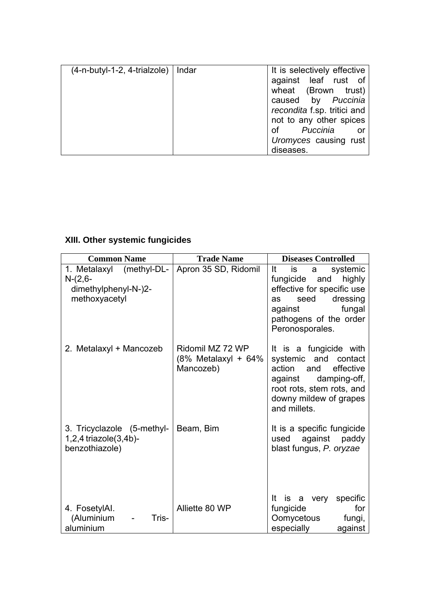| $(4-n-butyl-1-2, 4-trialzole)$   Indar | It is selectively effective |
|----------------------------------------|-----------------------------|
|                                        | against leaf rust of        |
|                                        | wheat (Brown trust)         |
|                                        | caused by Puccinia          |
|                                        | recondita f.sp. tritici and |
|                                        | not to any other spices     |
|                                        | of <i>Puccinia</i> or       |
|                                        | Uromyces causing rust       |
|                                        | diseases.                   |

# **XIII. Other systemic fungicides**

| <b>Common Name</b>                                                             | <b>Trade Name</b>                                    | <b>Diseases Controlled</b>                                                                                                                                                     |
|--------------------------------------------------------------------------------|------------------------------------------------------|--------------------------------------------------------------------------------------------------------------------------------------------------------------------------------|
| 1. Metalaxyl (methyl-DL-<br>$N-(2,6-$<br>dimethylphenyl-N-)2-<br>methoxyacetyl | Apron 35 SD, Ridomil                                 | It<br>is<br>systemic<br>a a<br>fungicide and highly<br>effective for specific use<br>dressing<br>seed<br>as<br>fungal<br>against<br>pathogens of the order<br>Peronosporales.  |
| 2. Metalaxyl + Mancozeb                                                        | Ridomil MZ 72 WP<br>(8% Metalaxyl + 64%<br>Mancozeb) | It is a fungicide with<br>systemic and contact<br>action<br>effective<br>and<br>against<br>damping-off,<br>root rots, stem rots, and<br>downy mildew of grapes<br>and millets. |
| 3. Tricyclazole (5-methyl-<br>$1,2,4$ triazole $(3,4b)$ -<br>benzothiazole)    | Beam, Bim                                            | It is a specific fungicide<br>against<br>paddy<br>used<br>blast fungus, P. oryzae                                                                                              |
| 4. FosetylAl.<br>(Aluminium<br>Tris-<br>aluminium                              | Alliette 80 WP                                       | It is a very<br>specific<br>fungicide<br>for<br>Oomycetous<br>fungi,<br>especially<br>against                                                                                  |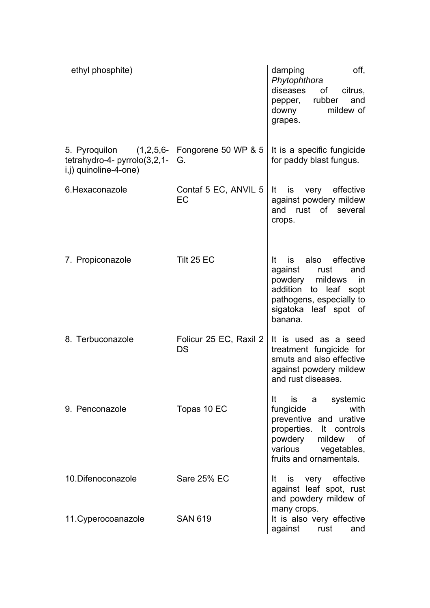| ethyl phosphite)                                                                 |                                     | off,<br>damping<br>Phytophthora<br>diseases<br>0f<br>citrus,<br>pepper, rubber<br>and<br>mildew of<br>downy<br>grapes.                                                              |
|----------------------------------------------------------------------------------|-------------------------------------|-------------------------------------------------------------------------------------------------------------------------------------------------------------------------------------|
| 5. Pyroquilon (1,2,5,6-<br>tetrahydro-4- pyrrolo(3,2,1-<br>i,j) quinoline-4-one) | Fongorene 50 WP & 5<br>G.           | It is a specific fungicide<br>for paddy blast fungus.                                                                                                                               |
| 6. Hexaconazole                                                                  | Contaf 5 EC, ANVIL 5<br>EC          | very effective<br>It<br>is<br>against powdery mildew<br>and rust of several<br>crops.                                                                                               |
| 7. Propiconazole                                                                 | Tilt 25 EC                          | is also effective<br>It<br>against<br>rust<br>and<br>powdery<br>mildews<br><i>in</i><br>addition<br>to leaf<br>sopt<br>pathogens, especially to<br>sigatoka leaf spot of<br>banana. |
| 8. Terbuconazole                                                                 | Folicur 25 EC, Raxil 2<br><b>DS</b> | It is used as a seed<br>treatment fungicide for<br>smuts and also effective<br>against powdery mildew<br>and rust diseases.                                                         |
| 9. Penconazole                                                                   | Topas 10 EC                         | is a systemic<br>It<br>with<br>fungicide<br>preventive and urative<br>properties. It controls<br>powdery<br>mildew<br>0f<br>various vegetables,<br>fruits and ornamentals.          |
| 10. Difenoconazole                                                               | Sare 25% EC                         | is very effective<br>lt.<br>against leaf spot, rust<br>and powdery mildew of                                                                                                        |
| 11. Cyperocoanazole                                                              | <b>SAN 619</b>                      | many crops.<br>It is also very effective<br>against<br>rust<br>and                                                                                                                  |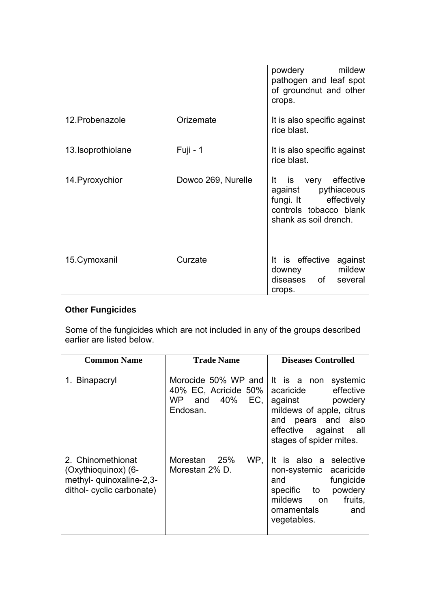|                    |                    | powdery mildew<br>pathogen and leaf spot<br>of groundnut and other<br>crops.                                            |
|--------------------|--------------------|-------------------------------------------------------------------------------------------------------------------------|
| 12. Probenazole    | Orizemate          | It is also specific against<br>rice blast.                                                                              |
| 13. Isoprothiolane | Fuji - 1           | It is also specific against<br>rice blast.                                                                              |
| 14. Pyroxychior    | Dowco 269, Nurelle | It is very effective<br>against pythiaceous<br>fungi. It effectively<br>controls tobacco blank<br>shank as soil drench. |
| 15. Cymoxanil      | Curzate            | It is effective against<br>downey mildew<br>diseases of several<br>crops.                                               |

# **Other Fungicides**

Some of the fungicides which are not included in any of the groups described earlier are listed below.

| <b>Common Name</b>                                                                                | <b>Trade Name</b>                                                            | <b>Diseases Controlled</b>                                                                                                                                                    |
|---------------------------------------------------------------------------------------------------|------------------------------------------------------------------------------|-------------------------------------------------------------------------------------------------------------------------------------------------------------------------------|
| 1. Binapacryl                                                                                     | Morocide 50% WP and<br>40% EC, Acricide 50%<br>WP and $40\%$ EC,<br>Endosan. | It is a non<br>systemic<br>effective<br>acaricide<br>against powdery<br>mildews of apple, citrus<br>pears and also<br>and<br>effective against all<br>stages of spider mites. |
| 2. Chinomethionat<br>(Oxythioquinox) (6-<br>methyl- quinoxaline-2,3-<br>dithol- cyclic carbonate) | Morestan 25%<br>WP.<br>Morestan 2% D.                                        | It is also a selective<br>non-systemic acaricide<br>fungicide<br>and<br>powdery<br>specific to<br>mildews on<br>fruits,<br>ornamentals<br>and<br>vegetables.                  |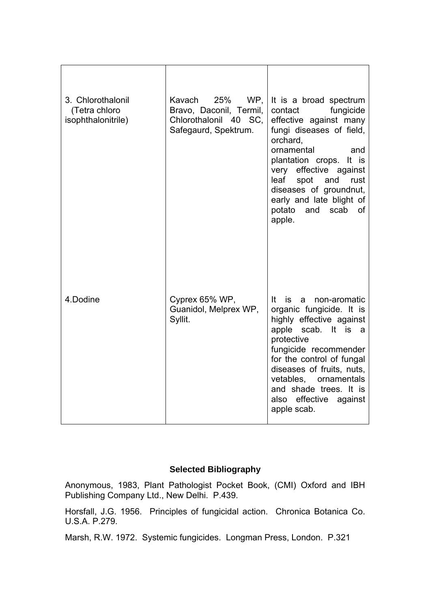| 3. Chlorothalonil<br>(Tetra chloro<br>isophthalonitrile) | Kavach<br>25%<br>WP.<br>Bravo, Daconil, Termil,<br>Chlorothalonil 40 SC,<br>Safegaurd, Spektrum. | It is a broad spectrum<br>fungicide<br>contact<br>effective against many<br>fungi diseases of field,<br>orchard,<br>ornamental<br>and<br>plantation crops. It is<br>very effective against<br>leaf<br>spot<br>and<br>rust<br>diseases of groundnut,<br>early and late blight of<br>potato<br>scab<br>and<br>0f<br>apple. |
|----------------------------------------------------------|--------------------------------------------------------------------------------------------------|--------------------------------------------------------------------------------------------------------------------------------------------------------------------------------------------------------------------------------------------------------------------------------------------------------------------------|
| 4.Dodine                                                 | Cyprex 65% WP,<br>Guanidol, Melprex WP,<br>Syllit.                                               | It is a non-aromatic<br>organic fungicide. It is<br>highly effective against<br>apple<br>scab. It is a<br>protective<br>fungicide recommender<br>for the control of fungal<br>diseases of fruits, nuts,<br>vetables, ornamentals<br>and shade trees. It is<br>also effective<br>against<br>apple scab.                   |

## **Selected Bibliography**

Anonymous, 1983, Plant Pathologist Pocket Book, (CMI) Oxford and IBH Publishing Company Ltd., New Delhi. P.439.

Horsfall, J.G. 1956. Principles of fungicidal action. Chronica Botanica Co. U.S.A. P.279.

Marsh, R.W. 1972. Systemic fungicides. Longman Press, London. P.321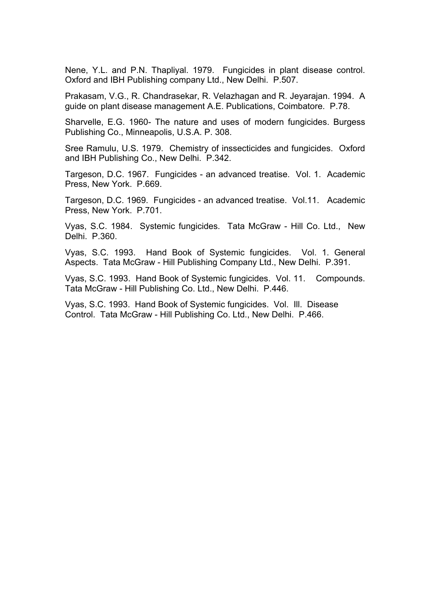Nene, Y.L. and P.N. Thapliyal. 1979. Fungicides in plant disease control. Oxford and IBH Publishing company Ltd., New Delhi. P.507.

Prakasam, V.G., R. Chandrasekar, R. Velazhagan and R. Jeyarajan. 1994. A guide on plant disease management A.E. Publications, Coimbatore. P.78.

Sharvelle, E.G. 1960- The nature and uses of modern fungicides. Burgess Publishing Co., Minneapolis, U.S.A. P. 308.

Sree Ramulu, U.S. 1979. Chemistry of inssecticides and fungicides. Oxford and IBH Publishing Co., New Delhi. P.342.

Targeson, D.C. 1967. Fungicides - an advanced treatise. Vol. 1. Academic Press, New York. P.669.

Targeson, D.C. 1969. Fungicides - an advanced treatise. Vol.11. Academic Press, New York. P.701.

Vyas, S.C. 1984. Systemic fungicides. Tata McGraw - Hill Co. Ltd., New Delhi. P.360.

Vyas, S.C. 1993. Hand Book of Systemic fungicides. Vol. 1. General Aspects. Tata McGraw - Hill Publishing Company Ltd., New Delhi. P.391.

Vyas, S.C. 1993. Hand Book of Systemic fungicides. Vol. 11. Compounds. Tata McGraw - Hill Publishing Co. Ltd., New Delhi. P.446.

Vyas, S.C. 1993. Hand Book of Systemic fungicides. Vol. Ill. Disease Control. Tata McGraw - Hill Publishing Co. Ltd., New Delhi. P.466.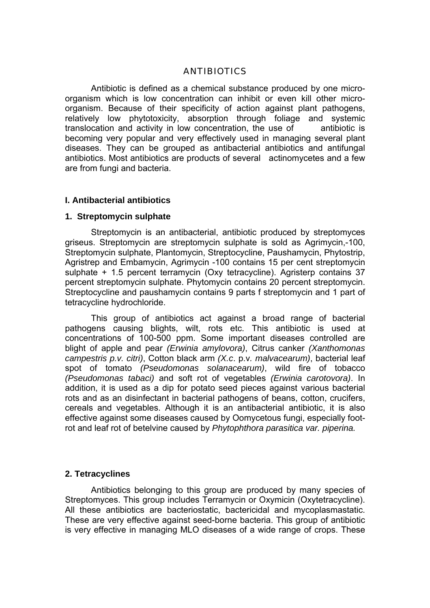### ANTIBIOTICS

 Antibiotic is defined as a chemical substance produced by one microorganism which is low concentration can inhibit or even kill other microorganism. Because of their specificity of action against plant pathogens, relatively low phytotoxicity, absorption through foliage and systemic translocation and activity in low concentration, the use of antibiotic is becoming very popular and very effectively used in managing several plant diseases. They can be grouped as antibacterial antibiotics and antifungal antibiotics. Most antibiotics are products of several actinomycetes and a few are from fungi and bacteria.

#### **I. Antibacterial antibiotics**

## **1. Streptomycin sulphate**

 Streptomycin is an antibacterial, antibiotic produced by streptomyces griseus. Streptomycin are streptomycin sulphate is sold as Agrimycin,-100, Streptomycin sulphate, Plantomycin, Streptocycline, Paushamycin, Phytostrip, Agristrep and Embamycin, Agrimycin -100 contains 15 per cent streptomycin sulphate + 1.5 percent terramycin (Oxy tetracycline). Agristerp contains 37 percent streptomycin sulphate. Phytomycin contains 20 percent streptomycin. Streptocycline and paushamycin contains 9 parts f streptomycin and 1 part of tetracycline hydrochloride.

 This group of antibiotics act against a broad range of bacterial pathogens causing blights, wilt, rots etc. This antibiotic is used at concentrations of 100-500 ppm. Some important diseases controlled are blight of apple and pear *(Erwinia amylovora)*, Citrus canker *(Xanthomonas campestris p.v. citri)*, Cotton black arm *(X.c*. p.v*. malvacearum)*, bacterial leaf spot of tomato *(Pseudomonas solanacearum)*, wild fire of tobacco *(Pseudomonas tabaci)* and soft rot of vegetables *(Erwinia carotovora)*. In addition, it is used as a dip for potato seed pieces against various bacterial rots and as an disinfectant in bacterial pathogens of beans, cotton, crucifers, cereals and vegetables. Although it is an antibacterial antibiotic, it is also effective against some diseases caused by Oomycetous fungi, especially footrot and leaf rot of betelvine caused by *Phytophthora parasitica var. piperina.* 

#### **2. Tetracyclines**

 Antibiotics belonging to this group are produced by many species of Streptomyces. This group includes Terramycin or Oxymicin (Oxytetracycline). All these antibiotics are bacteriostatic, bactericidal and mycoplasmastatic. These are very effective against seed-borne bacteria. This group of antibiotic is very effective in managing MLO diseases of a wide range of crops. These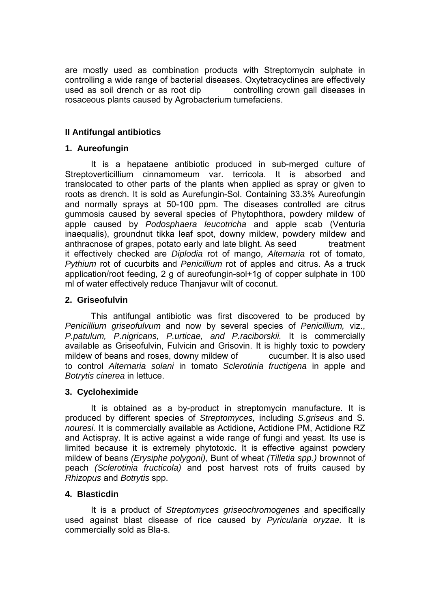are mostly used as combination products with Streptomycin sulphate in controlling a wide range of bacterial diseases. Oxytetracyclines are effectively used as soil drench or as root dip controlling crown gall diseases in rosaceous plants caused by Agrobacterium tumefaciens.

## **II Antifungal antibiotics**

## **1. Aureofungin**

 It is a hepataene antibiotic produced in sub-merged culture of Streptoverticillium cinnamomeum var. terricola. It is absorbed and translocated to other parts of the plants when applied as spray or given to roots as drench. It is sold as Aurefungin-Sol. Containing 33.3% Aureofungin and normally sprays at 50-100 ppm. The diseases controlled are citrus gummosis caused by several species of Phytophthora, powdery mildew of apple caused by *Podosphaera leucotricha* and apple scab (Venturia inaequalis), groundnut tikka leaf spot, downy mildew, powdery mildew and anthracnose of grapes, potato early and late blight. As seed treatment it effectively checked are *Diplodia* rot of mango, *Alternaria* rot of tomato, *Pythium* rot of cucurbits and *Penicillium* rot of apples and citrus. As a truck application/root feeding, 2 g of aureofungin-sol+1g of copper sulphate in 100 ml of water effectively reduce Thanjavur wilt of coconut.

## **2. Griseofulvin**

 This antifungal antibiotic was first discovered to be produced by *Penicillium griseofulvum* and now by several species of *Penicillium,* viz., *P.patulum, P.nigricans, P.urticae, and P.raciborskii.* It is commercially available as Griseofulvin, Fulvicin and Grisovin. It is highly toxic to powdery mildew of beans and roses, downy mildew of cucumber. It is also used to control *Alternaria solani* in tomato *Sclerotinia fructigena* in apple and *Botrytis cinerea* in lettuce.

## **3. Cycloheximide**

 It is obtained as a by-product in streptomycin manufacture. It is produced by different species of *Streptomyces,* including *S.griseus* and S*. nouresi.* It is commercially available as Actidione, Actidione PM, Actidione RZ and Actispray. It is active against a wide range of fungi and yeast. Its use is limited because it is extremely phytotoxic. It is effective against powdery mildew of beans *(Erysiphe polygoni),* Bunt of wheat *(Tilletia spp.)* brownnot of peach *(Sclerotinia fructicola)* and post harvest rots of fruits caused by *Rhizopus* and *Botrytis* spp.

## **4. Blasticdin**

 It is a product of *Streptomyces griseochromogenes* and specifically used against blast disease of rice caused by *Pyricularia oryzae.* It is commercially sold as Bla-s.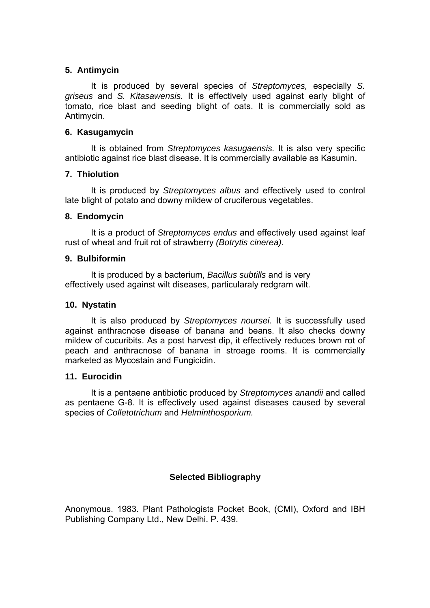## **5. Antimycin**

 It is produced by several species of *Streptomyces,* especially *S. griseus* and *S. Kitasawensis.* It is effectively used against early blight of tomato, rice blast and seeding blight of oats. It is commercially sold as Antimycin.

## **6. Kasugamycin**

 It is obtained from *Streptomyces kasugaensis.* It is also very specific antibiotic against rice blast disease. It is commercially available as Kasumin.

## **7. Thiolution**

 It is produced by *Streptomyces albus* and effectively used to control late blight of potato and downy mildew of cruciferous vegetables.

## **8. Endomycin**

 It is a product of *Streptomyces endus* and effectively used against leaf rust of wheat and fruit rot of strawberry *(Botrytis cinerea).* 

## **9. Bulbiformin**

 It is produced by a bacterium, *Bacillus subtills* and is very effectively used against wilt diseases, particularaly redgram wilt.

### **10. Nystatin**

 It is also produced by *Streptomyces noursei.* It is successfully used against anthracnose disease of banana and beans. It also checks downy mildew of cucuribits. As a post harvest dip, it effectively reduces brown rot of peach and anthracnose of banana in stroage rooms. It is commercially marketed as Mycostain and Fungicidin.

#### **11. Eurocidin**

 It is a pentaene antibiotic produced by *Streptomyces anandii* and called as pentaene G-8. It is effectively used against diseases caused by several species of *Colletotrichum* and *Helminthosporium.* 

## **Selected Bibliography**

Anonymous. 1983. Plant Pathologists Pocket Book, (CMI), Oxford and IBH Publishing Company Ltd., New Delhi. P. 439.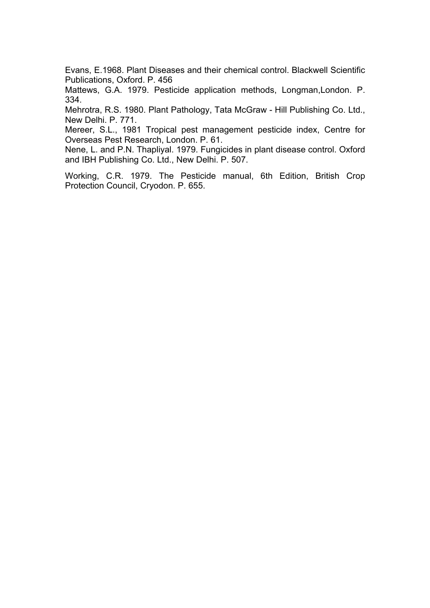Evans, E.1968. Plant Diseases and their chemical control. Blackwell Scientific Publications, Oxford. P. 456

Mattews, G.A. 1979. Pesticide application methods, Longman,London. P. 334.

Mehrotra, R.S. 1980. Plant Pathology, Tata McGraw - Hill Publishing Co. Ltd., New Delhi. P. 771.

Mereer, S.L., 1981 Tropical pest management pesticide index, Centre for Overseas Pest Research, London. P. 61.

Nene, L. and P.N. Thapliyal. 1979. Fungicides in plant disease control. Oxford and IBH Publishing Co. Ltd., New Delhi. P. 507.

Working, C.R. 1979. The Pesticide manual, 6th Edition, British Crop Protection Council, Cryodon. P. 655.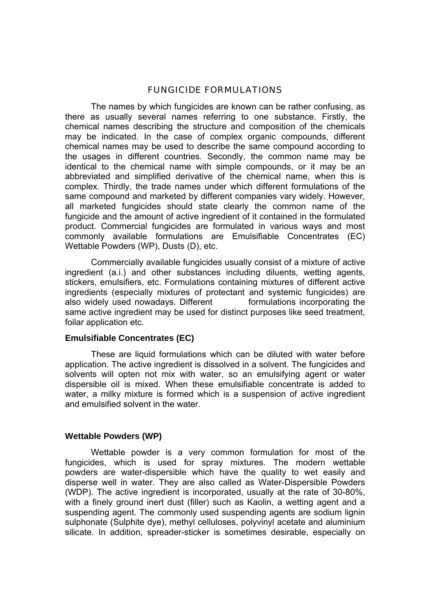#### FUNGICIDE FORMULATIONS

 The names by which fungicides are known can be rather confusing, as there as usually several names referring to one substance. Firstly, the chemical names describing the structure and composition of the chemicals may be indicated. In the case of complex organic compounds, different chemical names may be used to describe the same compound according to the usages in different countries. Secondly, the common name may be identical to the chemical name with simple compounds, or it may be an abbreviated and simplified derivative of the chemical name, when this is complex. Thirdly, the trade names under which different formulations of the same compound and marketed by different companies vary widely. However, all marketed fungicides should state clearly the common name of the fungicide and the amount of active ingredient of it contained in the formulated product. Commercial fungicides are formulated in various ways and most commonly available formulations are Emulsifiable Concentrates (EC) Wettable Powders (WP), Dusts (D), etc.

 Commercially available fungicides usually consist of a mixture of active ingredient (a.i.) and other substances including diluents, wetting agents, stickers, emulsifiers, etc. Formulations containing mixtures of different active ingredients (especially mixtures of protectant and systemic fungicides) are also widely used nowadays. Different formulations incorporating the same active ingredient may be used for distinct purposes like seed treatment, foilar application etc.

#### **Emulsifiable Concentrates (EC)**

 These are liquid formulations which can be diluted with water before application. The active ingredient is dissolved in a solvent. The fungicides and solvents will opten not mix with water, so an emulsifying agent or water dispersible oil is mixed. When these emulsifiable concentrate is added to water, a milky mixture is formed which is a suspension of active ingredient and emulsified solvent in the water.

#### **Wettable Powders (WP)**

Wettable powder is a very common formulation for most of the fungicides, which is used for spray mixtures. The modern wettable powders are water-dispersible which have the quality to wet easily and disperse well in water. They are also called as Water-Dispersible Powders (WDP). The active ingredient is incorporated, usually at the rate of 30-80%, with a finely ground inert dust (filler) such as Kaolin, a wetting agent and a suspending agent. The commonly used suspending agents are sodium lignin sulphonate (Sulphite dye), methyl celluloses, polyvinyl acetate and aluminium silicate. In addition, spreader-sticker is sometimes desirable, especially on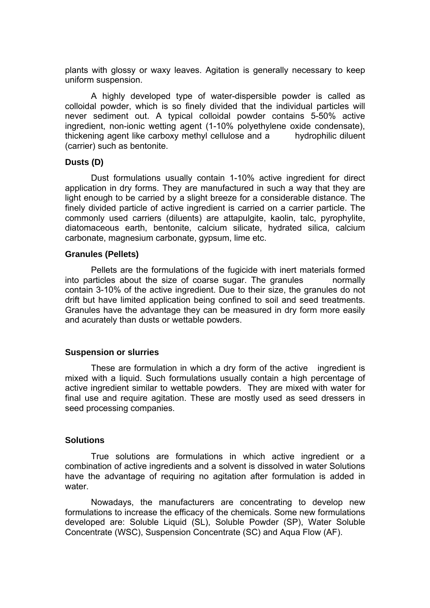plants with glossy or waxy leaves. Agitation is generally necessary to keep uniform suspension.

 A highly developed type of water-dispersible powder is called as colloidal powder, which is so finely divided that the individual particles will never sediment out. A typical colloidal powder contains 5-50% active ingredient, non-ionic wetting agent (1-10% polyethylene oxide condensate), thickening agent like carboxy methyl cellulose and a hydrophilic diluent (carrier) such as bentonite.

#### **Dusts (D)**

 Dust formulations usually contain 1-10% active ingredient for direct application in dry forms. They are manufactured in such a way that they are light enough to be carried by a slight breeze for a considerable distance. The finely divided particle of active ingredient is carried on a carrier particle. The commonly used carriers (diluents) are attapulgite, kaolin, talc, pyrophylite, diatomaceous earth, bentonite, calcium silicate, hydrated silica, calcium carbonate, magnesium carbonate, gypsum, lime etc.

#### **Granules (Pellets)**

 Pellets are the formulations of the fugicide with inert materials formed into particles about the size of coarse sugar. The granules mormally contain 3-10% of the active ingredient. Due to their size, the granules do not drift but have limited application being confined to soil and seed treatments. Granules have the advantage they can be measured in dry form more easily and acurately than dusts or wettable powders.

#### **Suspension or slurries**

 These are formulation in which a dry form of the active ingredient is mixed with a liquid. Such formulations usually contain a high percentage of active ingredient similar to wettable powders. They are mixed with water for final use and require agitation. These are mostly used as seed dressers in seed processing companies.

#### **Solutions**

 True solutions are formulations in which active ingredient or a combination of active ingredients and a solvent is dissolved in water Solutions have the advantage of requiring no agitation after formulation is added in water.

 Nowadays, the manufacturers are concentrating to develop new formulations to increase the efficacy of the chemicals. Some new formulations developed are: Soluble Liquid (SL), Soluble Powder (SP), Water Soluble Concentrate (WSC), Suspension Concentrate (SC) and Aqua Flow (AF).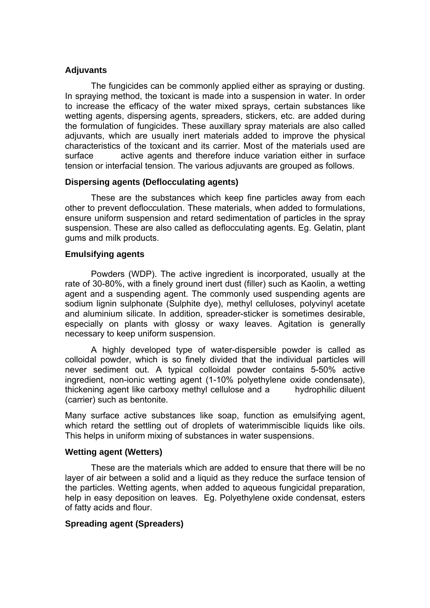## **Adjuvants**

 The fungicides can be commonly applied either as spraying or dusting. In spraying method, the toxicant is made into a suspension in water. In order to increase the efficacy of the water mixed sprays, certain substances like wetting agents, dispersing agents, spreaders, stickers, etc. are added during the formulation of fungicides. These auxillary spray materials are also called adjuvants, which are usually inert materials added to improve the physical characteristics of the toxicant and its carrier. Most of the materials used are surface active agents and therefore induce variation either in surface tension or interfacial tension. The various adjuvants are grouped as follows.

## **Dispersing agents (Deflocculating agents)**

 These are the substances which keep fine particles away from each other to prevent deflocculation. These materials, when added to formulations, ensure uniform suspension and retard sedimentation of particles in the spray suspension. These are also called as deflocculating agents. Eg. Gelatin, plant gums and milk products.

#### **Emulsifying agents**

Powders (WDP). The active ingredient is incorporated, usually at the rate of 30-80%, with a finely ground inert dust (filler) such as Kaolin, a wetting agent and a suspending agent. The commonly used suspending agents are sodium lignin sulphonate (Sulphite dye), methyl celluloses, polyvinyl acetate and aluminium silicate. In addition, spreader-sticker is sometimes desirable, especially on plants with glossy or waxy leaves. Agitation is generally necessary to keep uniform suspension.

 A highly developed type of water-dispersible powder is called as colloidal powder, which is so finely divided that the individual particles will never sediment out. A typical colloidal powder contains 5-50% active ingredient, non-ionic wetting agent (1-10% polyethylene oxide condensate), thickening agent like carboxy methyl cellulose and a hydrophilic diluent (carrier) such as bentonite.

Many surface active substances like soap, function as emulsifying agent, which retard the settling out of droplets of waterimmiscible liquids like oils. This helps in uniform mixing of substances in water suspensions.

#### **Wetting agent (Wetters)**

 These are the materials which are added to ensure that there will be no layer of air between a solid and a liquid as they reduce the surface tension of the particles. Wetting agents, when added to aqueous fungicidal preparation, help in easy deposition on leaves. Eg. Polyethylene oxide condensat, esters of fatty acids and flour.

## **Spreading agent (Spreaders)**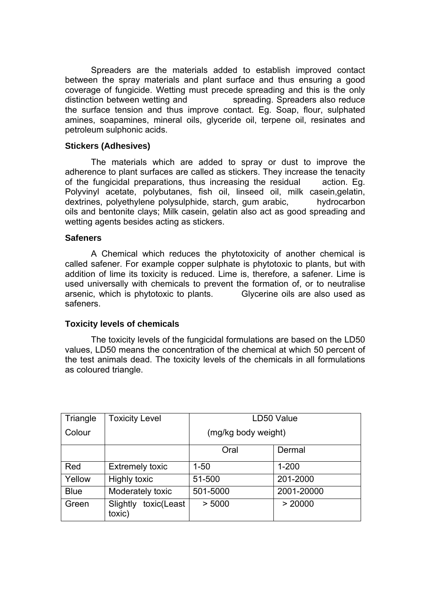Spreaders are the materials added to establish improved contact between the spray materials and plant surface and thus ensuring a good coverage of fungicide. Wetting must precede spreading and this is the only distinction between wetting and spreading. Spreaders also reduce the surface tension and thus improve contact. Eg. Soap, flour, sulphated amines, soapamines, mineral oils, glyceride oil, terpene oil, resinates and petroleum sulphonic acids.

### **Stickers (Adhesives)**

 The materials which are added to spray or dust to improve the adherence to plant surfaces are called as stickers. They increase the tenacity of the fungicidal preparations, thus increasing the residual action. Eg. Polyvinyl acetate, polybutanes, fish oil, linseed oil, milk casein,gelatin, dextrines, polyethylene polysulphide, starch, gum arabic, hydrocarbon oils and bentonite clays; Milk casein, gelatin also act as good spreading and wetting agents besides acting as stickers.

## **Safeners**

 A Chemical which reduces the phytotoxicity of another chemical is called safener. For example copper sulphate is phytotoxic to plants, but with addition of lime its toxicity is reduced. Lime is, therefore, a safener. Lime is used universally with chemicals to prevent the formation of, or to neutralise arsenic, which is phytotoxic to plants. Glycerine oils are also used as safeners.

## **Toxicity levels of chemicals**

 The toxicity levels of the fungicidal formulations are based on the LD50 values, LD50 means the concentration of the chemical at which 50 percent of the test animals dead. The toxicity levels of the chemicals in all formulations as coloured triangle.

| Triangle    | <b>Toxicity Level</b>             | LD50 Value          |            |
|-------------|-----------------------------------|---------------------|------------|
| Colour      |                                   | (mg/kg body weight) |            |
|             |                                   | Oral                | Dermal     |
| Red         | <b>Extremely toxic</b>            | $1 - 50$            | $1 - 200$  |
| Yellow      | Highly toxic                      | 51-500              | 201-2000   |
| <b>Blue</b> | Moderately toxic                  | 501-5000            | 2001-20000 |
| Green       | Slightly<br>toxic(Least<br>toxic) | > 5000              | > 20000    |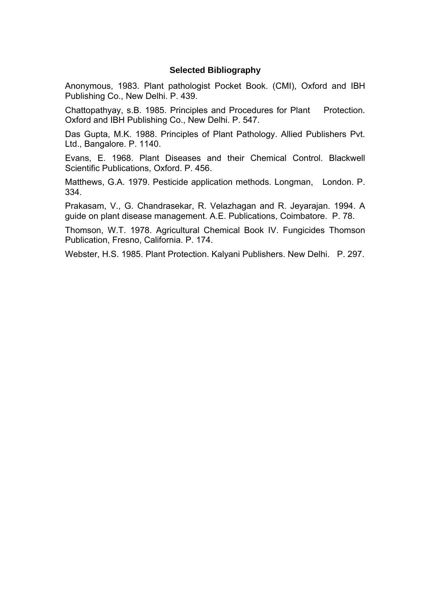### **Selected Bibliography**

Anonymous, 1983. Plant pathologist Pocket Book. (CMI), Oxford and IBH Publishing Co., New Delhi. P. 439.

Chattopathyay, s.B. 1985. Principles and Procedures for Plant Protection. Oxford and IBH Publishing Co., New Delhi. P. 547.

Das Gupta, M.K. 1988. Principles of Plant Pathology. Allied Publishers Pvt. Ltd., Bangalore. P. 1140.

Evans, E. 1968. Plant Diseases and their Chemical Control. Blackwell Scientific Publications, Oxford. P. 456.

Matthews, G.A. 1979. Pesticide application methods. Longman, London. P. 334.

Prakasam, V., G. Chandrasekar, R. Velazhagan and R. Jeyarajan. 1994. A guide on plant disease management. A.E. Publications, Coimbatore. P. 78.

Thomson, W.T. 1978. Agricultural Chemical Book IV. Fungicides Thomson Publication, Fresno, California. P. 174.

Webster, H.S. 1985. Plant Protection. Kalyani Publishers. New Delhi. P. 297.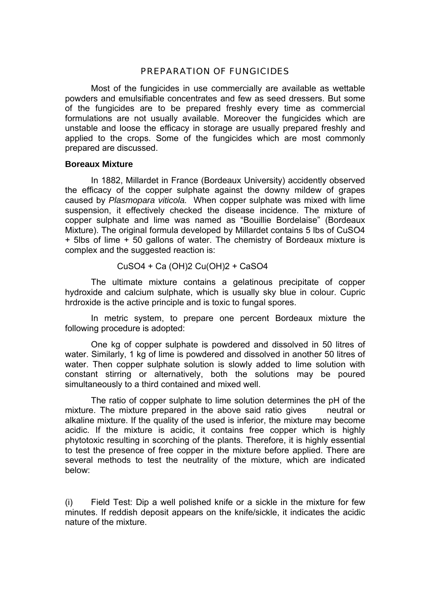## PREPARATION OF FUNGICIDES

 Most of the fungicides in use commercially are available as wettable powders and emulsifiable concentrates and few as seed dressers. But some of the fungicides are to be prepared freshly every time as commercial formulations are not usually available. Moreover the fungicides which are unstable and loose the efficacy in storage are usually prepared freshly and applied to the crops. Some of the fungicides which are most commonly prepared are discussed.

#### **Boreaux Mixture**

 In 1882, Millardet in France (Bordeaux University) accidently observed the efficacy of the copper sulphate against the downy mildew of grapes caused by *Plasmopara viticola.* When copper sulphate was mixed with lime suspension, it effectively checked the disease incidence. The mixture of copper sulphate and lime was named as "Bouillie Bordelaise" (Bordeaux Mixture). The original formula developed by Millardet contains 5 lbs of CuSO4 + 5lbs of lime + 50 gallons of water. The chemistry of Bordeaux mixture is complex and the suggested reaction is:

## CuSO4 + Ca (OH)2 Cu(OH)2 + CaSO4

 The ultimate mixture contains a gelatinous precipitate of copper hydroxide and calcium sulphate, which is usually sky blue in colour. Cupric hrdroxide is the active principle and is toxic to fungal spores.

 In metric system, to prepare one percent Bordeaux mixture the following procedure is adopted:

 One kg of copper sulphate is powdered and dissolved in 50 litres of water. Similarly, 1 kg of lime is powdered and dissolved in another 50 litres of water. Then copper sulphate solution is slowly added to lime solution with constant stirring or alternatively, both the solutions may be poured simultaneously to a third contained and mixed well.

 The ratio of copper sulphate to lime solution determines the pH of the mixture. The mixture prepared in the above said ratio gives neutral or alkaline mixture. If the quality of the used is inferior, the mixture may become acidic. If the mixture is acidic, it contains free copper which is highly phytotoxic resulting in scorching of the plants. Therefore, it is highly essential to test the presence of free copper in the mixture before applied. There are several methods to test the neutrality of the mixture, which are indicated below:

(i) Field Test: Dip a well polished knife or a sickle in the mixture for few minutes. If reddish deposit appears on the knife/sickle, it indicates the acidic nature of the mixture.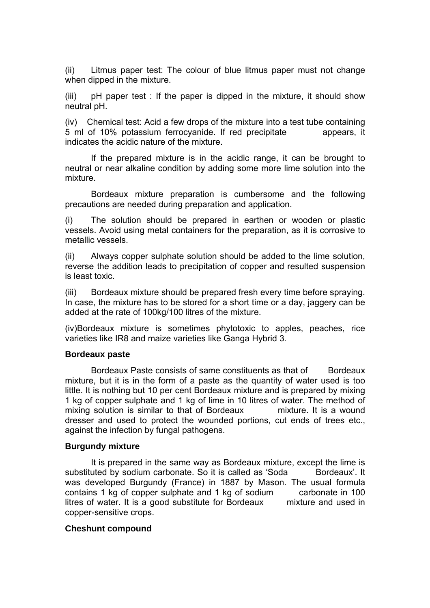(ii) Litmus paper test: The colour of blue litmus paper must not change when dipped in the mixture.

(iii) pH paper test : If the paper is dipped in the mixture, it should show neutral pH.

(iv) Chemical test: Acid a few drops of the mixture into a test tube containing 5 ml of 10% potassium ferrocyanide. If red precipitate appears, it indicates the acidic nature of the mixture.

 If the prepared mixture is in the acidic range, it can be brought to neutral or near alkaline condition by adding some more lime solution into the mixture.

 Bordeaux mixture preparation is cumbersome and the following precautions are needed during preparation and application.

(i) The solution should be prepared in earthen or wooden or plastic vessels. Avoid using metal containers for the preparation, as it is corrosive to metallic vessels.

(ii) Always copper sulphate solution should be added to the lime solution, reverse the addition leads to precipitation of copper and resulted suspension is least toxic.

(iii) Bordeaux mixture should be prepared fresh every time before spraying. In case, the mixture has to be stored for a short time or a day, jaggery can be added at the rate of 100kg/100 litres of the mixture.

(iv)Bordeaux mixture is sometimes phytotoxic to apples, peaches, rice varieties like IR8 and maize varieties like Ganga Hybrid 3.

#### **Bordeaux paste**

Bordeaux Paste consists of same constituents as that of Bordeaux mixture, but it is in the form of a paste as the quantity of water used is too little. It is nothing but 10 per cent Bordeaux mixture and is prepared by mixing 1 kg of copper sulphate and 1 kg of lime in 10 litres of water. The method of mixing solution is similar to that of Bordeaux mixture. It is a wound dresser and used to protect the wounded portions, cut ends of trees etc., against the infection by fungal pathogens.

## **Burgundy mixture**

 It is prepared in the same way as Bordeaux mixture, except the lime is substituted by sodium carbonate. So it is called as 'Soda Bordeaux'. It was developed Burgundy (France) in 1887 by Mason. The usual formula contains 1 kg of copper sulphate and 1 kg of sodium carbonate in 100 litres of water. It is a good substitute for Bordeaux mixture and used in copper-sensitive crops.

#### **Cheshunt compound**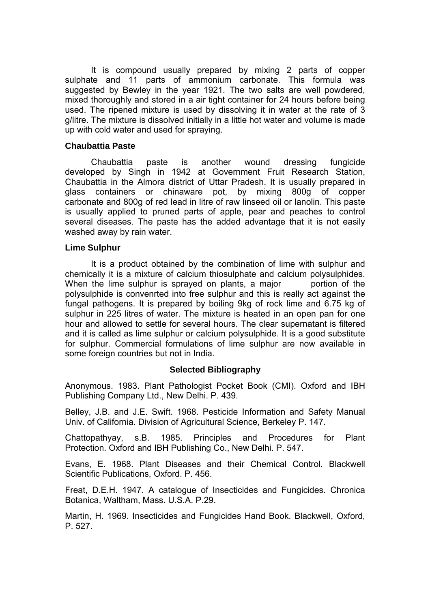It is compound usually prepared by mixing 2 parts of copper sulphate and 11 parts of ammonium carbonate. This formula was suggested by Bewley in the year 1921. The two salts are well powdered, mixed thoroughly and stored in a air tight container for 24 hours before being used. The ripened mixture is used by dissolving it in water at the rate of 3 g/litre. The mixture is dissolved initially in a little hot water and volume is made up with cold water and used for spraying.

#### **Chaubattia Paste**

 Chaubattia paste is another wound dressing fungicide developed by Singh in 1942 at Government Fruit Research Station, Chaubattia in the Almora district of Uttar Pradesh. It is usually prepared in glass containers or chinaware pot, by mixing 800g of copper carbonate and 800g of red lead in litre of raw linseed oil or lanolin. This paste is usually applied to pruned parts of apple, pear and peaches to control several diseases. The paste has the added advantage that it is not easily washed away by rain water.

### **Lime Sulphur**

 It is a product obtained by the combination of lime with sulphur and chemically it is a mixture of calcium thiosulphate and calcium polysulphides. When the lime sulphur is sprayed on plants, a major bortion of the polysulphide is convenrted into free sulphur and this is really act against the fungal pathogens. It is prepared by boiling 9kg of rock lime and 6.75 kg of sulphur in 225 litres of water. The mixture is heated in an open pan for one hour and allowed to settle for several hours. The clear supernatant is filtered and it is called as lime sulphur or calcium polysulphide. It is a good substitute for sulphur. Commercial formulations of lime sulphur are now available in some foreign countries but not in India.

# **Selected Bibliography**

Anonymous. 1983. Plant Pathologist Pocket Book (CMI). Oxford and IBH Publishing Company Ltd., New Delhi. P. 439.

Belley, J.B. and J.E. Swift. 1968. Pesticide Information and Safety Manual Univ. of California. Division of Agricultural Science, Berkeley P. 147.

Chattopathyay, s.B. 1985. Principles and Procedures for Plant Protection. Oxford and IBH Publishing Co., New Delhi. P. 547.

Evans, E. 1968. Plant Diseases and their Chemical Control. Blackwell Scientific Publications, Oxford. P. 456.

Freat, D.E.H. 1947. A catalogue of Insecticides and Fungicides. Chronica Botanica, Waltham, Mass. U.S.A. P.29.

Martin, H. 1969. Insecticides and Fungicides Hand Book. Blackwell, Oxford, P. 527.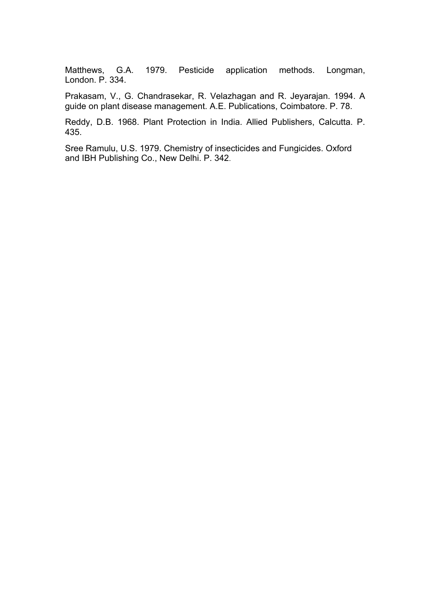Matthews, G.A. 1979. Pesticide application methods. Longman, London. P. 334.

Prakasam, V., G. Chandrasekar, R. Velazhagan and R. Jeyarajan. 1994. A guide on plant disease management. A.E. Publications, Coimbatore. P. 78.

Reddy, D.B. 1968. Plant Protection in India. Allied Publishers, Calcutta. P. 435.

Sree Ramulu, U.S. 1979. Chemistry of insecticides and Fungicides. Oxford and IBH Publishing Co., New Delhi. P. 342.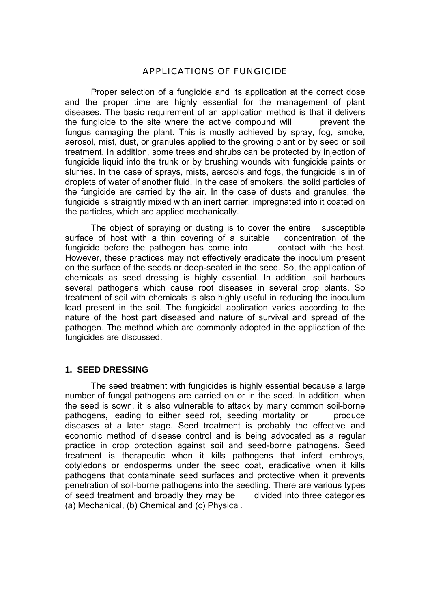### APPLICATIONS OF FUNGICIDE

 Proper selection of a fungicide and its application at the correct dose and the proper time are highly essential for the management of plant diseases. The basic requirement of an application method is that it delivers the fungicide to the site where the active compound will prevent the fungus damaging the plant. This is mostly achieved by spray, fog, smoke, aerosol, mist, dust, or granules applied to the growing plant or by seed or soil treatment. In addition, some trees and shrubs can be protected by injection of fungicide liquid into the trunk or by brushing wounds with fungicide paints or slurries. In the case of sprays, mists, aerosols and fogs, the fungicide is in of droplets of water of another fluid. In the case of smokers, the solid particles of the fungicide are carried by the air. In the case of dusts and granules, the fungicide is straightly mixed with an inert carrier, impregnated into it coated on the particles, which are applied mechanically.

 The object of spraying or dusting is to cover the entire susceptible surface of host with a thin covering of a suitable concentration of the fungicide before the pathogen has come into contact with the host. However, these practices may not effectively eradicate the inoculum present on the surface of the seeds or deep-seated in the seed. So, the application of chemicals as seed dressing is highly essential. In addition, soil harbours several pathogens which cause root diseases in several crop plants. So treatment of soil with chemicals is also highly useful in reducing the inoculum load present in the soil. The fungicidal application varies according to the nature of the host part diseased and nature of survival and spread of the pathogen. The method which are commonly adopted in the application of the fungicides are discussed.

#### **1. SEED DRESSING**

 The seed treatment with fungicides is highly essential because a large number of fungal pathogens are carried on or in the seed. In addition, when the seed is sown, it is also vulnerable to attack by many common soil-borne pathogens, leading to either seed rot, seeding mortality or produce diseases at a later stage. Seed treatment is probably the effective and economic method of disease control and is being advocated as a regular practice in crop protection against soil and seed-borne pathogens. Seed treatment is therapeutic when it kills pathogens that infect embroys, cotyledons or endosperms under the seed coat, eradicative when it kills pathogens that contaminate seed surfaces and protective when it prevents penetration of soil-borne pathogens into the seedling. There are various types of seed treatment and broadly they may be divided into three categories (a) Mechanical, (b) Chemical and (c) Physical.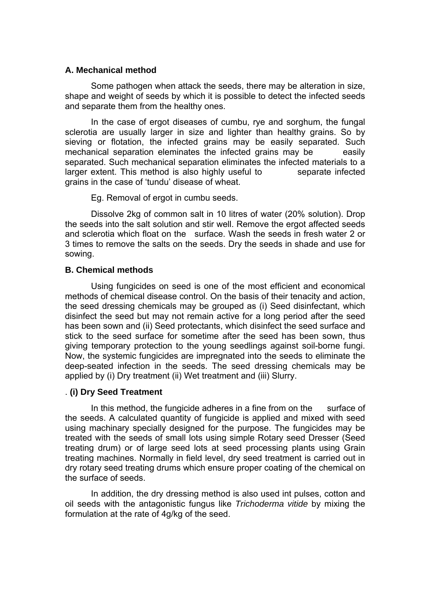#### **A. Mechanical method**

 Some pathogen when attack the seeds, there may be alteration in size, shape and weight of seeds by which it is possible to detect the infected seeds and separate them from the healthy ones.

 In the case of ergot diseases of cumbu, rye and sorghum, the fungal sclerotia are usually larger in size and lighter than healthy grains. So by sieving or flotation, the infected grains may be easily separated. Such mechanical separation eleminates the infected grains may be easily separated. Such mechanical separation eliminates the infected materials to a larger extent. This method is also highly useful to separate infected grains in the case of 'tundu' disease of wheat.

Eg. Removal of ergot in cumbu seeds.

 Dissolve 2kg of common salt in 10 litres of water (20% solution). Drop the seeds into the salt solution and stir well. Remove the ergot affected seeds and sclerotia which float on the surface. Wash the seeds in fresh water 2 or 3 times to remove the salts on the seeds. Dry the seeds in shade and use for sowing.

# **B. Chemical methods**

Using fungicides on seed is one of the most efficient and economical methods of chemical disease control. On the basis of their tenacity and action, the seed dressing chemicals may be grouped as (i) Seed disinfectant, which disinfect the seed but may not remain active for a long period after the seed has been sown and (ii) Seed protectants, which disinfect the seed surface and stick to the seed surface for sometime after the seed has been sown, thus giving temporary protection to the young seedlings against soil-borne fungi. Now, the systemic fungicides are impregnated into the seeds to eliminate the deep-seated infection in the seeds. The seed dressing chemicals may be applied by (i) Dry treatment (ii) Wet treatment and (iii) Slurry.

# . **(i) Dry Seed Treatment**

In this method, the fungicide adheres in a fine from on the surface of the seeds. A calculated quantity of fungicide is applied and mixed with seed using machinary specially designed for the purpose. The fungicides may be treated with the seeds of small lots using simple Rotary seed Dresser (Seed treating drum) or of large seed lots at seed processing plants using Grain treating machines. Normally in field level, dry seed treatment is carried out in dry rotary seed treating drums which ensure proper coating of the chemical on the surface of seeds.

 In addition, the dry dressing method is also used int pulses, cotton and oil seeds with the antagonistic fungus like *Trichoderma vitide* by mixing the formulation at the rate of 4g/kg of the seed.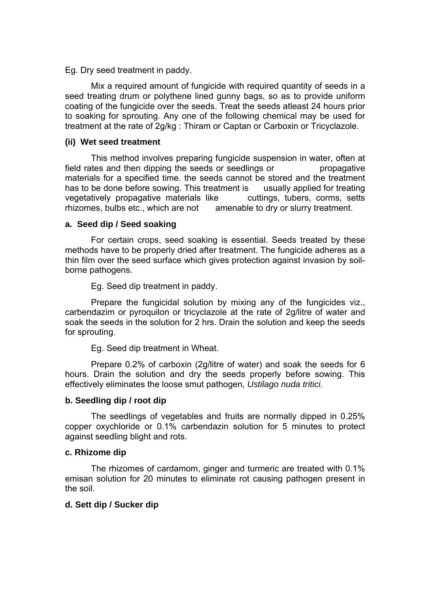Eg. Dry seed treatment in paddy.

 Mix a required amount of fungicide with required quantity of seeds in a seed treating drum or polythene lined gunny bags, so as to provide uniform coating of the fungicide over the seeds. Treat the seeds atleast 24 hours prior to soaking for sprouting. Any one of the following chemical may be used for treatment at the rate of 2g/kg : Thiram or Captan or Carboxin or Tricyclazole.

#### **(ii) Wet seed treatment**

 This method involves preparing fungicide suspension in water, often at field rates and then dipping the seeds or seedlings or propagative materials for a specified time. the seeds cannot be stored and the treatment has to be done before sowing. This treatment is usually applied for treating vegetatively propagative materials like cuttings, tubers, corms, setts rhizomes, bulbs etc., which are not amenable to dry or slurry treatment.

#### **a. Seed dip / Seed soaking**

 For certain crops, seed soaking is essential. Seeds treated by these methods have to be properly dried after treatment. The fungicide adheres as a thin film over the seed surface which gives protection against invasion by soilborne pathogens.

Eg. Seed dip treatment in paddy.

 Prepare the fungicidal solution by mixing any of the fungicides viz., carbendazim or pyroquilon or tricyclazole at the rate of 2g/litre of water and soak the seeds in the solution for 2 hrs. Drain the solution and keep the seeds for sprouting.

Eg. Seed dip treatment in Wheat.

 Prepare 0.2% of carboxin (2g/litre of water) and soak the seeds for 6 hours. Drain the solution and dry the seeds properly before sowing. This effectively eliminates the loose smut pathogen, *Ustilago nuda tritici.* 

#### **b. Seedling dip / root dip**

The seedlings of vegetables and fruits are normally dipped in 0.25% copper oxychloride or 0.1% carbendazin solution for 5 minutes to protect against seedling blight and rots.

#### **c. Rhizome dip**

 The rhizomes of cardamom, ginger and turmeric are treated with 0.1% emisan solution for 20 minutes to eliminate rot causing pathogen present in the soil.

#### **d. Sett dip / Sucker dip**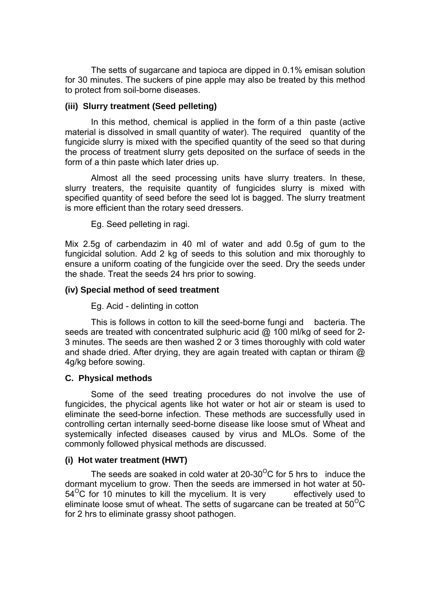The setts of sugarcane and tapioca are dipped in 0.1% emisan solution for 30 minutes. The suckers of pine apple may also be treated by this method to protect from soil-borne diseases.

#### **(iii) Slurry treatment (Seed pelleting)**

 In this method, chemical is applied in the form of a thin paste (active material is dissolved in small quantity of water). The required quantity of the fungicide slurry is mixed with the specified quantity of the seed so that during the process of treatment slurry gets deposited on the surface of seeds in the form of a thin paste which later dries up.

 Almost all the seed processing units have slurry treaters. In these, slurry treaters, the requisite quantity of fungicides slurry is mixed with specified quantity of seed before the seed lot is bagged. The slurry treatment is more efficient than the rotary seed dressers.

Eg. Seed pelleting in ragi.

Mix 2.5g of carbendazim in 40 ml of water and add 0.5g of gum to the fungicidal solution. Add 2 kg of seeds to this solution and mix thoroughly to ensure a uniform coating of the fungicide over the seed. Dry the seeds under the shade. Treat the seeds 24 hrs prior to sowing.

### **(iv) Special method of seed treatment**

Eg. Acid - delinting in cotton

 This is follows in cotton to kill the seed-borne fungi and bacteria. The seeds are treated with concentrated sulphuric acid @ 100 ml/kg of seed for 2-3 minutes. The seeds are then washed 2 or 3 times thoroughly with cold water and shade dried. After drying, they are again treated with captan or thiram  $\omega$ 4g/kg before sowing.

#### **C. Physical methods**

 Some of the seed treating procedures do not involve the use of fungicides, the phycical agents like hot water or hot air or steam is used to eliminate the seed-borne infection. These methods are successfully used in controlling certan internally seed-borne disease like loose smut of Wheat and systemically infected diseases caused by virus and MLOs. Some of the commonly followed physical methods are discussed.

#### **(i) Hot water treatment (HWT)**

The seeds are soaked in cold water at 20-30<sup>o</sup>C for 5 hrs to induce the dormant mycelium to grow. Then the seeds are immersed in hot water at 50-  $54<sup>o</sup>C$  for 10 minutes to kill the mycelium. It is very effectively used to eliminate loose smut of wheat. The setts of sugarcane can be treated at  $50^{\circ}$ C for 2 hrs to eliminate grassy shoot pathogen.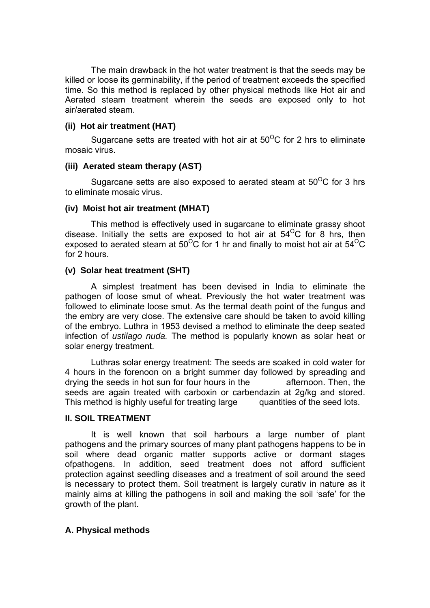The main drawback in the hot water treatment is that the seeds may be killed or loose its germinability, if the period of treatment exceeds the specified time. So this method is replaced by other physical methods like Hot air and Aerated steam treatment wherein the seeds are exposed only to hot air/aerated steam.

#### **(ii) Hot air treatment (HAT)**

Sugarcane setts are treated with hot air at  $50^{\circ}$ C for 2 hrs to eliminate mosaic virus.

### **(iii) Aerated steam therapy (AST)**

Sugarcane setts are also exposed to aerated steam at  $50^{\circ}$ C for 3 hrs to eliminate mosaic virus.

### **(iv) Moist hot air treatment (MHAT)**

 This method is effectively used in sugarcane to eliminate grassy shoot disease. Initially the setts are exposed to hot air at  $54^{\circ}$ C for 8 hrs, then exposed to aerated steam at  $50^{\circ}$ C for 1 hr and finally to moist hot air at  $54^{\circ}$ C for 2 hours.

### **(v) Solar heat treatment (SHT)**

 A simplest treatment has been devised in India to eliminate the pathogen of loose smut of wheat. Previously the hot water treatment was followed to eliminate loose smut. As the termal death point of the fungus and the embry are very close. The extensive care should be taken to avoid killing of the embryo. Luthra in 1953 devised a method to eliminate the deep seated infection of *ustilago nuda.* The method is popularly known as solar heat or solar energy treatment.

 Luthras solar energy treatment: The seeds are soaked in cold water for 4 hours in the forenoon on a bright summer day followed by spreading and drying the seeds in hot sun for four hours in the afternoon. Then, the seeds are again treated with carboxin or carbendazin at 2g/kg and stored. This method is highly useful for treating large quantities of the seed lots.

# **II. SOIL TREATMENT**

 It is well known that soil harbours a large number of plant pathogens and the primary sources of many plant pathogens happens to be in soil where dead organic matter supports active or dormant stages ofpathogens. In addition, seed treatment does not afford sufficient protection against seedling diseases and a treatment of soil around the seed is necessary to protect them. Soil treatment is largely curativ in nature as it mainly aims at killing the pathogens in soil and making the soil 'safe' for the growth of the plant.

# **A. Physical methods**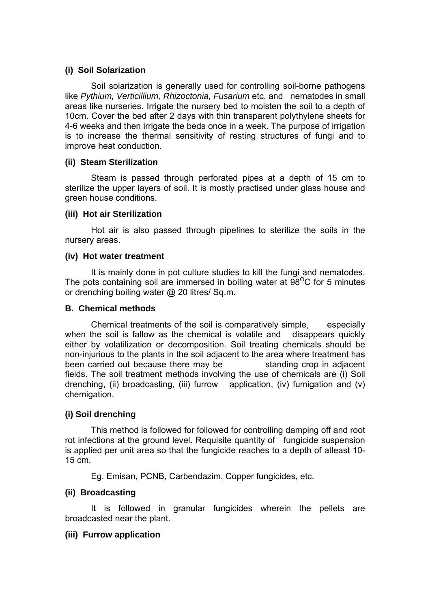### **(i) Soil Solarization**

 Soil solarization is generally used for controlling soil-borne pathogens like *Pythium, Verticillium, Rhizoctonia, Fusarium* etc. and nematodes in small areas like nurseries. Irrigate the nursery bed to moisten the soil to a depth of 10cm. Cover the bed after 2 days with thin transparent polythylene sheets for 4-6 weeks and then irrigate the beds once in a week. The purpose of irrigation is to increase the thermal sensitivity of resting structures of fungi and to improve heat conduction.

### **(ii) Steam Sterilization**

 Steam is passed through perforated pipes at a depth of 15 cm to sterilize the upper layers of soil. It is mostly practised under glass house and green house conditions.

### **(iii) Hot air Sterilization**

 Hot air is also passed through pipelines to sterilize the soils in the nursery areas.

### **(iv) Hot water treatment**

 It is mainly done in pot culture studies to kill the fungi and nematodes. The pots containing soil are immersed in boiling water at  $98^{\circ}$ C for 5 minutes or drenching boiling water @ 20 litres/ Sq.m.

#### **B. Chemical methods**

 Chemical treatments of the soil is comparatively simple, especially when the soil is fallow as the chemical is volatile and disappears quickly either by volatilization or decomposition. Soil treating chemicals should be non-injurious to the plants in the soil adjacent to the area where treatment has been carried out because there may be standing crop in adjacent fields. The soil treatment methods involving the use of chemicals are (i) Soil drenching, (ii) broadcasting, (iii) furrow application, (iv) fumigation and (v) chemigation.

# **(i) Soil drenching**

 This method is followed for followed for controlling damping off and root rot infections at the ground level. Requisite quantity of fungicide suspension is applied per unit area so that the fungicide reaches to a depth of atleast 10- 15 cm.

Eg. Emisan, PCNB, Carbendazim, Copper fungicides, etc.

# **(ii) Broadcasting**

 It is followed in granular fungicides wherein the pellets are broadcasted near the plant.

#### **(iii) Furrow application**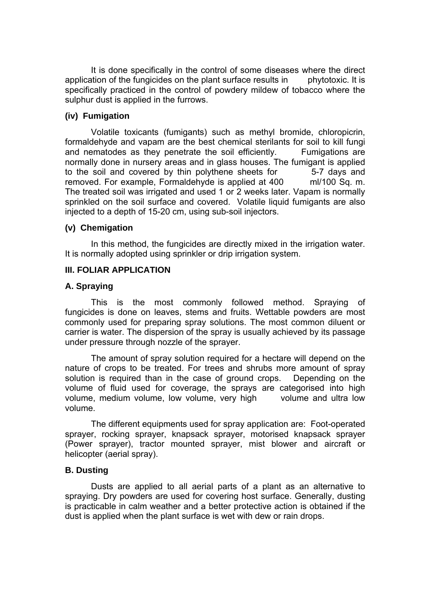It is done specifically in the control of some diseases where the direct application of the fungicides on the plant surface results in phytotoxic. It is specifically practiced in the control of powdery mildew of tobacco where the sulphur dust is applied in the furrows.

### **(iv) Fumigation**

 Volatile toxicants (fumigants) such as methyl bromide, chloropicrin, formaldehyde and vapam are the best chemical sterilants for soil to kill fungi and nematodes as they penetrate the soil efficiently. Fumigations are normally done in nursery areas and in glass houses. The fumigant is applied to the soil and covered by thin polythene sheets for 5-7 days and removed. For example, Formaldehyde is applied at 400 ml/100 Sq. m. The treated soil was irrigated and used 1 or 2 weeks later. Vapam is normally sprinkled on the soil surface and covered. Volatile liquid fumigants are also injected to a depth of 15-20 cm, using sub-soil injectors.

### **(v) Chemigation**

 In this method, the fungicides are directly mixed in the irrigation water. It is normally adopted using sprinkler or drip irrigation system.

### **III. FOLIAR APPLICATION**

### **A. Spraying**

 This is the most commonly followed method. Spraying of fungicides is done on leaves, stems and fruits. Wettable powders are most commonly used for preparing spray solutions. The most common diluent or carrier is water. The dispersion of the spray is usually achieved by its passage under pressure through nozzle of the sprayer.

 The amount of spray solution required for a hectare will depend on the nature of crops to be treated. For trees and shrubs more amount of spray solution is required than in the case of ground crops. Depending on the volume of fluid used for coverage, the sprays are categorised into high volume, medium volume, low volume, very high volume and ultra low volume.

 The different equipments used for spray application are: Foot-operated sprayer, rocking sprayer, knapsack sprayer, motorised knapsack sprayer (Power sprayer), tractor mounted sprayer, mist blower and aircraft or helicopter (aerial spray).

#### **B. Dusting**

 Dusts are applied to all aerial parts of a plant as an alternative to spraying. Dry powders are used for covering host surface. Generally, dusting is practicable in calm weather and a better protective action is obtained if the dust is applied when the plant surface is wet with dew or rain drops.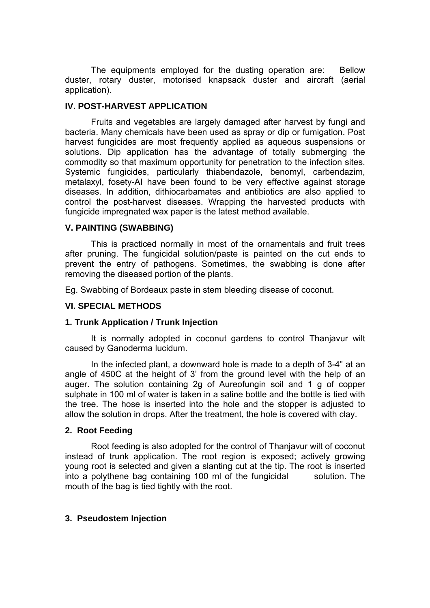The equipments employed for the dusting operation are: Bellow duster, rotary duster, motorised knapsack duster and aircraft (aerial application).

#### **IV. POST-HARVEST APPLICATION**

 Fruits and vegetables are largely damaged after harvest by fungi and bacteria. Many chemicals have been used as spray or dip or fumigation. Post harvest fungicides are most frequently applied as aqueous suspensions or solutions. Dip application has the advantage of totally submerging the commodity so that maximum opportunity for penetration to the infection sites. Systemic fungicides, particularly thiabendazole, benomyl, carbendazim, metalaxyl, fosety-AI have been found to be very effective against storage diseases. In addition, dithiocarbamates and antibiotics are also applied to control the post-harvest diseases. Wrapping the harvested products with fungicide impregnated wax paper is the latest method available.

### **V. PAINTING (SWABBING)**

 This is practiced normally in most of the ornamentals and fruit trees after pruning. The fungicidal solution/paste is painted on the cut ends to prevent the entry of pathogens. Sometimes, the swabbing is done after removing the diseased portion of the plants.

Eg. Swabbing of Bordeaux paste in stem bleeding disease of coconut.

#### **VI. SPECIAL METHODS**

#### **1. Trunk Application / Trunk Injection**

 It is normally adopted in coconut gardens to control Thanjavur wilt caused by Ganoderma lucidum.

 In the infected plant, a downward hole is made to a depth of 3-4" at an angle of 450C at the height of 3' from the ground level with the help of an auger. The solution containing 2g of Aureofungin soil and 1 g of copper sulphate in 100 ml of water is taken in a saline bottle and the bottle is tied with the tree. The hose is inserted into the hole and the stopper is adjusted to allow the solution in drops. After the treatment, the hole is covered with clay.

#### **2. Root Feeding**

 Root feeding is also adopted for the control of Thanjavur wilt of coconut instead of trunk application. The root region is exposed; actively growing young root is selected and given a slanting cut at the tip. The root is inserted into a polythene bag containing 100 ml of the fungicidal solution. The mouth of the bag is tied tightly with the root.

# **3. Pseudostem Injection**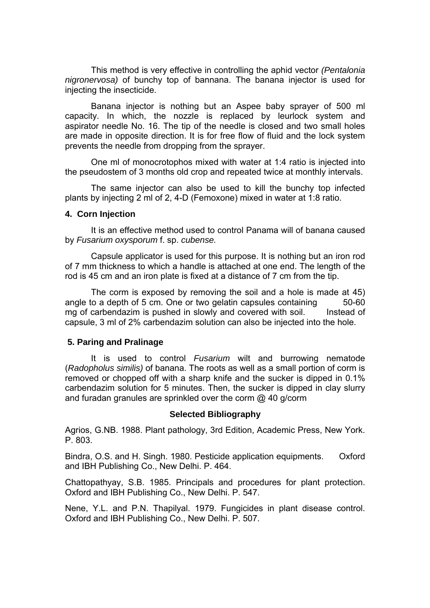This method is very effective in controlling the aphid vector *(Pentalonia nigronervosa)* of bunchy top of bannana. The banana injector is used for injecting the insecticide.

 Banana injector is nothing but an Aspee baby sprayer of 500 ml capacity. In which, the nozzle is replaced by leurlock system and aspirator needle No. 16. The tip of the needle is closed and two small holes are made in opposite direction. It is for free flow of fluid and the lock system prevents the needle from dropping from the sprayer.

 One ml of monocrotophos mixed with water at 1:4 ratio is injected into the pseudostem of 3 months old crop and repeated twice at monthly intervals.

 The same injector can also be used to kill the bunchy top infected plants by injecting 2 ml of 2, 4-D (Femoxone) mixed in water at 1:8 ratio.

#### **4. Corn Injection**

 It is an effective method used to control Panama will of banana caused by *Fusarium oxysporum* f. sp. *cubense.* 

Capsule applicator is used for this purpose. It is nothing but an iron rod of 7 mm thickness to which a handle is attached at one end. The length of the rod is 45 cm and an iron plate is fixed at a distance of 7 cm from the tip.

 The corm is exposed by removing the soil and a hole is made at 45) angle to a depth of 5 cm. One or two gelatin capsules containing 50-60 mg of carbendazim is pushed in slowly and covered with soil. Instead of capsule, 3 ml of 2% carbendazim solution can also be injected into the hole.

#### **5. Paring and Pralinage**

 It is used to control *Fusarium* wilt and burrowing nematode (*Radopholus similis)* of banana. The roots as well as a small portion of corm is removed or chopped off with a sharp knife and the sucker is dipped in 0.1% carbendazim solution for 5 minutes. Then, the sucker is dipped in clay slurry and furadan granules are sprinkled over the corm @ 40 g/corm

#### **Selected Bibliography**

Agrios, G.NB. 1988. Plant pathology, 3rd Edition, Academic Press, New York. P. 803.

Bindra, O.S. and H. Singh. 1980. Pesticide application equipments. Oxford and IBH Publishing Co., New Delhi. P. 464.

Chattopathyay, S.B. 1985. Principals and procedures for plant protection. Oxford and IBH Publishing Co., New Delhi. P. 547.

Nene, Y.L. and P.N. Thapilyal. 1979. Fungicides in plant disease control. Oxford and IBH Publishing Co., New Delhi. P. 507.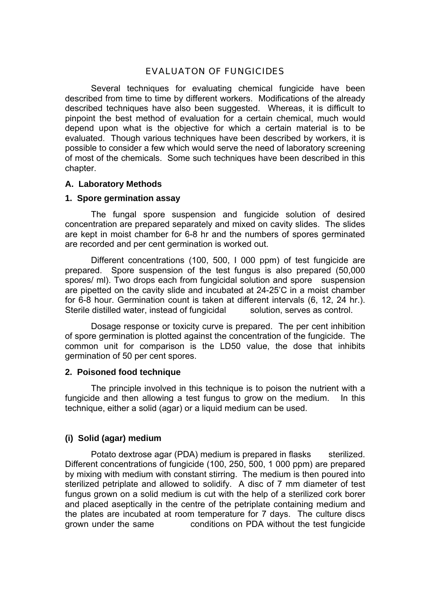# EVALUATON OF FUNGICIDES

 Several techniques for evaluating chemical fungicide have been described from time to time by different workers. Modifications of the already described techniques have also been suggested. Whereas, it is difficult to pinpoint the best method of evaluation for a certain chemical, much would depend upon what is the objective for which a certain material is to be evaluated. Though various techniques have been described by workers, it is possible to consider a few which would serve the need of laboratory screening of most of the chemicals. Some such techniques have been described in this chapter.

#### **A. Laboratory Methods**

#### **1. Spore germination assay**

 The fungal spore suspension and fungicide solution of desired concentration are prepared separately and mixed on cavity slides. The slides are kept in moist chamber for 6-8 hr and the numbers of spores germinated are recorded and per cent germination is worked out.

 Different concentrations (100, 500, I 000 ppm) of test fungicide are prepared. Spore suspension of the test fungus is also prepared (50,000 spores/ ml). Two drops each from fungicidal solution and spore suspension are pipetted on the cavity slide and incubated at 24-25'C in a moist chamber for 6-8 hour. Germination count is taken at different intervals (6, 12, 24 hr.). Sterile distilled water, instead of fungicidal solution, serves as control.

 Dosage response or toxicity curve is prepared. The per cent inhibition of spore germination is plotted against the concentration of the fungicide. The common unit for comparison is the LD50 value, the dose that inhibits germination of 50 per cent spores.

#### **2. Poisoned food technique**

 The principle involved in this technique is to poison the nutrient with a fungicide and then allowing a test fungus to grow on the medium. In this technique, either a solid (agar) or a liquid medium can be used.

#### **(i) Solid (agar) medium**

Potato dextrose agar (PDA) medium is prepared in flasks sterilized. Different concentrations of fungicide (100, 250, 500, 1 000 ppm) are prepared by mixing with medium with constant stirring. The medium is then poured into sterilized petriplate and allowed to solidify. A disc of 7 mm diameter of test fungus grown on a solid medium is cut with the help of a sterilized cork borer and placed aseptically in the centre of the petriplate containing medium and the plates are incubated at room temperature for 7 days. The culture discs grown under the same conditions on PDA without the test fungicide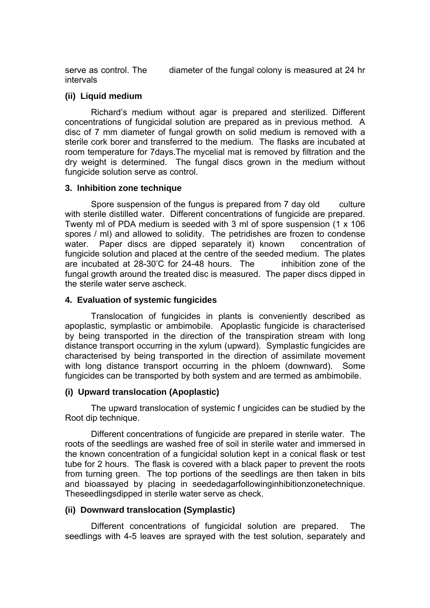serve as control. The diameter of the fungal colony is measured at 24 hr intervals

### **(ii) Liquid medium**

 Richard's medium without agar is prepared and sterilized. Different concentrations of fungicidal solution are prepared as in previous method. A disc of 7 mm diameter of fungal growth on solid medium is removed with a sterile cork borer and transferred to the medium. The flasks are incubated at room temperature for 7days.The mycelial mat is removed by filtration and the dry weight is determined. The fungal discs grown in the medium without fungicide solution serve as control.

### **3. lnhibition zone technique**

Spore suspension of the fungus is prepared from 7 day old culture with sterile distilled water. Different concentrations of fungicide are prepared. Twenty ml of PDA medium is seeded with 3 ml of spore suspension (1 x 106 spores / ml) and allowed to solidity. The petridishes are frozen to condense water. Paper discs are dipped separately it) known concentration of fungicide solution and placed at the centre of the seeded medium. The plates are incubated at 28-30'C for 24-48 hours. The inhibition zone of the fungal growth around the treated disc is measured. The paper discs dipped in the sterile water serve ascheck.

### **4. Evaluation of systemic fungicides**

 Translocation of fungicides in plants is conveniently described as apoplastic, symplastic or ambimobile. Apoplastic fungicide is characterised by being transported in the direction of the transpiration stream with long distance transport occurring in the xylum (upward). Symplastic fungicides are characterised by being transported in the direction of assimilate movement with long distance transport occurring in the phloem (downward). Some fungicides can be transported by both system and are termed as ambimobile.

# **(i) Upward translocation (Apoplastic)**

 The upward translocation of systemic f ungicides can be studied by the Root dip technique.

 Different concentrations of fungicide are prepared in sterile water. The roots of the seedlings are washed free of soil in sterile water and immersed in the known concentration of a fungicidal solution kept in a conical flask or test tube for 2 hours. The flask is covered with a black paper to prevent the roots from turning green. The top portions of the seedlings are then taken in bits and bioassayed by placing in seededagarfollowinginhibitionzonetechnique. Theseedlingsdipped in sterile water serve as check.

# **(ii) Downward translocation (Symplastic)**

 Different concentrations of fungicidal solution are prepared. The seedlings with 4-5 leaves are sprayed with the test solution, separately and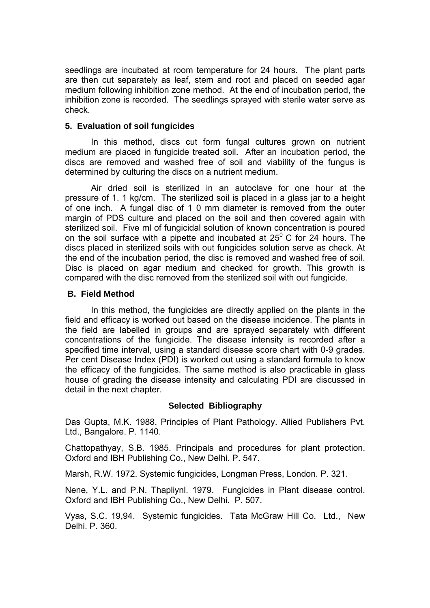seedlings are incubated at room temperature for 24 hours. The plant parts are then cut separately as leaf, stem and root and placed on seeded agar medium following inhibition zone method. At the end of incubation period, the inhibition zone is recorded. The seedlings sprayed with sterile water serve as check.

# **5. Evaluation of soil fungicides**

 In this method, discs cut form fungal cultures grown on nutrient medium are placed in fungicide treated soil. After an incubation period, the discs are removed and washed free of soil and viability of the fungus is determined by culturing the discs on a nutrient medium.

 Air dried soil is sterilized in an autoclave for one hour at the pressure of 1. 1 kg/cm. The sterilized soil is placed in a glass jar to a height of one inch. A fungal disc of 1 0 mm diameter is removed from the outer margin of PDS culture and placed on the soil and then covered again with sterilized soil. Five ml of fungicidal solution of known concentration is poured on the soil surface with a pipette and incubated at  $25^{\circ}$  C for 24 hours. The discs placed in sterilized soils with out fungicides solution serve as check. At the end of the incubation period, the disc is removed and washed free of soil. Disc is placed on agar medium and checked for growth. This growth is compared with the disc removed from the sterilized soil with out fungicide.

### **B. Field Method**

 In this method, the fungicides are directly applied on the plants in the field and efficacy is worked out based on the disease incidence. The plants in the field are labelled in groups and are sprayed separately with different concentrations of the fungicide. The disease intensity is recorded after a specified time interval, using a standard disease score chart with 0-9 grades. Per cent Disease Index (PDI) is worked out using a standard formula to know the efficacy of the fungicides. The same method is also practicable in glass house of grading the disease intensity and calculating PDI are discussed in detail in the next chapter.

#### **Selected Bibliography**

Das Gupta, M.K. 1988. Principles of Plant Pathology. Allied Publishers Pvt. Ltd., Bangalore. P. 1140.

Chattopathyay, S.B. 1985. Principals and procedures for plant protection. Oxford and IBH Publishing Co., New Delhi. P. 547.

Marsh, R.W. 1972. Systemic fungicides, Longman Press, London. P. 321.

Nene, Y.L. and P.N. Thapliynl. 1979. Fungicides in Plant disease control. Oxford and IBH Publishing Co., New Delhi. P. 507.

Vyas, S.C. 19,94. Systemic fungicides. Tata McGraw Hill Co. Ltd., New Delhi. P. 360.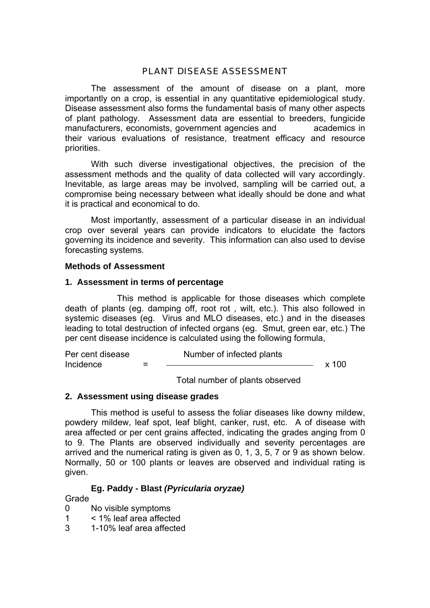# PLANT DISEASE ASSESSMENT

The assessment of the amount of disease on a plant, more importantly on a crop, is essential in any quantitative epidemiological study. Disease assessment also forms the fundamental basis of many other aspects of plant pathology. Assessment data are essential to breeders, fungicide manufacturers, economists, government agencies and academics in their various evaluations of resistance, treatment efficacy and resource priorities.

With such diverse investigational objectives, the precision of the assessment methods and the quality of data collected will vary accordingly. Inevitable, as large areas may be involved, sampling will be carried out, a compromise being necessary between what ideally should be done and what it is practical and economical to do.

Most importantly, assessment of a particular disease in an individual crop over several years can provide indicators to elucidate the factors governing its incidence and severity. This information can also used to devise forecasting systems.

### **Methods of Assessment**

### **1. Assessment in terms of percentage**

This method is applicable for those diseases which complete death of plants (eg. damping off, root rot , wilt, etc.). This also followed in systemic diseases (eg. Virus and MLO diseases, etc.) and in the diseases leading to total destruction of infected organs (eg. Smut, green ear, etc.) The per cent disease incidence is calculated using the following formula,

Per cent disease Number of infected plants  $Incidence = 200$ 

Total number of plants observed

# **2. Assessment using disease grades**

This method is useful to assess the foliar diseases like downy mildew, powdery mildew, leaf spot, leaf blight, canker, rust, etc. A of disease with area affected or per cent grains affected, indicating the grades anging from 0 to 9. The Plants are observed individually and severity percentages are arrived and the numerical rating is given as 0, 1, 3, 5, 7 or 9 as shown below. Normally, 50 or 100 plants or leaves are observed and individual rating is given.

# **Eg. Paddy - Blast** *(Pyricularia oryzae)*

#### Grade

- 0 No visible symptoms
- 1 < 1% leaf area affected
- 3 1-10% leaf area affected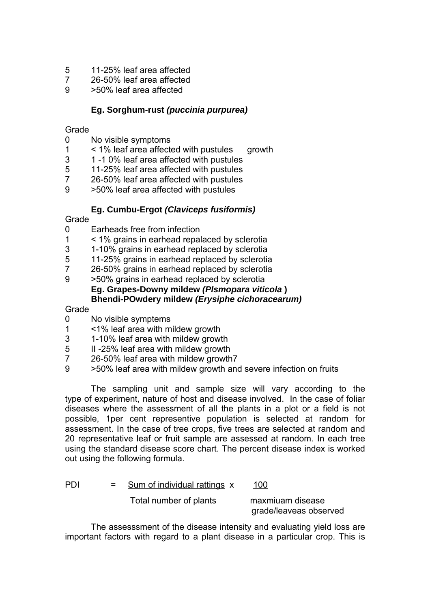- 5 11-25% leaf area affected
- 7 26-50% leaf area affected
- 9 >50% leaf area affected

# **Eg. Sorghum-rust** *(puccinia purpurea)*

### Grade

- 0 No visible symptoms
- 1 < 1% leaf area affected with pustules growth
- 3 1 -1 0% leaf area affected with pustules
- 5 11-25% leaf area affected with pustules
- 7 26-50% leaf area affected with pustules
- 9 >50% leaf area affected with pustules

# **Eg. Cumbu-Ergot** *(Claviceps fusiformis)*

# Grade

- 0 Earheads free from infection
- 1 < 1% grains in earhead repalaced by sclerotia
- 3 1-10% grains in earhead replaced by sclerotia<br>5 11-25% grains in earhead replaced by sclerotia
- 11-25% grains in earhead replaced by sclerotia
- 7 26-50% grains in earhead replaced by sclerotia
- 9 >50% grains in earhead replaced by sclerotia  **Eg. Grapes-Downy mildew** *(Plsmopara viticola* **) Bhendi-POwdery mildew** *(Erysiphe cichoracearum)*

# Grade

- 0 No visible symptems
- 1 <1% leaf area with mildew growth
- 3 1-10% leaf area with mildew growth
- 5 II -25% leaf area with mildew growth
- 7 26-50% leaf area with mildew growth7
- 9 >50% leaf area with mildew growth and severe infection on fruits

The sampling unit and sample size will vary according to the type of experiment, nature of host and disease involved. In the case of foliar diseases where the assessment of all the plants in a plot or a field is not possible, 1per cent representive population is selected at random for assessment. In the case of tree crops, five trees are selected at random and 20 representative leaf or fruit sample are assessed at random. In each tree using the standard disease score chart. The percent disease index is worked out using the following formula.

PDI = Sum of individual rattings x 100

Total number of plants maxmiuam disease

grade/leaveas observed

The assesssment of the disease intensity and evaluating yield loss are important factors with regard to a plant disease in a particular crop. This is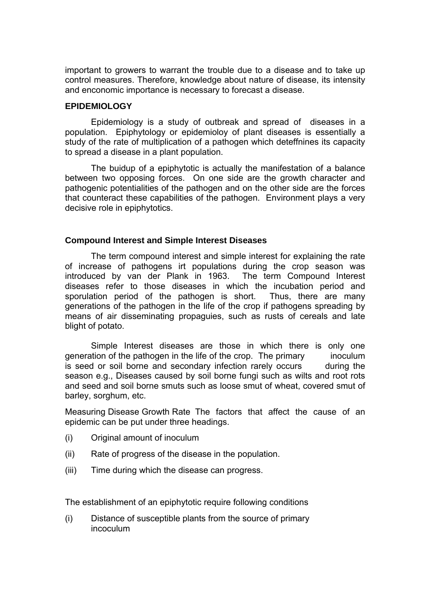important to growers to warrant the trouble due to a disease and to take up control measures. Therefore, knowledge about nature of disease, its intensity and enconomic importance is necessary to forecast a disease.

#### **EPIDEMIOLOGY**

 Epidemiology is a study of outbreak and spread of diseases in a population. Epiphytology or epidemioloy of plant diseases is essentially a study of the rate of multiplication of a pathogen which deteffnines its capacity to spread a disease in a plant population.

 The buidup of a epiphytotic is actually the manifestation of a balance between two opposing forces. On one side are the growth character and pathogenic potentialities of the pathogen and on the other side are the forces that counteract these capabilities of the pathogen. Environment plays a very decisive role in epiphytotics.

#### **Compound Interest and Simple Interest Diseases**

 The term compound interest and simple interest for explaining the rate of increase of pathogens irt populations during the crop season was introduced by van der Plank in 1963. The term Compound Interest diseases refer to those diseases in which the incubation period and sporulation period of the pathogen is short. Thus, there are many generations of the pathogen in the life of the crop if pathogens spreading by means of air disseminating propaguies, such as rusts of cereals and late blight of potato.

Simple Interest diseases are those in which there is only one generation of the pathogen in the life of the crop. The primary inoculum is seed or soil borne and secondary infection rarely occurs during the season e.g., Diseases caused by soil borne fungi such as wilts and root rots and seed and soil borne smuts such as loose smut of wheat, covered smut of barley, sorghum, etc.

Measuring Disease Growth Rate The factors that affect the cause of an epidemic can be put under three headings.

- (i) Original amount of inoculum
- (ii) Rate of progress of the disease in the population.
- (iii) Time during which the disease can progress.

The establishment of an epiphytotic require following conditions

(i) Distance of susceptible plants from the source of primary incoculum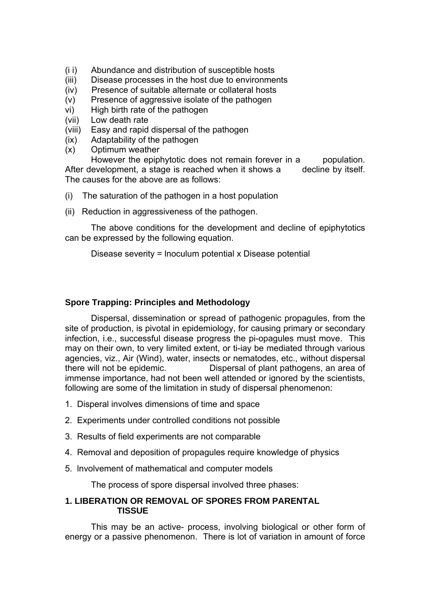- (i i) Abundance and distribution of susceptible hosts
- (iii) Disease processes in the host due to environments
- (iv) Presence of suitable alternate or collateral hosts
- (v) Presence of aggressive isolate of the pathogen
- vi) High birth rate of the pathogen
- (vii) Low death rate
- (viii) Easy and rapid dispersal of the pathogen
- (ix) Adaptability of the pathogen
- (x) Optimum weather

However the epiphytotic does not remain forever in a population. After development, a stage is reached when it shows a decline by itself. The causes for the above are as follows:

- (i) The saturation of the pathogen in a host population
- (ii) Reduction in aggressiveness of the pathogen.

 The above conditions for the development and decline of epiphytotics can be expressed by the following equation.

Disease severity = lnoculum potential x Disease potential

# **Spore Trapping: Principles and Methodology**

 Dispersal, dissemination or spread of pathogenic propagules, from the site of production, is pivotal in epidemiology, for causing primary or secondary infection, i.e., successful disease progress the pi-opagules must move. This may on their own, to very limited extent, or ti-iay be mediated through various agencies, viz., Air (Wind), water, insects or nematodes, etc., without dispersal there will not be epidemic. Dispersal of plant pathogens, an area of immense importance, had not been well attended or ignored by the scientists, following are some of the limitation in study of dispersal phenomenon:

- 1. Disperal involves dimensions of time and space
- 2. Experiments under controlled conditions not possible
- 3. Results of field experiments are not comparable
- 4. Removal and deposition of propagules require knowledge of physics
- 5. lnvolvement of mathematical and computer models

The process of spore dispersal involved three phases:

# **1. LIBERATION OR REMOVAL OF SPORES FROM PARENTAL TISSUE**

 This may be an active- process, involving biological or other form of energy or a passive phenomenon. There is lot of variation in amount of force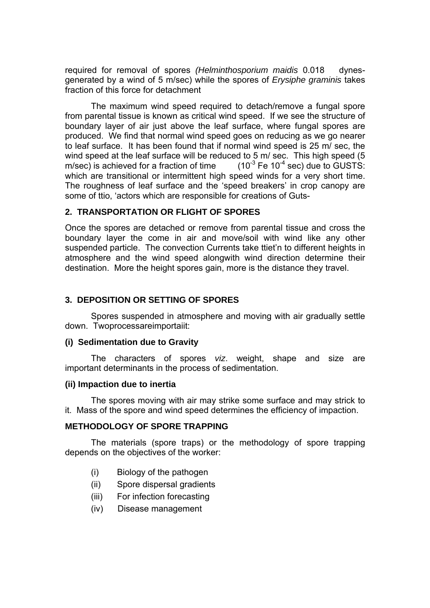required for removal of spores *(Helminthosporium maidis* 0.018 dynesgenerated by a wind of 5 m/sec) while the spores of *Erysiphe graminis* takes fraction of this force for detachment

The maximum wind speed required to detach/remove a fungal spore from parental tissue is known as critical wind speed. If we see the structure of boundary layer of air just above the leaf surface, where fungal spores are produced. We find that normal wind speed goes on reducing as we go nearer to leaf surface. It has been found that if normal wind speed is 25 m/ sec, the wind speed at the leaf surface will be reduced to 5 m/ sec. This high speed (5 m/sec) is achieved for a fraction of time  $(10^{-3}$  Fe 10<sup>-4</sup> sec) due to GUSTS: which are transitional or intermittent high speed winds for a very short time. The roughness of leaf surface and the 'speed breakers' in crop canopy are some of ttio, 'actors which are responsible for creations of Guts-

# **2. TRANSPORTATION OR FLIGHT OF SPORES**

Once the spores are detached or remove from parental tissue and cross the boundary layer the come in air and move/soil with wind like any other suspended particle. The convection Currents take ttiet'n to different heights in atmosphere and the wind speed alongwith wind direction determine their destination. More the height spores gain, more is the distance they travel.

# **3. DEPOSITION OR SETTING OF SPORES**

 Spores suspended in atmosphere and moving with air gradually settle down. Twoprocessareimportaiit:

#### **(i) Sedimentation due to Gravity**

 The characters of spores *viz*. weight, shape and size are important determinants in the process of sedimentation.

#### **(ii) Impaction due to inertia**

 The spores moving with air may strike some surface and may strick to it. Mass of the spore and wind speed determines the efficiency of impaction.

#### **METHODOLOGY OF SPORE TRAPPING**

 The materials (spore traps) or the methodology of spore trapping depends on the objectives of the worker:

- (i) Biology of the pathogen
- (ii) Spore dispersal gradients
- (iii) For infection forecasting
- (iv) Disease management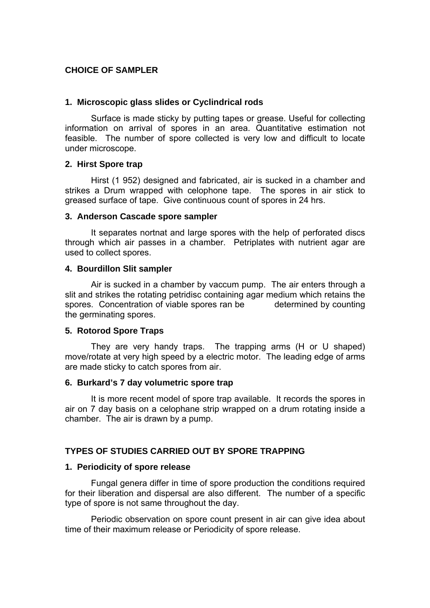### **CHOICE OF SAMPLER**

#### **1. Microscopic glass slides or Cyclindrical rods**

 Surface is made sticky by putting tapes or grease. Useful for collecting information on arrival of spores in an area. Quantitative estimation not feasible. The number of spore collected is very low and difficult to locate under microscope.

#### **2. Hirst Spore trap**

 Hirst (1 952) designed and fabricated, air is sucked in a chamber and strikes a Drum wrapped with celophone tape. The spores in air stick to greased surface of tape. Give continuous count of spores in 24 hrs.

#### **3. Anderson Cascade spore sampler**

 It separates nortnat and large spores with the help of perforated discs through which air passes in a chamber. Petriplates with nutrient agar are used to collect spores.

#### **4. Bourdillon Slit sampler**

 Air is sucked in a chamber by vaccum pump. The air enters through a slit and strikes the rotating petridisc containing agar medium which retains the spores. Concentration of viable spores ran be determined by counting the germinating spores.

#### **5. Rotorod Spore Traps**

 They are very handy traps. The trapping arms (H or U shaped) move/rotate at very high speed by a electric motor. The leading edge of arms are made sticky to catch spores from air.

#### **6. Burkard's 7 day volumetric spore trap**

 It is more recent model of spore trap available. It records the spores in air on 7 day basis on a celophane strip wrapped on a drum rotating inside a chamber. The air is drawn by a pump.

#### **TYPES OF STUDIES CARRIED OUT BY SPORE TRAPPING**

#### **1. Periodicity of spore release**

 Fungal genera differ in time of spore production the conditions required for their liberation and dispersal are also different. The number of a specific type of spore is not same throughout the day.

 Periodic observation on spore count present in air can give idea about time of their maximum release or Periodicity of spore release.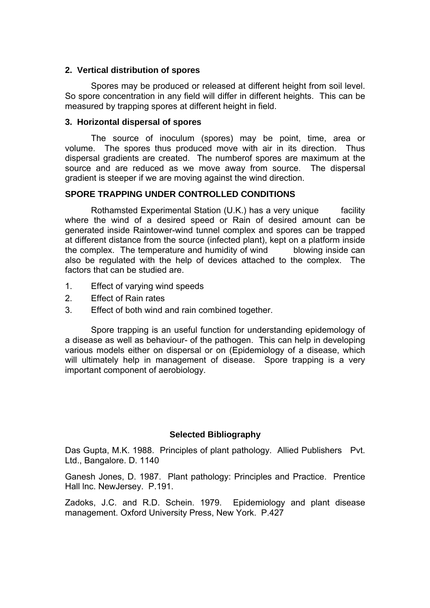### **2. Vertical distribution of spores**

 Spores may be produced or released at different height from soil level. So spore concentration in any field will differ in different heights. This can be measured by trapping spores at different height in field.

### **3. Horizontal dispersal of spores**

 The source of inoculum (spores) may be point, time, area or volume. The spores thus produced move with air in its direction. Thus dispersal gradients are created. The numberof spores are maximum at the source and are reduced as we move away from source. The dispersal gradient is steeper if we are moving against the wind direction.

# **SPORE TRAPPING UNDER CONTROLLED CONDITIONS**

 Rothamsted Experimental Station (U.K.) has a very unique facility where the wind of a desired speed or Rain of desired amount can be generated inside Raintower-wind tunnel complex and spores can be trapped at different distance from the source (infected plant), kept on a platform inside the complex. The temperature and humidity of wind blowing inside can also be regulated with the help of devices attached to the complex. The factors that can be studied are.

- 1. Effect of varying wind speeds
- 2. Effect of Rain rates
- 3. Effect of both wind and rain combined together.

Spore trapping is an useful function for understanding epidemology of a disease as well as behaviour- of the pathogen. This can help in developing various models either on dispersal or on (Epidemiology of a disease, which will ultimately help in management of disease. Spore trapping is a very important component of aerobiology.

# **Selected Bibliography**

Das Gupta, M.K. 1988. Principles of plant pathology. Allied Publishers Pvt. Ltd., Bangalore. D. 1140

Ganesh Jones, D. 1987. Plant pathology: Principles and Practice. Prentice Hall lnc. NewJersey. P.191.

Zadoks, J.C. and R.D. Schein. 1979. Epidemiology and plant disease management. Oxford University Press, New York. P.427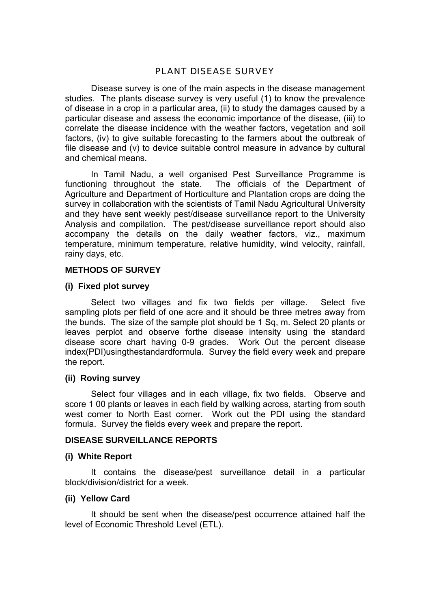# PLANT DISEASE SURVEY

 Disease survey is one of the main aspects in the disease management studies. The plants disease survey is very useful (1) to know the prevalence of disease in a crop in a particular area, (ii) to study the damages caused by a particular disease and assess the economic importance of the disease, (iii) to correlate the disease incidence with the weather factors, vegetation and soil factors, (iv) to give suitable forecasting to the farmers about the outbreak of file disease and (v) to device suitable control measure in advance by cultural and chemical means.

 In Tamil Nadu, a well organised Pest Surveillance Programme is functioning throughout the state. The officials of the Department of Agriculture and Department of Horticulture and Plantation crops are doing the survey in collaboration with the scientists of Tamil Nadu Agricultural University and they have sent weekly pest/disease surveillance report to the University Analysis and compilation. The pest/disease surveillance report should also accompany the details on the daily weather factors, viz., maximum temperature, minimum temperature, relative humidity, wind velocity, rainfall, rainy days, etc.

### **METHODS OF SURVEY**

### **(i) Fixed plot survey**

 Select two villages and fix two fields per village. Select five sampling plots per field of one acre and it should be three metres away from the bunds. The size of the sample plot should be 1 Sq, m. Select 20 plants or leaves perplot and observe forthe disease intensity using the standard disease score chart having 0-9 grades. Work Out the percent disease index(PDI)usingthestandardformula. Survey the field every week and prepare the report.

#### **(ii) Roving survey**

 Select four villages and in each village, fix two fields. Observe and score 1 00 plants or leaves in each field by walking across, starting from south west comer to North East corner. Work out the PDI using the standard formula. Survey the fields every week and prepare the report.

#### **DISEASE SURVEILLANCE REPORTS**

#### **(i) White Report**

 It contains the disease/pest surveillance detail in a particular block/division/district for a week.

#### **(ii) Yellow Card**

 It should be sent when the disease/pest occurrence attained half the level of Economic Threshold Level (ETL).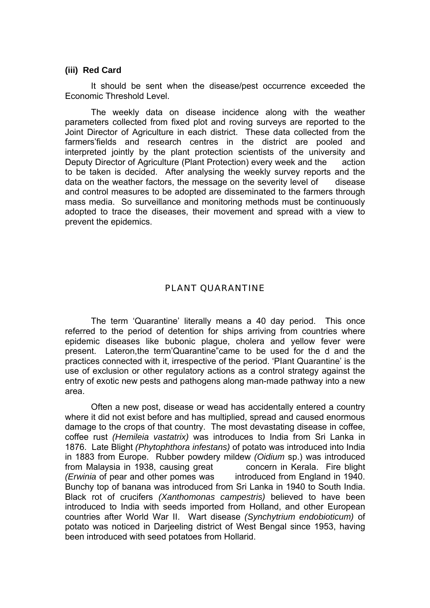#### **(iii) Red Card**

 It should be sent when the disease/pest occurrence exceeded the Economic Threshold Level.

 The weekly data on disease incidence along with the weather parameters collected from fixed plot and roving surveys are reported to the Joint Director of Agriculture in each district. These data collected from the farmers'fields and research centres in the district are pooled and interpreted jointly by the plant protection scientists of the university and Deputy Director of Agriculture (Plant Protection) every week and the action to be taken is decided. After analysing the weekly survey reports and the data on the weather factors, the message on the severity level of disease and control measures to be adopted are disseminated to the farmers through mass media. So surveillance and monitoring methods must be continuously adopted to trace the diseases, their movement and spread with a view to prevent the epidemics.

# PLANT QUARANTINE

 The term 'Quarantine' literally means a 40 day period. This once referred to the period of detention for ships arriving from countries where epidemic diseases like bubonic plague, cholera and yellow fever were present. Lateron,the term'Quarantine"came to be used for the d and the practices connected with it, irrespective of the period. 'PIant Quarantine' is the use of exclusion or other regulatory actions as a control strategy against the entry of exotic new pests and pathogens along man-made pathway into a new area.

 Often a new post, disease or wead has accidentally entered a country where it did not exist before and has multiplied, spread and caused enormous damage to the crops of that country. The most devastating disease in coffee, coffee rust *(Hemileia vastatrix)* was introduces to India from Sri Lanka in 1876. Late Blight *(Phytophthora infestans)* of potato was introduced into India in 1883 from Europe. Rubber powdery mildew *(Oidium* sp.) was introduced from Malaysia in 1938, causing great concern in Kerala. Fire blight *(Erwinia* of pear and other pomes was introduced from England in 1940. Bunchy top of banana was introduced from Sri Lanka in 1940 to South India. Black rot of crucifers *(Xanthomonas campestris)* believed to have been introduced to India with seeds imported from Holland, and other European countries after World War II. Wart disease *(Synchytrium endobioticum)* of potato was noticed in Darieeling district of West Bengal since 1953, having been introduced with seed potatoes from Hollarid.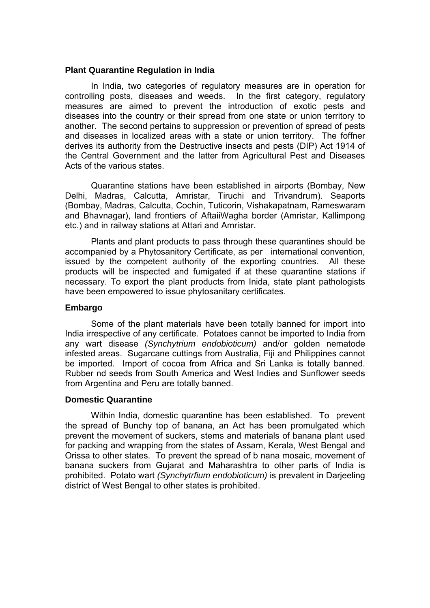#### **Plant Quarantine Regulation in India**

 In India, two categories of regulatory measures are in operation for controlling posts, diseases and weeds. In the first category, regulatory measures are aimed to prevent the introduction of exotic pests and diseases into the country or their spread from one state or union territory to another. The second pertains to suppression or prevention of spread of pests and diseases in localized areas with a state or union territory. The foffner derives its authority from the Destructive insects and pests (DIP) Act 1914 of the Central Government and the latter from Agricultural Pest and Diseases Acts of the various states.

Quarantine stations have been established in airports (Bombay, New Delhi, Madras, Calcutta, Amristar, Tiruchi and Trivandrum). Seaports (Bombay, Madras, Calcutta, Cochin, Tuticorin, Vishakapatnam, Rameswaram and Bhavnagar), land frontiers of AftaiiWagha border (Amristar, Kallimpong etc.) and in railway stations at Attari and Amristar.

 Plants and plant products to pass through these quarantines should be accompanied by a Phytosanitory Certificate, as per international convention, issued by the competent authority of the exporting countries. All these products will be inspected and fumigated if at these quarantine stations if necessary. To export the plant products from Inida, state plant pathologists have been empowered to issue phytosanitary certificates.

### **Embargo**

Some of the plant materials have been totally banned for import into India irrespective of any certificate. Potatoes cannot be imported to India from any wart disease *(Synchytrium endobioticum)* and/or golden nematode infested areas. Sugarcane cuttings from Australia, Fiji and Philippines cannot be imported. Import of cocoa from Africa and Sri Lanka is totally banned. Rubber nd seeds from South America and West Indies and Sunflower seeds from Argentina and Peru are totally banned.

#### **Domestic Quarantine**

 Within India, domestic quarantine has been established. To prevent the spread of Bunchy top of banana, an Act has been promulgated which prevent the movement of suckers, stems and materials of banana plant used for packing and wrapping from the states of Assam, Kerala, West Bengal and Orissa to other states. To prevent the spread of b nana mosaic, movement of banana suckers from Gujarat and Maharashtra to other parts of India is prohibited. Potato wart *(Synchytrfium endobioticum)* is prevalent in Darjeeling district of West Bengal to other states is prohibited.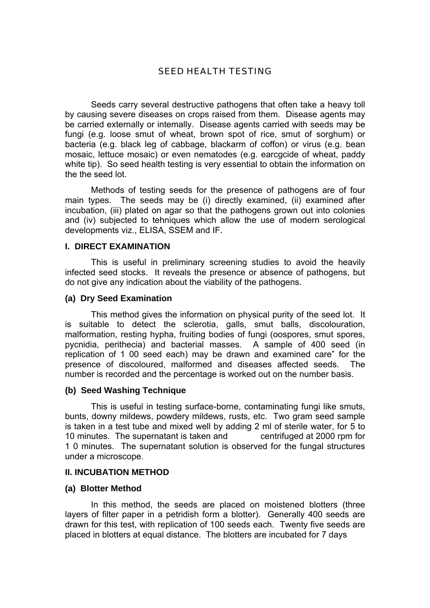# SEED HEALTH TESTING

 Seeds carry several destructive pathogens that often take a heavy toll by causing severe diseases on crops raised from them. Disease agents may be carried externally or intemally. Disease agents carried with seeds may be fungi (e.g. loose smut of wheat, brown spot of rice, smut of sorghum) or bacteria (e.g. black leg of cabbage, blackarm of coffon) or virus (e.g. bean mosaic, lettuce mosaic) or even nematodes (e.g. earcgcide of wheat, paddy white tip). So seed health testing is very essential to obtain the information on the the seed lot.

 Methods of testing seeds for the presence of pathogens are of four main types. The seeds may be (i) directly examined, (ii) examined after incubation, (iii) plated on agar so that the pathogens grown out into colonies and (iv) subjected to tehniques which allow the use of modern serological developments viz., ELISA, SSEM and IF.

#### **I. DIRECT EXAMINATION**

 This is useful in preliminary screening studies to avoid the heavily infected seed stocks. It reveals the presence or absence of pathogens, but do not give any indication about the viability of the pathogens.

#### **(a) Dry Seed Examination**

 This method gives the information on physical purity of the seed lot. It is suitable to detect the sclerotia, galls, smut balls, discolouration, malformation, resting hypha, fruiting bodies of fungi (oospores, smut spores, pycnidia, perithecia) and bacterial masses. A sample of 400 seed (in replication of 1 00 seed each) may be drawn and examined care" for the presence of discoloured, malformed and diseases affected seeds. The number is recorded and the percentage is worked out on the number basis.

#### **(b) Seed Washing Technique**

 This is useful in testing surface-borne, contaminating fungi like smuts, bunts, downy mildews, powdery mildews, rusts, etc. Two gram seed sample is taken in a test tube and mixed well by adding 2 ml of sterile water, for 5 to 10 minutes. The supernatant is taken and centrifuged at 2000 rpm for 1 0 minutes. The supernatant solution is observed for the fungal structures under a microscope.

#### **II. INCUBATION METHOD**

#### **(a) Blotter Method**

 In this method, the seeds are placed on moistened blotters (three layers of filter paper in a petridish form a blotter). Generally 400 seeds are drawn for this test, with replication of 100 seeds each. Twenty five seeds are placed in blotters at equal distance. The blotters are incubated for 7 days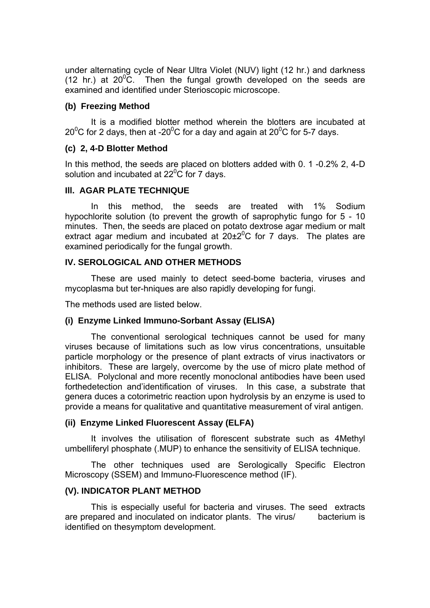under alternating cycle of Near Ultra Violet (NUV) light (12 hr.) and darkness (12 hr.) at  $20^{\circ}$ C. Then the fungal growth developed on the seeds are examined and identified under Sterioscopic microscope.

### **(b) Freezing Method**

 It is a modified blotter method wherein the blotters are incubated at 20<sup>0</sup>C for 2 days, then at -20<sup>0</sup>C for a day and again at 20<sup>0</sup>C for 5-7 days.

### **(c) 2, 4-D Blotter Method**

In this method, the seeds are placed on blotters added with 0. 1 -0.2% 2, 4-D solution and incubated at 22 $\rm ^{0}C$  for 7 days.

### **Ill. AGAR PLATE TECHNIQUE**

 In this method, the seeds are treated with 1% Sodium hypochlorite solution (to prevent the growth of saprophytic fungo for 5 - 10 minutes. Then, the seeds are placed on potato dextrose agar medium or malt extract agar medium and incubated at  $20\pm2^0C$  for 7 days. The plates are examined periodically for the fungal growth.

### **IV. SEROLOGICAL AND OTHER METHODS**

 These are used mainly to detect seed-bome bacteria, viruses and mycoplasma but ter-hniques are also rapidly developing for fungi.

The methods used are listed below.

#### **(i) Enzyme Linked Immuno-Sorbant Assay (ELISA)**

 The conventional serological techniques cannot be used for many viruses because of limitations such as low virus concentrations, unsuitable particle morphology or the presence of plant extracts of virus inactivators or inhibitors. These are largely, overcome by the use of micro plate method of ELISA. Polyclonal and more recently monoclonal antibodies have been used forthedetection and'identification of viruses. In this case, a substrate that genera duces a cotorimetric reaction upon hydrolysis by an enzyme is used to provide a means for qualitative and quantitative measurement of viral antigen.

#### **(ii) Enzyme Linked Fluorescent Assay (ELFA)**

 It involves the utilisation of florescent substrate such as 4Methyl umbelliferyl phosphate (.MUP) to enhance the sensitivity of ELISA technique.

 The other techniques used are Serologically Specific Electron Microscopy (SSEM) and Immuno-Fluorescence method (IF).

# **(V). INDICATOR PLANT METHOD**

 This is especially useful for bacteria and viruses. The seed extracts are prepared and inoculated on indicator plants. The virus/ bacterium is identified on thesymptom development.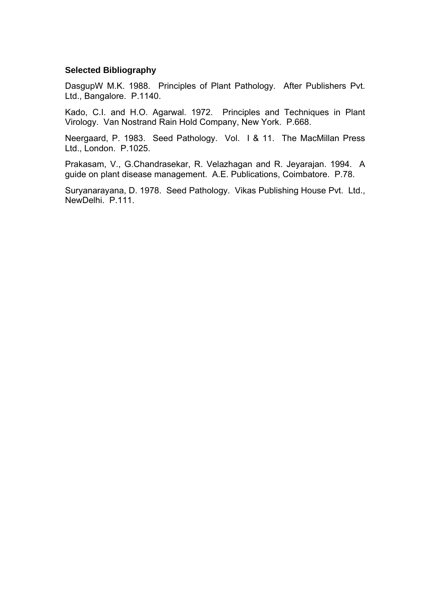#### **Selected Bibliography**

DasgupW M.K. 1988. Principles of Plant Pathology. After Publishers Pvt. Ltd., Bangalore. P.1140.

Kado, C.I. and H.O. Agarwal. 1972. Principles and Techniques in Plant Virology. Van Nostrand Rain Hold Company, New York. P.668.

Neergaard, P. 1983. Seed Pathology. Vol. I & 11. The MacMillan Press Ltd., London. P.1025.

Prakasam, V., G.Chandrasekar, R. Velazhagan and R. Jeyarajan. 1994. A guide on plant disease management. A.E. Publications, Coimbatore. P.78.

Suryanarayana, D. 1978. Seed Pathology. Vikas Publishing House Pvt. Ltd., NewDelhi. P.111.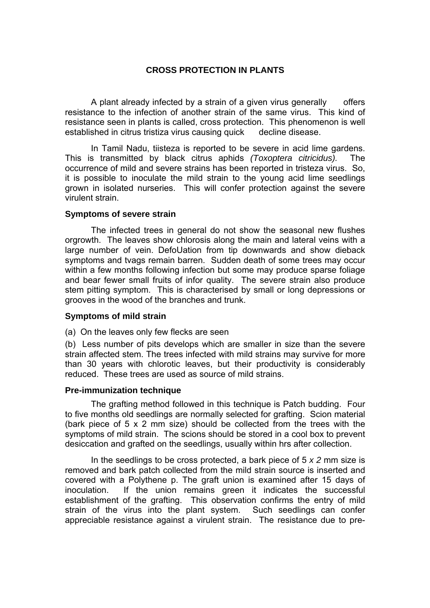# **CROSS PROTECTION IN PLANTS**

A plant already infected by a strain of a given virus generally offers resistance to the infection of another strain of the same virus. This kind of resistance seen in plants is called, cross protection. This phenomenon is well established in citrus tristiza virus causing quick decline disease.

 In Tamil Nadu, tiisteza is reported to be severe in acid lime gardens. This is transmitted by black citrus aphids *(Toxoptera citricidus).* The occurrence of mild and severe strains has been reported in tristeza virus. So, it is possible to inoculate the mild strain to the young acid lime seedlings grown in isolated nurseries. This will confer protection against the severe virulent strain.

### **Symptoms of severe strain**

 The infected trees in general do not show the seasonal new flushes orgrowth. The leaves show chlorosis along the main and lateral veins with a large number of vein. DefoUation from tip downwards and show dieback symptoms and tvags remain barren. Sudden death of some trees may occur within a few months following infection but some may produce sparse foliage and bear fewer small fruits of infor quality. The severe strain also produce stem pitting symptom. This is characterised by small or long depressions or grooves in the wood of the branches and trunk.

#### **Symptoms of mild strain**

(a) On the leaves only few flecks are seen

(b) Less number of pits develops which are smaller in size than the severe strain affected stem. The trees infected with mild strains may survive for more than 30 years with chlorotic leaves, but their productivity is considerably reduced. These trees are used as source of mild strains.

#### **Pre-immunization technique**

 The grafting method followed in this technique is Patch budding. Four to five months old seedlings are normally selected for grafting. Scion material (bark piece of 5 x 2 mm size) should be collected from the trees with the symptoms of mild strain. The scions should be stored in a cool box to prevent desiccation and grafted on the seedlings, usually within hrs after collection.

 In the seedlings to be cross protected, a bark piece of 5 *x 2* mm size is removed and bark patch collected from the mild strain source is inserted and covered with a Polythene p. The graft union is examined after 15 days of inoculation. If the union remains green it indicates the successful establishment of the grafting. This observation confirms the entry of mild strain of the virus into the plant system. Such seedlings can confer appreciable resistance against a virulent strain. The resistance due to pre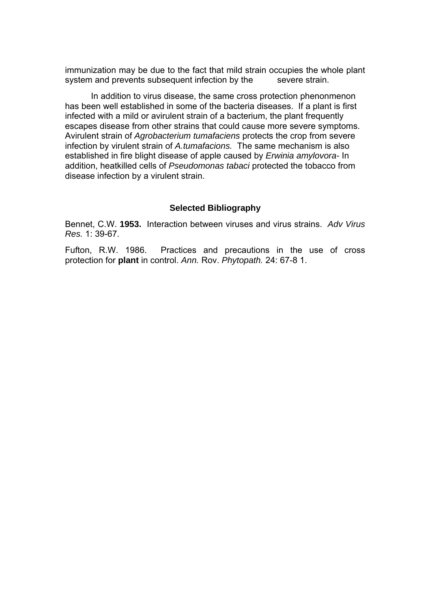immunization may be due to the fact that mild strain occupies the whole plant system and prevents subsequent infection by the severe strain.

 In addition to virus disease, the same cross protection phenonmenon has been well established in some of the bacteria diseases. If a plant is first infected with a mild or avirulent strain of a bacterium, the plant frequently escapes disease from other strains that could cause more severe symptoms. Avirulent strain of *Agrobacterium tumafaciens* protects the crop from severe infection by virulent strain of *A.tumafacions.* The same mechanism is also established in fire blight disease of apple caused by *Erwinia amylovora-* In addition, heatkilled cells of *Pseudomonas tabaci* protected the tobacco from disease infection by a virulent strain.

#### **Selected Bibliography**

Bennet, C.W. **1953.** Interaction between viruses and virus strains. *Adv Virus Res.* 1: 39-67.

Fufton, R.W. 1986.Practices and precautions in the use of cross protection for **plant** in control. *Ann.* Rov. *Phytopath.* 24: 67-8 1.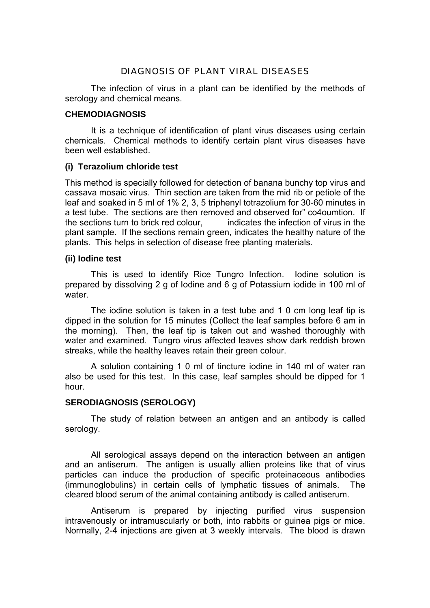# DIAGNOSIS OF PLANT VIRAL DISEASES

 The infection of virus in a plant can be identified by the methods of serology and chemical means.

### **CHEMODIAGNOSIS**

 It is a technique of identification of plant virus diseases using certain chemicals. Chemical methods to identify certain plant virus diseases have been well established.

### **(i) Terazolium chloride test**

This method is specially followed for detection of banana bunchy top virus and cassava mosaic virus. Thin section are taken from the mid rib or petiole of the leaf and soaked in 5 ml of 1% 2, 3, 5 triphenyl totrazolium for 30-60 minutes in a test tube. The sections are then removed and observed for" co4oumtion. If the sections turn to brick red colour, indicates the infection of virus in the plant sample. If the sections remain green, indicates the healthy nature of the plants. This helps in selection of disease free planting materials.

### **(ii) Iodine test**

 This is used to identify Rice Tungro Infection. Iodine solution is prepared by dissolving 2 g of Iodine and 6 g of Potassium iodide in 100 ml of water.

 The iodine solution is taken in a test tube and 1 0 cm long leaf tip is dipped in the solution for 15 minutes (Collect the leaf samples before 6 am in the morning). Then, the leaf tip is taken out and washed thoroughly with water and examined. Tungro virus affected leaves show dark reddish brown streaks, while the healthy leaves retain their green colour.

 A solution containing 1 0 ml of tincture iodine in 140 ml of water ran also be used for this test. In this case, leaf samples should be dipped for 1 hour.

# **SERODIAGNOSIS (SEROLOGY)**

 The study of relation between an antigen and an antibody is called serology.

All serological assays depend on the interaction between an antigen and an antiserum. The antigen is usually allien proteins like that of virus particles can induce the production of specific proteinaceous antibodies (immunoglobulins) in certain cells of lymphatic tissues of animals. The cleared blood serum of the animal containing antibody is called antiserum.

 Antiserum is prepared by injecting purified virus suspension intravenously or intramuscularly or both, into rabbits or guinea pigs or mice. Normally, 2-4 injections are given at 3 weekly intervals. The blood is drawn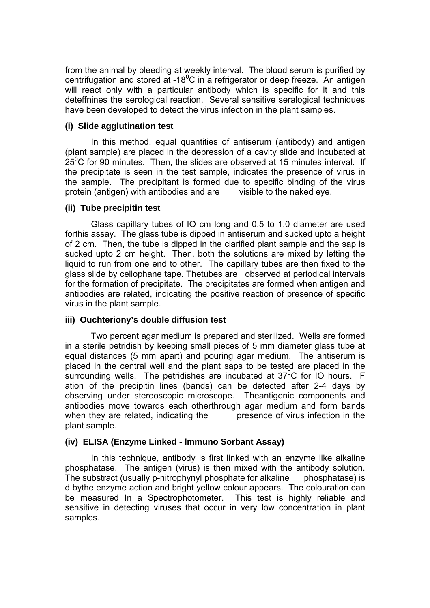from the animal by bleeding at weekly interval. The blood serum is purified by centrifugation and stored at -18 $^{0}$ C in a refrigerator or deep freeze. An antigen will react only with a particular antibody which is specific for it and this deteffnines the serological reaction. Several sensitive seralogical techniques have been developed to detect the virus infection in the plant samples.

# **(i) Slide agglutination test**

 In this method, equal quantities of antiserum (antibody) and antigen (plant sample) are placed in the depression of a cavity slide and incubated at  $25^{\circ}$ C for 90 minutes. Then, the slides are observed at 15 minutes interval. If the precipitate is seen in the test sample, indicates the presence of virus in the sample. The precipitant is formed due to specific binding of the virus protein (antigen) with antibodies and are visible to the naked eye.

# **(ii) Tube precipitin test**

 Glass capillary tubes of IO cm long and 0.5 to 1.0 diameter are used forthis assay. The glass tube is dipped in antiserum and sucked upto a height of 2 cm. Then, the tube is dipped in the clarified plant sample and the sap is sucked upto 2 cm height. Then, both the solutions are mixed by letting the liquid to run from one end to other. The capillary tubes are then fixed to the glass slide by cellophane tape. Thetubes are observed at periodical intervals for the formation of precipitate. The precipitates are formed when antigen and antibodies are related, indicating the positive reaction of presence of specific virus in the plant sample.

# **iii) Ouchteriony's double diffusion test**

 Two percent agar medium is prepared and sterilized. Wells are formed in a sterile petridish by keeping small pieces of 5 mm diameter glass tube at equal distances (5 mm apart) and pouring agar medium. The antiserum is placed in the central well and the plant saps to be tested are placed in the surrounding wells. The petridishes are incubated at  $37^{\circ}$ C for IO hours. F ation of the precipitin lines (bands) can be detected after 2-4 days by observing under stereoscopic microscope. Theantigenic components and antibodies move towards each otherthrough agar medium and form bands when they are related, indicating the presence of virus infection in the plant sample.

# **(iv) ELISA (Enzyme Linked - lmmuno Sorbant Assay)**

 In this technique, antibody is first linked with an enzyme like alkaline phosphatase. The antigen (virus) is then mixed with the antibody solution. The substract (usually p-nitrophynyl phosphate for alkaline phosphatase) is d bythe enzyme action and bright yellow colour appears. The colouration can be measured In a Spectrophotometer. This test is highly reliable and sensitive in detecting viruses that occur in very low concentration in plant samples.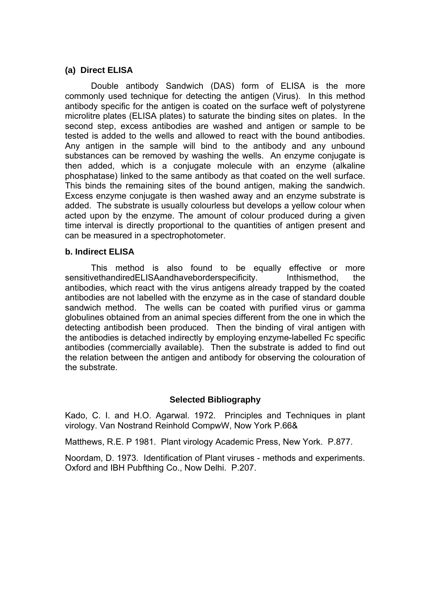### **(a) Direct ELISA**

 Double antibody Sandwich (DAS) form of ELISA is the more commonly used technique for detecting the antigen (Virus). In this method antibody specific for the antigen is coated on the surface weft of polystyrene microlitre plates (ELISA plates) to saturate the binding sites on plates. In the second step, excess antibodies are washed and antigen or sample to be tested is added to the wells and allowed to react with the bound antibodies. Any antigen in the sample will bind to the antibody and any unbound substances can be removed by washing the wells. An enzyme conjugate is then added, which is a conjugate molecule with an enzyme (alkaline phosphatase) linked to the same antibody as that coated on the well surface. This binds the remaining sites of the bound antigen, making the sandwich. Excess enzyme conjugate is then washed away and an enzyme substrate is added. The substrate is usually colourless but develops a yellow colour when acted upon by the enzyme. The amount of colour produced during a given time interval is directly proportional to the quantities of antigen present and can be measured in a spectrophotometer.

#### **b. Indirect ELISA**

 This method is also found to be equally effective or more sensitivethandiredELISAandhaveborderspecificity. Inthismethod, the antibodies, which react with the virus antigens already trapped by the coated antibodies are not labelled with the enzyme as in the case of standard double sandwich method. The wells can be coated with purified virus or gamma globulines obtained from an animal species different from the one in which the detecting antibodish been produced. Then the binding of viral antigen with the antibodies is detached indirectly by employing enzyme-labelled Fc specific antibodies (commercially available). Then the substrate is added to find out the relation between the antigen and antibody for observing the colouration of the substrate.

# **Selected Bibliography**

Kado, C. I. and H.O. Agarwal. 1972. Principles and Techniques in plant virology. Van Nostrand Reinhold CompwW, Now York P.66&

Matthews, R.E. P 1981. Plant virology Academic Press, New York. P.877.

Noordam, D. 1973. Identification of Plant viruses - methods and experiments. Oxford and IBH Pubfthing Co., Now Delhi. P.207.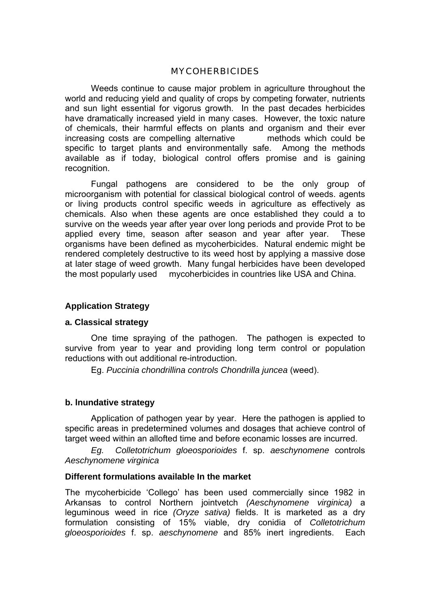#### MYCOHERBICIDES

 Weeds continue to cause major problem in agriculture throughout the world and reducing yield and quality of crops by competing forwater, nutrients and sun light essential for vigorus growth. In the past decades herbicides have dramatically increased yield in many cases. However, the toxic nature of chemicals, their harmful effects on plants and organism and their ever increasing costs are compelling alternative methods which could be specific to target plants and environmentally safe. Among the methods available as if today, biological control offers promise and is gaining recognition.

 Fungal pathogens are considered to be the only group of microorganism with potential for classical biological control of weeds. agents or living products control specific weeds in agriculture as effectively as chemicals. Also when these agents are once established they could a to survive on the weeds year after year over long periods and provide Prot to be applied every time, season after season and year after year. These organisms have been defined as mycoherbicides. Natural endemic might be rendered completely destructive to its weed host by applying a massive dose at later stage of weed growth. Many fungal herbicides have been developed the most popularly used mycoherbicides in countries like USA and China.

# **Application Strategy**

#### **a. Classical strategy**

 One time spraying of the pathogen. The pathogen is expected to survive from year to year and providing long term control or population reductions with out additional re-introduction.

Eg. *Puccinia chondrillina controls Chondrilla juncea* (weed).

### **b. lnundative strategy**

 Application of pathogen year by year. Here the pathogen is applied to specific areas in predetermined volumes and dosages that achieve control of target weed within an allofted time and before econamic losses are incurred.

*Eg. Colletotrichum gloeosporioides* f. sp. *aeschynomene* controls *Aeschynomene virginica*

#### **Different formulations available In the market**

The mycoherbicide 'Collego' has been used commercially since 1982 in Arkansas to control Northern jointvetch *(Aeschynomene virginica)* a leguminous weed in rice *(Oryze sativa)* fields. It is marketed as a dry formulation consisting of 15% viable, dry conidia of *Colletotrichum gloeosporioides* f. sp. *aeschynomene* and 85% inert ingredients. Each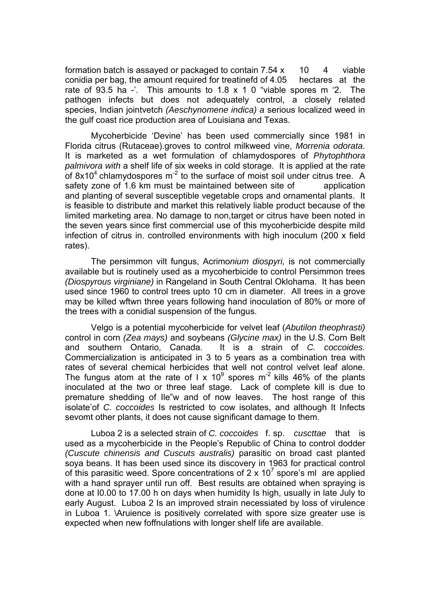formation batch is assayed or packaged to contain  $7.54 \times 10 \times 4$  viable conidia per bag, the amount required for treatinefd of 4.05 hectares at the rate of 93.5 ha -'. This amounts to 1.8 x 1 0 "viable spores m '2. The pathogen infects but does not adequately control, a closely related species, Indian jointvetch *(Aeschynomene indica) a* serious localized weed in the gulf coast rice production area of Louisiana and Texas.

 Mycoherbicide 'Devine' has been used commercially since 1981 in Florida citrus (Rutaceae).groves to control milkweed vine, *Morrenia odorata*. It is marketed as a wet formulation of chlamydospores of *Phytophthora palmivora with* a shelf life of six weeks in cold storage. It is applied at the rate of  $8x10^4$  chlamydospores m<sup>-2</sup> to the surface of moist soil under citrus tree. A safety zone of 1.6 km must be maintained between site of application and planting of several susceptible vegetable crops and ornamental plants. It is feasible to distribute and market this relatively liable product because of the limited marketing area. No damage to non,target or citrus have been noted in the seven years since first commercial use of this mycoherbicide despite mild infection of citrus in. controlled environments with high inoculum (200 x field rates).

 The persimmon vilt fungus, Acrimo*nium diospyri,* is not commercially available but is routinely used as a mycoherbicide to control Persimmon trees *(Diospyrous virginiane)* in Rangeland in South Central Oklohama. It has been used since 1960 to control trees upto 10 cm in diameter. All trees in a grove may be killed wftwn three years following hand inoculation of 80% or more of the trees with a conidial suspension of the fungus.

 Velgo is a potential mycoherbicide for velvet leaf (*Abutilon theophrasti)*  control in corn *(Zea mays)* and soybeans *(Glycine max)* in the U.S. Corn Belt and southern Ontario, Canada. It is a strain of *C. coccoides.*  Commercialization is anticipated in 3 to 5 years as a combination trea with rates of several chemical herbicides that well not control velvet leaf alone. The fungus atom at the rate of I x 10<sup>9</sup> spores m<sup>-2</sup> kills 46% of the plants inoculated at the two or three leaf stage. Lack of complete kill is due to premature shedding of Ile"w and of now leaves. The host range of this isolate'of *C. coccoides* Is restricted to cow isolates, and although It Infects sevomt other plants, it does not cause significant damage to them.

Luboa 2 is a selected strain of *C. coccoides* f. sp. *cuscttae* that is used as a mycoherbicide in the People's Republic of China to control dodder *(Cuscute chinensis and Cuscuts australis)* parasitic on broad cast planted soya beans. It has been used since its discovery in 1963 for practical control of this parasitic weed. Spore concentrations of 2 x 10<sup>7</sup> spore's ml are applied with a hand sprayer until run off. Best results are obtained when spraying is done at I0.00 to 17.00 h on days when humidity Is high, usually in late July to early August. Luboa 2 Is an improved strain necessiated by loss of virulence in Luboa 1. \Aruience is positively correlated with spore size greater use is expected when new foffnulations with longer shelf life are available.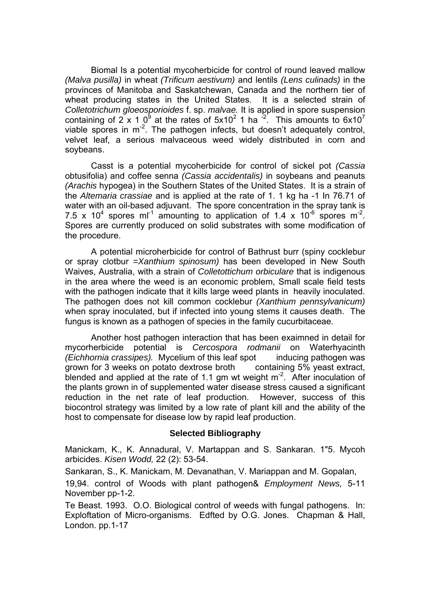Biomal Is a potential mycoherbicide for control of round leaved mallow *(Malva pusilla)* in wheat *(Trificum aestivum)* and lentils *(Lens culinads)* in the provinces of Manitoba and Saskatchewan, Canada and the northern tier of wheat producing states in the United States. It is a selected strain of *Colletotrichum gloeosporioides* f. sp. *malvae.* It is applied in spore suspension containing of 2 x 1 0<sup>9</sup> at the rates of  $5x10^2$  1 ha  $\frac{2}{x}$ . This amounts to  $6x10^7$ viable spores in  $m<sup>-2</sup>$ . The pathogen infects, but doesn't adequately control, velvet leaf, a serious malvaceous weed widely distributed in corn and soybeans.

 Casst is a potential mycoherbicide for control of sickel pot *(Cassia*  obtusifolia) and coffee senna *(Cassia accidentalis)* in soybeans and peanuts *(Arachis* hypogea) in the Southern States of the United States. It is a strain of the *Altemaria crassiae* and is applied at the rate of 1. 1 kg ha -1 In 76.71 of water with an oil-based adjuvant. The spore concentration in the spray tank is 7.5 x 10<sup>4</sup> spores ml<sup>-1</sup> amounting to application of 1.4 x 10<sup>-6</sup> spores m<sup>-2</sup>. Spores are currently produced on solid substrates with some modification of the procedure.

 A potential microherbicide for control of Bathrust burr (spiny cocklebur or spray clotbur *=Xanthium spinosum)* has been developed in New South Waives, Australia, with a strain of *Colletottichum orbiculare* that is indigenous in the area where the weed is an economic problem, Small scale field tests with the pathogen indicate that it kills large weed plants in heavily inoculated. The pathogen does not kill common cocklebur *(Xanthium pennsylvanicum)*  when spray inoculated, but if infected into young stems it causes death. The fungus is known as a pathogen of species in the family cucurbitaceae.

 Another host pathogen interaction that has been exaimned in detail for mycorherbicide potential is *Cercospora rodmanii* on Waterhyacinth *(Eichhornia crassipes).* Mycelium of this leaf spot inducing pathogen was grown for 3 weeks on potato dextrose broth containing 5% yeast extract, blended and applied at the rate of 1.1 gm wt weight  $m<sup>-2</sup>$ . After inoculation of the plants grown in of supplemented water disease stress caused a significant reduction in the net rate of leaf production. However, success of this biocontrol strategy was limited by a low rate of plant kill and the ability of the host to compensate for disease low by rapid leaf production.

#### **Selected Bibliography**

Manickam, K., K. Annadural, V. Martappan and S. Sankaran. 1"5. Mycoh arbicides. *Kisen Wodd,* 22 (2): 53-54.

Sankaran, S., K. Manickam, M. Devanathan, V. Mariappan and M. Gopalan,

19,94. control of Woods with plant pathogen& *Employment News,* 5-11 November pp-1-2.

Te Beast. 1993. O.O. Biological control of weeds with fungal pathogens. In: Exploftation of Micro-organisms. Edfted by O.G. Jones. Chapman & Hall, London. pp.1-17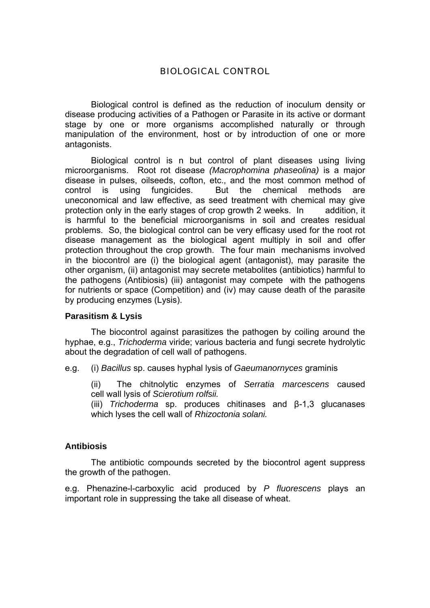# BIOLOGICAL CONTROL

Biological control is defined as the reduction of inoculum density or disease producing activities of a Pathogen or Parasite in its active or dormant stage by one or more organisms accomplished naturally or through manipulation of the environment, host or by introduction of one or more antagonists.

 Biological control is n but control of plant diseases using living microorganisms. Root rot disease *(Macrophomina phaseolina)* is a major disease in pulses, oilseeds, cofton, etc., and the most common method of control is using fungicides. But the chemical methods are uneconomical and law effective, as seed treatment with chemical may give protection only in the early stages of crop growth 2 weeks. In addition, it is harmful to the beneficial microorganisms in soil and creates residual problems. So, the biological control can be very efficasy used for the root rot disease management as the biological agent multiply in soil and offer protection throughout the crop growth. The four main mechanisms involved in the biocontrol are (i) the biological agent (antagonist), may parasite the other organism, (ii) antagonist may secrete metabolites (antibiotics) harmful to the pathogens (Antibiosis) (iii) antagonist may compete with the pathogens for nutrients or space (Competition) and (iv) may cause death of the parasite by producing enzymes (Lysis).

#### **Parasitism & Lysis**

 The biocontrol against parasitizes the pathogen by coiling around the hyphae, e.g., *Trichoderma* viride; various bacteria and fungi secrete hydrolytic about the degradation of cell wall of pathogens.

e.g. (i) *Bacillus* sp. causes hyphal lysis of *Gaeumanornyces* graminis

 (ii) The chitnolytic enzymes of *Serratia marcescens* caused cell wall lysis of *Scierotium rolfsii.*

(iii) *Trichoderma* sp. produces chitinases and β-1,3 glucanases which lyses the cell wall of *Rhizoctonia solani.* 

# **Antibiosis**

 The antibiotic compounds secreted by the biocontrol agent suppress the growth of the pathogen.

e.g. Phenazine-l-carboxylic acid produced by *P fluorescens* plays an important role in suppressing the take all disease of wheat.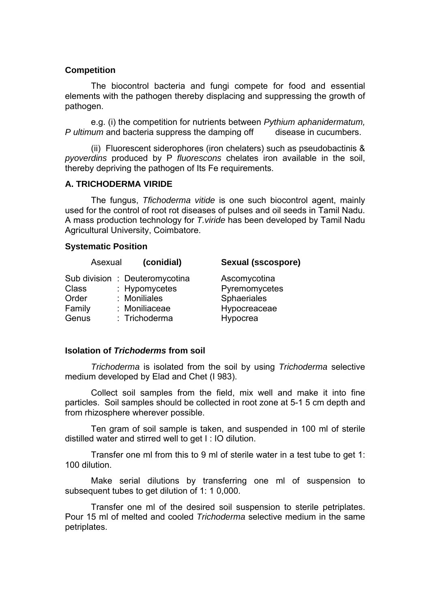### **Competition**

 The biocontrol bacteria and fungi compete for food and essential elements with the pathogen thereby displacing and suppressing the growth of pathogen.

 e.g. (i) the competition for nutrients between *Pythium aphanidermatum, P ultimum* and bacteria suppress the damping off disease in cucumbers.

 (ii) Fluorescent siderophores (iron chelaters) such as pseudobactinis & *pyoverdins* produced by P *fluorescons* chelates iron available in the soil, thereby depriving the pathogen of Its Fe requirements.

## **A. TRICHODERMA VIRIDE**

The fungus, *Tfichoderma vitide* is one such biocontrol agent, mainly used for the control of root rot diseases of pulses and oil seeds in Tamil Nadu. A mass production technology for *T.viride* has been developed by Tamil Nadu Agricultural University, Coimbatore.

#### **Systematic Position**

|                                   | Asexual | (conidial)                                                                                        | Sexual (sscospore)                                                       |
|-----------------------------------|---------|---------------------------------------------------------------------------------------------------|--------------------------------------------------------------------------|
| Class<br>Order<br>Family<br>Genus |         | Sub division : Deuteromycotina<br>: Hypomycetes<br>: Moniliales<br>: Moniliaceae<br>: Trichoderma | Ascomycotina<br>Pyremomycetes<br>Sphaeriales<br>Hypocreaceae<br>Hypocrea |
|                                   |         |                                                                                                   |                                                                          |

#### **Isolation of** *Trichoderms* **from soil**

*Trichoderma* is isolated from the soil by using *Trichoderma* selective medium developed by Elad and Chet (I 983).

 Collect soil samples from the field, mix well and make it into fine particles. Soil samples should be collected in root zone at 5-1 5 cm depth and from rhizosphere wherever possible.

 Ten gram of soil sample is taken, and suspended in 100 ml of sterile distilled water and stirred well to get I : IO dilution.

 Transfer one ml from this to 9 ml of sterile water in a test tube to get 1: 100 dilution.

 Make serial dilutions by transferring one ml of suspension to subsequent tubes to get dilution of 1: 1 0,000.

 Transfer one ml of the desired soil suspension to sterile petriplates. Pour 15 ml of melted and cooled *Trichoderma* selective medium in the same petriplates.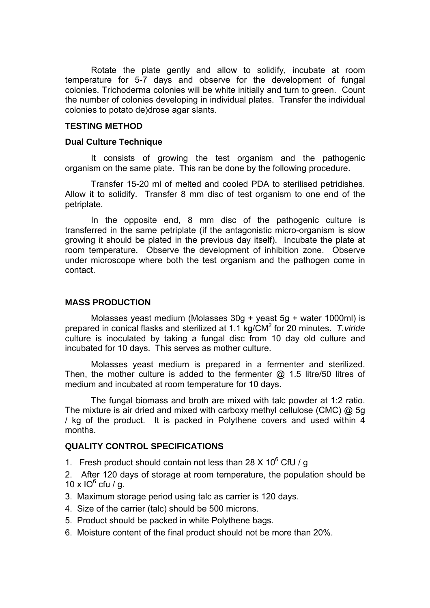Rotate the plate gently and allow to solidify, incubate at room temperature for 5-7 days and observe for the development of fungal colonies. Trichoderma colonies will be white initially and turn to green. Count the number of colonies developing in individual plates. Transfer the individual colonies to potato de)drose agar slants.

#### **TESTING METHOD**

#### **Dual Culture Technique**

 It consists of growing the test organism and the pathogenic organism on the same plate. This ran be done by the following procedure.

 Transfer 15-20 ml of melted and cooled PDA to sterilised petridishes. Allow it to solidify. Transfer 8 mm disc of test organism to one end of the petriplate.

 In the opposite end, 8 mm disc of the pathogenic culture is transferred in the same petriplate (if the antagonistic micro-organism is slow growing it should be plated in the previous day itself). Incubate the plate at room temperature. Observe the development of inhibition zone. Observe under microscope where both the test organism and the pathogen come in contact.

#### **MASS PRODUCTION**

 Molasses yeast medium (Molasses 30g + yeast 5g + water 1000ml) is prepared in conical flasks and sterilized at 1.1 kg/CM<sup>2</sup> for 20 minutes. T.viride culture is inoculated by taking a fungal disc from 10 day old culture and incubated for 10 days. This serves as mother culture.

 Molasses yeast medium is prepared in a fermenter and sterilized. Then, the mother culture is added to the fermenter  $@$  1.5 litre/50 litres of medium and incubated at room temperature for 10 days.

 The fungal biomass and broth are mixed with talc powder at 1:2 ratio. The mixture is air dried and mixed with carboxy methyl cellulose (CMC) @ 5g / kg of the product. It is packed in Polythene covers and used within 4 months.

## **QUALITY CONTROL SPECIFICATIONS**

1. Fresh product should contain not less than 28  $\times$  10<sup>6</sup> CfU / g

2. After 120 days of storage at room temperature, the population should be 10 x  $10^6$  cfu / g.

- 3. Maximum storage period using talc as carrier is 120 days.
- 4. Size of the carrier (talc) should be 500 microns.
- 5. Product should be packed in white Polythene bags.
- 6. Moisture content of the final product should not be more than 20%.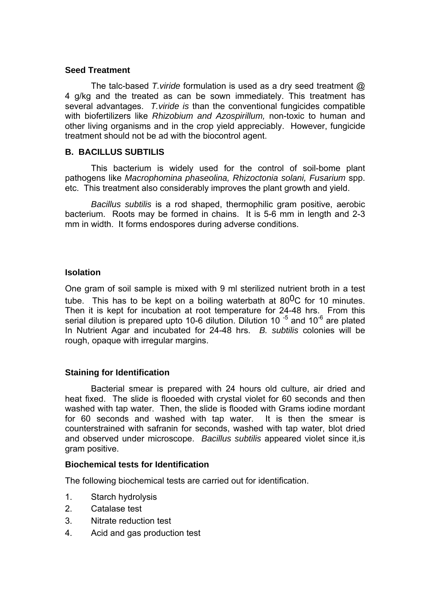### **Seed Treatment**

 The talc-based *T.viride* formulation is used as a dry seed treatment @ 4 g/kg and the treated as can be sown immediately. This treatment has several advantages. *T.viride is* than the conventional fungicides compatible with biofertilizers like *Rhizobium and Azospirillum,* non-toxic to human and other living organisms and in the crop yield appreciably. However, fungicide treatment should not be ad with the biocontrol agent.

## **B. BACILLUS SUBTILIS**

 This bacterium is widely used for the control of soil-bome plant pathogens like *Macrophomina phaseolina, Rhizoctonia solani, Fusarium* spp. etc. This treatment also considerably improves the plant growth and yield.

*Bacillus subtilis* is a rod shaped, thermophilic gram positive, aerobic bacterium. Roots may be formed in chains. It is 5-6 mm in length and 2-3 mm in width. It forms endospores during adverse conditions.

## **Isolation**

One gram of soil sample is mixed with 9 ml sterilized nutrient broth in a test tube. This has to be kept on a boiling waterbath at  $80^0C$  for 10 minutes. Then it is kept for incubation at root temperature for 24-48 hrs. From this serial dilution is prepared upto 10-6 dilution. Dilution 10 $<sup>-5</sup>$  and 10 $<sup>-6</sup>$  are plated</sup></sup> In Nutrient Agar and incubated for 24-48 hrs. *B. subtilis* colonies will be rough, opaque with irregular margins.

## **Staining for Identification**

 Bacterial smear is prepared with 24 hours old culture, air dried and heat fixed. The slide is flooeded with crystal violet for 60 seconds and then washed with tap water. Then, the slide is flooded with Grams iodine mordant for 60 seconds and washed with tap water. It is then the smear is counterstrained with safranin for seconds, washed with tap water, blot dried and observed under microscope. *Bacillus subtilis* appeared violet since it,is gram positive.

## **Biochemical tests for Identification**

The following biochemical tests are carried out for identification.

- 1. Starch hydrolysis
- 2. Catalase test
- 3. Nitrate reduction test
- 4. Acid and gas production test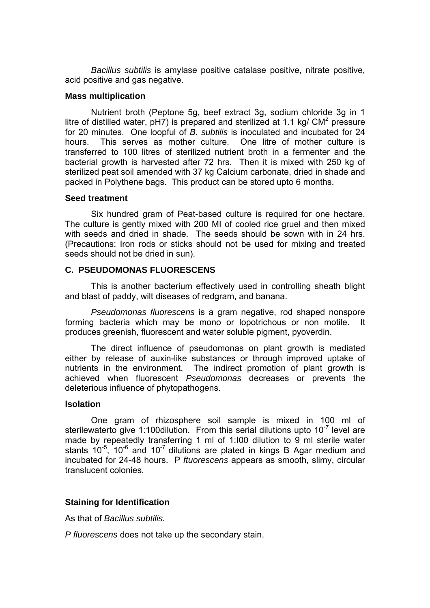*Bacillus subtilis* is amylase positive catalase positive, nitrate positive, acid positive and gas negative.

#### **Mass multiplication**

 Nutrient broth (Peptone 5g, beef extract 3g, sodium chloride 3g in 1 litre of distilled water,  $pH7$ ) is prepared and sterilized at 1.1 kg/  $CM<sup>2</sup>$  pressure for 20 minutes. One loopful of *B. subtilis* is inoculated and incubated for 24 hours. This serves as mother culture. One litre of mother culture is transferred to 100 litres of sterilized nutrient broth in a fermenter and the bacterial growth is harvested after 72 hrs. Then it is mixed with 250 kg of sterilized peat soil amended with 37 kg Calcium carbonate, dried in shade and packed in Polythene bags. This product can be stored upto 6 months.

#### **Seed treatment**

 Six hundred gram of Peat-based culture is required for one hectare. The culture is gently mixed with 200 MI of cooled rice gruel and then mixed with seeds and dried in shade. The seeds should be sown with in 24 hrs. (Precautions: Iron rods or sticks should not be used for mixing and treated seeds should not be dried in sun).

#### **C. PSEUDOMONAS FLUORESCENS**

 This is another bacterium effectively used in controlling sheath blight and blast of paddy, wilt diseases of redgram, and banana.

*Pseudomonas fluorescens* is a gram negative, rod shaped nonspore forming bacteria which may be mono or lopotrichous or non motile. It produces greenish, fluorescent and water soluble pigment, pyoverdin.

 The direct influence of pseudomonas on plant growth is mediated either by release of auxin-like substances or through improved uptake of nutrients in the environment. The indirect promotion of plant growth is achieved when fluorescent *Pseudomonas* decreases or prevents the deleterious influence of phytopathogens.

#### **lsolation**

 One gram of rhizosphere soil sample is mixed in 100 ml of sterilewaterto give 1:100 dilution. From this serial dilutions upto  $10^{-7}$  level are made by repeatedly transferring 1 ml of 1:I00 dilution to 9 ml sterile water stants  $10^{-5}$ ,  $10^{-6}$  and  $10^{-7}$  dilutions are plated in kings B Agar medium and incubated for 24-48 hours. P *ftuorescens* appears as smooth, slimy, circular translucent colonies.

#### **Staining for Identification**

As that of *Bacillus subtilis.*

*P fluorescens* does not take up the secondary stain.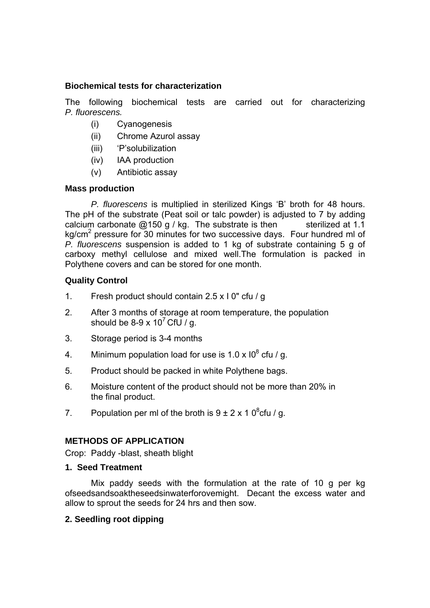## **Biochemical tests for characterization**

The following biochemical tests are carried out for characterizing *P. fluorescens.*

- (i) Cyanogenesis
- (ii) Chrome Azurol assay
- (iii) 'P'solubilization
- (iv) IAA production
- (v) Antibiotic assay

## **Mass production**

 *P. fluorescens* is multiplied in sterilized Kings 'B' broth for 48 hours. The pH of the substrate (Peat soil or talc powder) is adjusted to 7 by adding calcium carbonate  $@150 g / kg$ . The substrate is then sterilized at 1.1 kg/cm<sup>2</sup> pressure for 30 minutes for two successive days. Four hundred ml of *P. fluorescens* suspension is added to 1 kg of substrate containing 5 g of carboxy methyl cellulose and mixed well.The formulation is packed in Polythene covers and can be stored for one month.

## **Quality Control**

- 1. Fresh product should contain 2.5 x I 0" cfu / g
- 2. After 3 months of storage at room temperature, the population should be 8-9 x 10<sup>7</sup> CfU / g.
- 3. Storage period is 3-4 months
- 4. Minimum population load for use is 1.0 x  $10^8$  cfu / g.
- 5. Product should be packed in white Polythene bags.
- 6. Moisture content of the product should not be more than 20% in the final product.
- 7. Population per ml of the broth is  $9 \pm 2 \times 10^8$ cfu / g.

## **METHODS OF APPLICATION**

Crop: Paddy -blast, sheath blight

## **1. Seed Treatment**

 Mix paddy seeds with the formulation at the rate of 10 g per kg ofseedsandsoaktheseedsinwaterforovemight. Decant the excess water and allow to sprout the seeds for 24 hrs and then sow.

## **2. Seedling root dipping**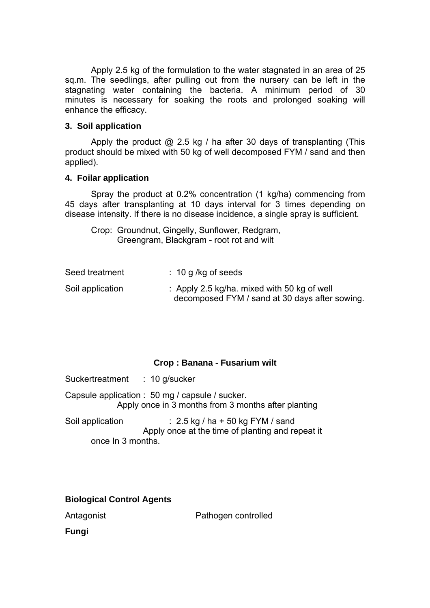Apply 2.5 kg of the formulation to the water stagnated in an area of 25 sq.m. The seedlings, after pulling out from the nursery can be left in the stagnating water containing the bacteria. A minimum period of 30 minutes is necessary for soaking the roots and prolonged soaking will enhance the efficacy.

## **3. Soil application**

Apply the product  $\omega$  2.5 kg / ha after 30 days of transplanting (This product should be mixed with 50 kg of well decomposed FYM / sand and then applied).

#### **4. Foilar application**

Spray the product at 0.2% concentration (1 kg/ha) commencing from 45 days after transplanting at 10 days interval for 3 times depending on disease intensity. If there is no disease incidence, a single spray is sufficient.

 Crop: Groundnut, Gingelly, Sunflower, Redgram, Greengram, Blackgram - root rot and wilt

| Seed treatment   | $\therefore$ 10 g /kg of seeds                                                                |
|------------------|-----------------------------------------------------------------------------------------------|
| Soil application | : Apply 2.5 kg/ha. mixed with 50 kg of well<br>decomposed FYM / sand at 30 days after sowing. |

#### **Crop : Banana - Fusarium wilt**

Suckertreatment : 10 g/sucker

Capsule application : 50 mg / capsule / sucker. Apply once in 3 months from 3 months after planting

Soil application : 2.5 kg / ha + 50 kg FYM / sand Apply once at the time of planting and repeat it once In 3 months.

## **Biological Control Agents**

Antagonist **Pathogen controlled** 

**Fungi**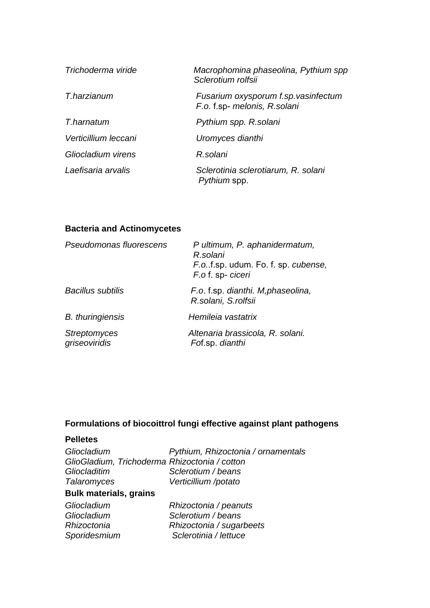| Trichoderma viride   | Macrophomina phaseolina, Pythium spp<br>Sclerotium rolfsii           |
|----------------------|----------------------------------------------------------------------|
| T.harzianum          | Fusarium oxysporum f.sp. vasinfectum<br>F.o. f.sp- melonis, R.solani |
| T.harnatum           | Pythium spp. R.solani                                                |
| Verticillium leccani | Uromyces dianthi                                                     |
| Gliocladium virens   | R.solani                                                             |
| Laefisaria arvalis   | Sclerotinia sclerotiarum, R. solani<br>Pythium spp.                  |

# **Bacteria and Actinomycetes**

| Pseudomonas fluorescens              | P ultimum, P. aphanidermatum,<br>R.solani<br>F.o.f.sp. udum. Fo. f. sp. cubense,<br>F.o.f. sp-ciceri |
|--------------------------------------|------------------------------------------------------------------------------------------------------|
| <b>Bacillus subtilis</b>             | F.o. f.sp. dianthi. M, phaseolina,<br>R.solani, S.rolfsii                                            |
| <b>B.</b> thuringiensis              | Hemileia vastatrix                                                                                   |
| <b>Streptomyces</b><br>griseoviridis | Altenaria brassicola, R. solani.<br>Fof.sp. dianthi                                                  |

# **Formulations of biocoittrol fungi effective against plant pathogens**

## **Pelletes**

| Gliocladium                                   | Pythium, Rhizoctonia / ornamentals |
|-----------------------------------------------|------------------------------------|
| GlioGladium, Trichoderma Rhizoctonia / cotton |                                    |
| Gliocladitim                                  | Sclerotium / beans                 |
| <b>Talaromyces</b>                            | Verticillium /potato               |
| <b>Bulk materials, grains</b>                 |                                    |
| Gliocladium                                   | Rhizoctonia / peanuts              |
| Gliocladium                                   | Sclerotium / beans                 |
| Rhizoctonia                                   | Rhizoctonia / sugarbeets           |
| Sporidesmium                                  | Sclerotinia / lettuce              |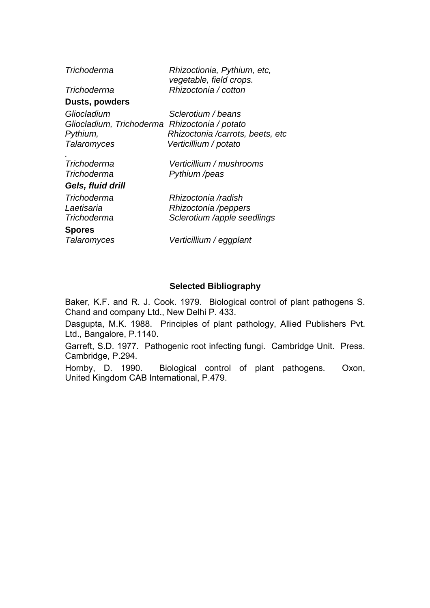| Trichoderma              | Rhizoctionia, Pythium, etc,<br>vegetable, field crops. |  |
|--------------------------|--------------------------------------------------------|--|
| Trichoderrna             | Rhizoctonia / cotton                                   |  |
| Dusts, powders           |                                                        |  |
| Gliocladium              | Sclerotium / beans                                     |  |
| Gliocladium, Trichoderma | Rhizoctonia / potato                                   |  |
| Pythium,                 | Rhizoctonia /carrots, beets, etc.                      |  |
| Talaromyces              | Verticillium / potato                                  |  |
|                          |                                                        |  |
| Trichoderrna             | Verticillium / mushrooms                               |  |
| Trichoderma              | Pythium /peas                                          |  |
| Gels, fluid drill        |                                                        |  |
| Trichoderma              | Rhizoctonia /radish                                    |  |
| Laetisaria               | Rhizoctonia /peppers                                   |  |
| Trichoderma              | Sclerotium /apple seedlings                            |  |
| <b>Spores</b>            |                                                        |  |
| Talaromyces              | Verticillium / eggplant                                |  |

## **Selected Bibliography**

Baker, K.F. and R. J. Cook. 1979. Biological control of plant pathogens S. Chand and company Ltd., New Delhi P. 433.

Dasgupta, M.K. 1988. Principles of plant pathology, Allied Publishers Pvt. Ltd., Bangalore, P.1140.

Garreft, S.D. 1977. Pathogenic root infecting fungi. Cambridge Unit. Press. Cambridge, P.294.

Hornby, D. 1990. Biological control of plant pathogens. Oxon, United Kingdom CAB International, P.479.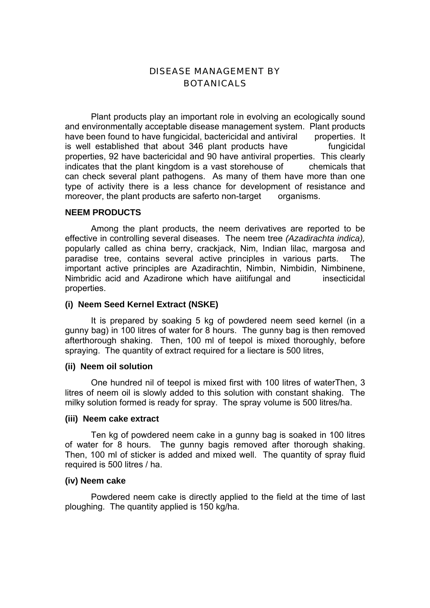## DISEASE MANAGEMENT BY **BOTANICALS**

 Plant products play an important role in evolving an ecologically sound and environmentally acceptable disease management system. Plant products have been found to have fungicidal, bactericidal and antiviral properties. It is well established that about 346 plant products have fungicidal properties, 92 have bactericidal and 90 have antiviral properties. This clearly indicates that the plant kingdom is a vast storehouse of chemicals that can check several plant pathogens. As many of them have more than one type of activity there is a less chance for development of resistance and moreover, the plant products are saferto non-target organisms.

#### **NEEM PRODUCTS**

 Among the plant products, the neem derivatives are reported to be effective in controlling several diseases. The neem tree *(Azadirachta indica),*  popularly called as china berry, crackjack, Nim, Indian lilac, margosa and paradise tree, contains several active principles in various parts. The important active principles are Azadirachtin, Nimbin, Nimbidin, Nimbinene, Nimbridic acid and Azadirone which have aiitifungal and insecticidal properties.

## **(i) Neem Seed Kernel Extract (NSKE)**

 It is prepared by soaking 5 kg of powdered neem seed kernel (in a gunny bag) in 100 litres of water for 8 hours. The gunny bag is then removed afterthorough shaking. Then, 100 ml of teepol is mixed thoroughly, before spraying. The quantity of extract required for a liectare is 500 litres,

#### **(ii) Neem oil solution**

 One hundred nil of teepol is mixed first with 100 litres of waterThen, 3 litres of neem oil is slowly added to this solution with constant shaking. The milky solution formed is ready for spray. The spray volume is 500 litres/ha.

#### **(iii) Neem cake extract**

 Ten kg of powdered neem cake in a gunny bag is soaked in 100 litres of water for 8 hours. The gunny bagis removed after thorough shaking. Then, 100 ml of sticker is added and mixed well. The quantity of spray fluid required is 500 litres / ha.

#### **(iv) Neem cake**

 Powdered neem cake is directly applied to the field at the time of last ploughing. The quantity applied is 150 kg/ha.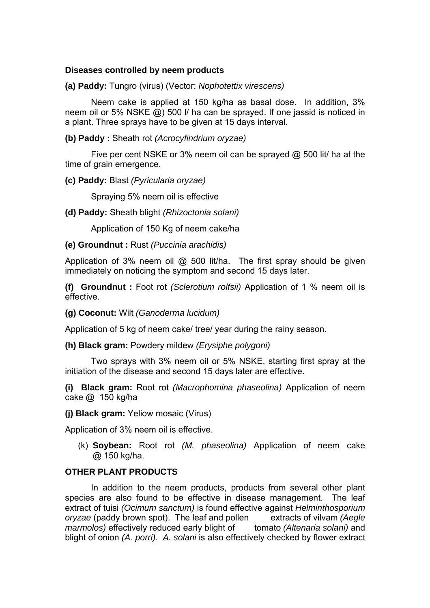## **Diseases controlled by neem products**

**(a) Paddy:** Tungro (virus) (Vector: *Nophotettix virescens)*

 Neem cake is applied at 150 kg/ha as basal dose. In addition, 3% neem oil or 5% NSKE @) 500 l/ ha can be sprayed. If one jassid is noticed in a plant. Three sprays have to be given at 15 days interval.

**(b) Paddy :** Sheath rot *(Acrocyfindrium oryzae)*

 Five per cent NSKE or 3% neem oil can be sprayed @ 500 lit/ ha at the time of grain emergence.

**(c) Paddy:** Blast *(Pyricularia oryzae)*

Spraying 5% neem oil is effective

**(d) Paddy:** Sheath blight *(Rhizoctonia solani)*

Application of 150 Kg of neem cake/ha

#### **(e) Groundnut :** Rust *(Puccinia arachidis)*

Application of 3% neem oil  $@$  500 lit/ha. The first spray should be given immediately on noticing the symptom and second 15 days later.

**(f) Groundnut :** Foot rot *(Sclerotium rolfsii)* Application of 1 % neem oil is effective.

**(g) Coconut:** Wilt *(Ganoderma lucidum)*

Application of 5 kg of neem cake/ tree/ year during the rainy season.

**(h) Black gram:** Powdery mildew *(Erysiphe polygoni)*

 Two sprays with 3% neem oil or 5% NSKE, starting first spray at the initiation of the disease and second 15 days later are effective.

**(i) Black gram:** Root rot *(Macrophomina phaseolina)* Application of neem cake @ 150 kg/ha

**(j) Black gram:** Yeliow mosaic (Virus)

Application of 3% neem oil is effective.

(k) **Soybean:** Root rot *(M. phaseolina)* Application of neem cake @ 150 kg/ha.

## **OTHER PLANT PRODUCTS**

 In addition to the neem products, products from several other plant species are also found to be effective in disease management. The leaf extract of tuisi *(Ocimum sanctum)* is found effective against *Helminthosporium oryzae* (paddy brown spot). The leaf and pollen extracts of vilvam *(Aegle marmolos)* effectively reduced early blight of tomato *(Altenaria solani)* and blight of onion *(A. porri). A. solani* is also effectively checked by flower extract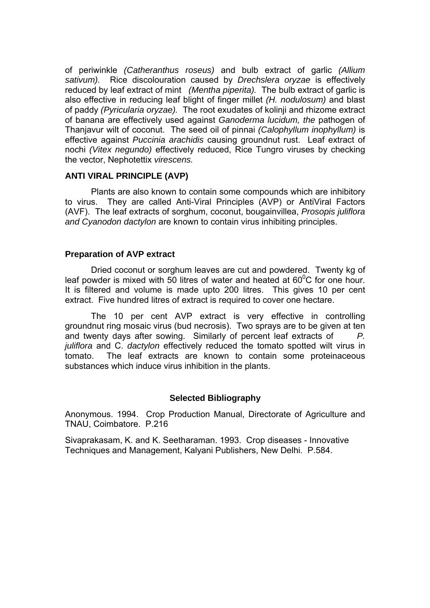of periwinkle *(Catheranthus roseus)* and bulb extract of garlic *(Allium sativum).* Rice discolouration caused by *Drechslera oryzae* is effectively reduced by leaf extract of mint *(Mentha piperita).* The bulb extract of garlic is also effective in reducing leaf blight of finger millet *(H. nodulosum)* and blast of paddy *(Pyricularia oryzae).* The root exudates of kolinji and rhizome extract of banana are effectively used against *Ganoderma lucidum, the* pathogen of Thanjavur wilt of coconut. The seed oil of pinnai *(Calophyllum inophyllum)* is effective against *Puccinia arachidis* causing groundnut rust. Leaf extract of nochi *(Vitex negundo)* effectively reduced, Rice Tungro viruses by checking the vector, Nephotettix *virescens.*

## **ANTI VIRAL PRINCIPLE (AVP)**

 Plants are also known to contain some compounds which are inhibitory to virus. They are called Anti-Viral Principles (AVP) or AntiViral Factors (AVF). The leaf extracts of sorghum, coconut, bougainvillea, *Prosopis juliflora and Cyanodon dactylon* are known to contain virus inhibiting principles.

## **Preparation of AVP extract**

 Dried coconut or sorghum leaves are cut and powdered. Twenty kg of leaf powder is mixed with 50 litres of water and heated at 60 $\mathrm{^{0}C}$  for one hour. It is filtered and volume is made upto 200 litres. This gives 10 per cent extract. Five hundred litres of extract is required to cover one hectare.

 The 10 per cent AVP extract is very effective in controlling groundnut ring mosaic virus (bud necrosis). Two sprays are to be given at ten and twenty days after sowing. Similarly of percent leaf extracts of *P. juliflora* and C. *dactylon* effectively reduced the tomato spotted wilt virus in tomato. The leaf extracts are known to contain some proteinaceous substances which induce virus inhibition in the plants.

## **Selected Bibliography**

Anonymous. 1994. Crop Production Manual, Directorate of Agriculture and TNAU, Coimbatore. P.216

Sivaprakasam, K. and K. Seetharaman. 1993. Crop diseases - Innovative Techniques and Management, Kalyani Publishers, New Delhi. P.584.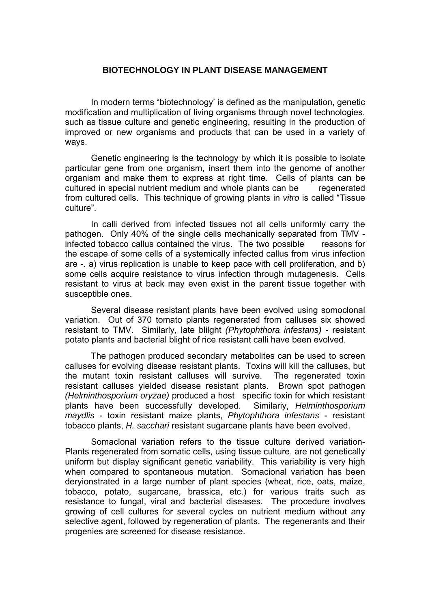## **BIOTECHNOLOGY IN PLANT DISEASE MANAGEMENT**

 In modern terms "biotechnology' is defined as the manipulation, genetic modification and multiplication of living organisms through novel technologies, such as tissue culture and genetic engineering, resulting in the production of improved or new organisms and products that can be used in a variety of ways.

 Genetic engineering is the technology by which it is possible to isolate particular gene from one organism, insert them into the genome of another organism and make them to express at right time. Cells of plants can be cultured in special nutrient medium and whole plants can be regenerated from cultured cells. This technique of growing plants in *vitro* is called "Tissue culture".

 In calli derived from infected tissues not all cells uniformly carry the pathogen. Only 40% of the single cells mechanically separated from TMV infected tobacco callus contained the virus. The two possible reasons for the escape of some cells of a systemically infected callus from virus infection are -. a) virus replication is unable to keep pace with cell proliferation, and b) some cells acquire resistance to virus infection through mutagenesis. Cells resistant to virus at back may even exist in the parent tissue together with susceptible ones.

 Several disease resistant plants have been evolved using somoclonal variation. Out of 370 tomato plants regenerated from calluses six showed resistant to TMV. Similarly, late blilght *(Phytophthora infestans)* - resistant potato plants and bacterial blight of rice resistant calli have been evolved.

 The pathogen produced secondary metabolites can be used to screen calluses for evolving disease resistant plants. Toxins will kill the calluses, but the mutant toxin resistant calluses will survive. The regenerated toxin resistant calluses yielded disease resistant plants. Brown spot pathogen *(Helminthosporium oryzae)* produced a host specific toxin for which resistant plants have been successfully developed. Similariy, *Helminthosporium maydlis* - toxin resistant maize plants, *Phytophthora infestans* - resistant tobacco plants, *H. sacchari* resistant sugarcane plants have been evolved.

Somaclonal variation refers to the tissue culture derived variation-Plants regenerated from somatic cells, using tissue culture. are not genetically uniform but display significant genetic variability. This variability is very high when compared to spontaneous mutation. Somacional variation has been deryionstrated in a large number of plant species (wheat, rice, oats, maize, tobacco, potato, sugarcane, brassica, etc.) for various traits such as resistance to fungal, viral and bacterial diseases. The procedure involves growing of cell cultures for several cycles on nutrient medium without any selective agent, followed by regeneration of plants. The regenerants and their progenies are screened for disease resistance.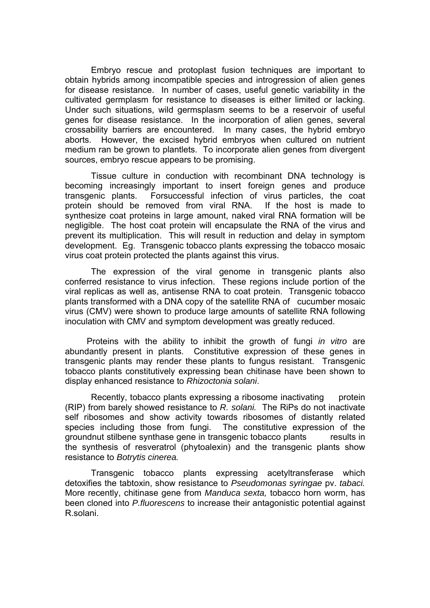Embryo rescue and protoplast fusion techniques are important to obtain hybrids among incompatible species and introgression of alien genes for disease resistance. In number of cases, useful genetic variability in the cultivated germplasm for resistance to diseases is either limited or lacking. Under such situations, wild germsplasm seems to be a reservoir of useful genes for disease resistance. In the incorporation of alien genes, several crossability barriers are encountered. In many cases, the hybrid embryo aborts. However, the excised hybrid embryos when cultured on nutrient medium ran be grown to plantlets. To incorporate alien genes from divergent sources, embryo rescue appears to be promising.

 Tissue culture in conduction with recombinant DNA technology is becoming increasingly important to insert foreign genes and produce transgenic plants. Forsuccessful infection of virus particles, the coat protein should be removed from viral RNA. If the host is made to synthesize coat proteins in large amount, naked viral RNA formation will be negligible. The host coat protein will encapsulate the RNA of the virus and prevent its multiplication. This will result in reduction and delay in symptom development. Eg. Transgenic tobacco plants expressing the tobacco mosaic virus coat protein protected the plants against this virus.

 The expression of the viral genome in transgenic plants also conferred resistance to virus infection. These regions include portion of the viral replicas as well as, antisense RNA to coat protein. Transgenic tobacco plants transformed with a DNA copy of the satellite RNA of cucumber mosaic virus (CMV) were shown to produce large amounts of satellite RNA following inoculation with CMV and symptom development was greatly reduced.

 Proteins with the ability to inhibit the growth of fungi *in vitro* are abundantly present in plants. Constitutive expression of these genes in transgenic plants may render these plants to fungus resistant. Transgenic tobacco plants constitutively expressing bean chitinase have been shown to display enhanced resistance to *Rhizoctonia solani*.

Recently, tobacco plants expressing a ribosome inactivating protein (RIP) from barely showed resistance to *R. solani.* The RiPs do not inactivate self ribosomes and show activity towards ribosomes of distantly related species including those from fungi. The constitutive expression of the groundnut stilbene synthase gene in transgenic tobacco plants results in the synthesis of resveratrol (phytoalexin) and the transgenic plants show resistance to *Botrytis cinerea.*

 Transgenic tobacco plants expressing acetyltransferase which detoxifies the tabtoxin, show resistance to *Pseudomonas syringae* pv. *tabaci.*  More recently, chitinase gene from *Manduca sexta,* tobacco horn worm, has been cloned into *P.fluorescens* to increase their antagonistic potential against R.solani.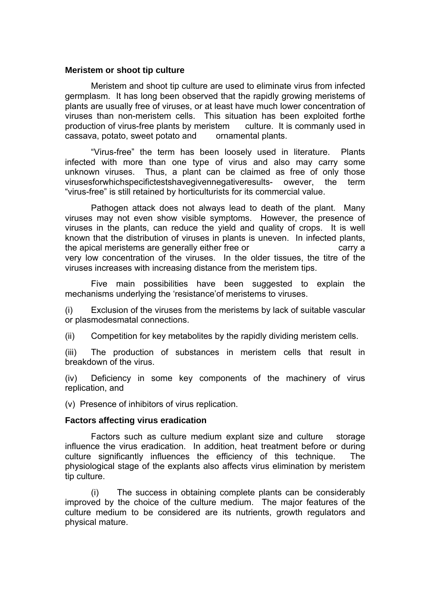#### **Meristem or shoot tip culture**

 Meristem and shoot tip culture are used to eliminate virus from infected germplasm. It has long been observed that the rapidly growing meristems of plants are usually free of viruses, or at least have much lower concentration of viruses than non-meristem cells. This situation has been exploited forthe production of virus-free plants by meristem culture. It is commanly used in cassava, potato, sweet potato and ornamental plants.

 "Virus-free" the term has been loosely used in literature. Plants infected with more than one type of virus and also may carry some unknown viruses. Thus, a plant can be claimed as free of only those virusesforwhichspecifictestshavegivennegativeresults- owever, the term "virus-free" is still retained by horticulturists for its commercial value.

 Pathogen attack does not always lead to death of the plant. Many viruses may not even show visible symptoms. However, the presence of viruses in the plants, can reduce the yield and quality of crops. It is well known that the distribution of viruses in plants is uneven. In infected plants, the apical meristems are generally either free or carry a very low concentration of the viruses. In the older tissues, the titre of the viruses increases with increasing distance from the meristem tips.

 Five main possibilities have been suggested to explain the mechanisms underlying the 'resistance'of meristems to viruses.

(i) Exclusion of the viruses from the meristems by lack of suitable vascular or plasmodesmatal connections.

(ii) Competition for key metabolites by the rapidly dividing meristem cells.

(iii) The production of substances in meristem cells that result in breakdown of the virus.

(iv) Deficiency in some key components of the machinery of virus replication, and

(v) Presence of inhibitors of virus replication.

#### **Factors affecting virus eradication**

 Factors such as culture medium explant size and culture storage influence the virus eradication. In addition, heat treatment before or during culture significantly influences the efficiency of this technique. The physiological stage of the explants also affects virus elimination by meristem tip culture.

 (i) The success in obtaining complete plants can be considerably improved by the choice of the culture medium. The major features of the culture medium to be considered are its nutrients, growth regulators and physical mature.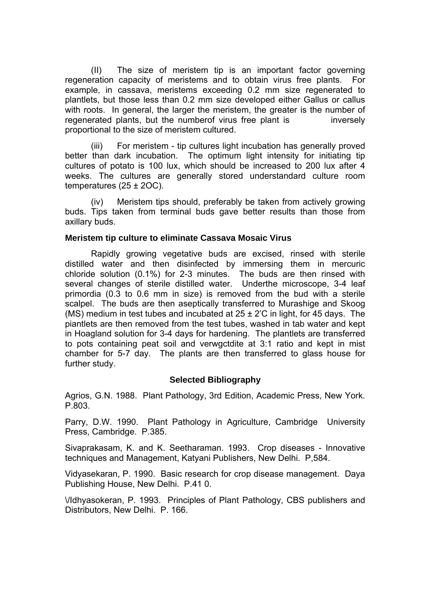(II) The size of meristem tip is an important factor governing regeneration capacity of meristems and to obtain virus free plants. For example, in cassava, meristems exceeding 0.2 mm size regenerated to plantlets, but those less than 0.2 mm size developed either Gallus or callus with roots. In general, the larger the meristem, the greater is the number of regenerated plants, but the numberof virus free plant is inversely proportional to the size of meristem cultured.

(iii) For meristem - tip cultures light incubation has generally proved better than dark incubation. The optimum light intensity for initiating tip cultures of potato is 100 lux, which should be increased to 200 lux after 4 weeks. The cultures are generally stored understandard culture room temperatures (25 ± 2OC).

 (iv) Meristem tips should, preferably be taken from actively growing buds. Tips taken from terminal buds gave better results than those from axillary buds.

#### **Meristem tip culture to eliminate Cassava Mosaic Virus**

 Rapidly growing vegetative buds are excised, rinsed with sterile distilled water and then disinfected by immersing them in mercuric chloride solution (0.1%) for 2-3 minutes. The buds are then rinsed with several changes of sterile distilled water. Underthe microscope, 3-4 leaf primordia (0.3 to 0.6 mm in size) is removed from the bud with a sterile scalpel. The buds are then aseptically transferred to Murashige and Skoog (MS) medium in test tubes and incubated at  $25 \pm 2^{\circ}$ C in light, for 45 days. The piantlets are then removed from the test tubes, washed in tab water and kept in Hoagland solution for 3-4 days for hardening. The plantlets are transferred to pots containing peat soil and verwgctdite at 3:1 ratio and kept in mist chamber for 5-7 day. The plants are then transferred to glass house for further study.

#### **Selected Bibliography**

Agrios, G.N. 1988. Plant Pathology, 3rd Edition, Academic Press, New York. P.803.

Parry, D.W. 1990. Plant Pathology in Agriculture, Cambridge University Press, Cambridge. P.385.

Sivaprakasam, K. and K. Seetharaman. 1993. Crop diseases - Innovative techniques and Management, Katyani Publishers, New Delhi. P,584.

Vidyasekaran, P. 1990. Basic research for crop disease management. Daya Publishing House, New Delhi. P.41 0.

\/Idhyasokeran, P. 1993. Principles of Plant Pathology, CBS publishers and Distributors, New Delhi. P. 166.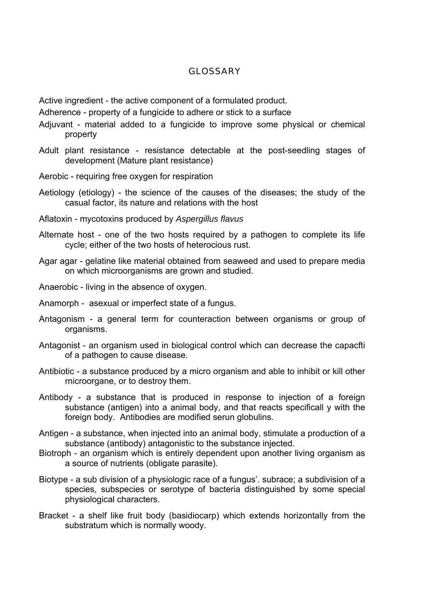## **GLOSSARY**

Active ingredient - the active component of a formulated product.

Adherence - property of a fungicide to adhere or stick to a surface

- Adjuvant material added to a fungicide to improve some physical or chemical property
- Adult plant resistance resistance detectable at the post-seedling stages of development (Mature plant resistance)
- Aerobic requiring free oxygen for respiration
- Aetiology (etiology) the science of the causes of the diseases; the study of the casual factor, its nature and relations with the host
- Aflatoxin mycotoxins produced by *Aspergillus flavus*
- Alternate host one of the two hosts required by a pathogen to complete its life cycle; either of the two hosts of heterocious rust.
- Agar agar gelatine like material obtained from seaweed and used to prepare media on which microorganisms are grown and studied.
- Anaerobic living in the absence of oxygen.
- Anamorph asexual or imperfect state of a fungus.
- Antagonism a general term for counteraction between organisms or group of organisms.
- Antagonist an organism used in biological control which can decrease the capacfti of a pathogen to cause disease.
- Antibiotic a substance produced by a micro organism and able to inhibit or kill other rnicroorgane, or to destroy them.
- Antibody a substance that is produced in response to injection of a foreign substance (antigen) into a animal body, and that reacts specificall y with the foreign body. Antibodies are modified serun globulins.
- Antigen a substance, when injected into an animal body, stimulate a production of a substance (antibody) antagonistic to the substance injected.
- Biotroph an organism which is entirely dependent upon another living organism as a source of nutrients (obligate parasite).
- Biotype a sub division of a physiologic race of a fungus'. subrace; a subdivision of a species, subspecies or serotype of bacteria distinguished by some special physiological characters.
- Bracket a shelf like fruit body (basidiocarp) which extends horizontally from the substratum which is normally woody.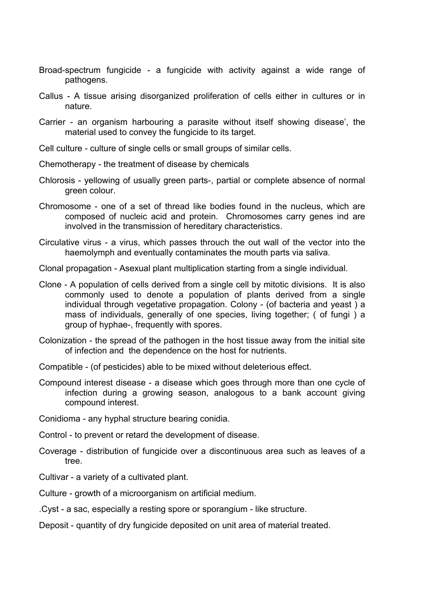- Broad-spectrum fungicide a fungicide with activity against a wide range of pathogens.
- Callus A tissue arising disorganized proliferation of cells either in cultures or in nature.
- Carrier an organism harbouring a parasite without itself showing disease', the material used to convey the fungicide to its target.
- Cell culture culture of single cells or small groups of similar cells.
- Chemotherapy the treatment of disease by chemicals
- Chlorosis yellowing of usually green parts-, partial or complete absence of normal green colour.
- Chromosome one of a set of thread like bodies found in the nucleus, which are composed of nucleic acid and protein. Chromosomes carry genes ind are involved in the transmission of hereditary characteristics.
- Circulative virus a virus, which passes throuch the out wall of the vector into the haemolymph and eventually contaminates the mouth parts via saliva.
- Clonal propagation Asexual plant multiplication starting from a single individual.
- Clone A population of cells derived from a single cell by mitotic divisions. It is also commonly used to denote a population of plants derived from a single individual through vegetative propagation. Colony - (of bacteria and yeast ) a mass of individuals, generally of one species, living together; ( of fungi ) a group of hyphae-, frequently with spores.
- Colonization the spread of the pathogen in the host tissue away from the initial site of infection and the dependence on the host for nutrients.
- Compatible (of pesticides) able to be mixed without deleterious effect.
- Compound interest disease a disease which goes through more than one cycle of infection during a growing season, analogous to a bank account giving compound interest.
- Conidioma any hyphal structure bearing conidia.
- Control to prevent or retard the development of disease.
- Coverage distribution of fungicide over a discontinuous area such as leaves of a tree.
- Cultivar a variety of a cultivated plant.
- Culture growth of a microorganism on artificial medium.
- .Cyst a sac, especially a resting spore or sporangium like structure.
- Deposit quantity of dry fungicide deposited on unit area of material treated.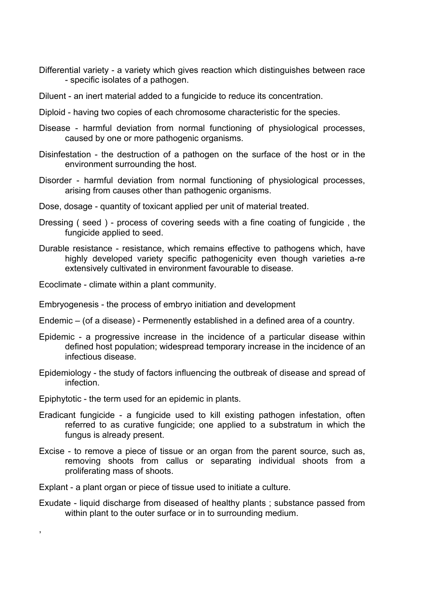- Differential variety a variety which gives reaction which distinguishes between race - specific isolates of a pathogen.
- Diluent an inert material added to a fungicide to reduce its concentration.
- Diploid having two copies of each chromosome characteristic for the species.
- Disease harmful deviation from normal functioning of physiological processes, caused by one or more pathogenic organisms.
- Disinfestation the destruction of a pathogen on the surface of the host or in the environment surrounding the host.
- Disorder harmful deviation from normal functioning of physiological processes, arising from causes other than pathogenic organisms.
- Dose, dosage quantity of toxicant applied per unit of material treated.
- Dressing ( seed ) process of covering seeds with a fine coating of fungicide , the fungicide applied to seed.
- Durable resistance resistance, which remains effective to pathogens which, have highly developed variety specific pathogenicity even though varieties a-re extensively cultivated in environment favourable to disease.
- Ecoclimate climate within a plant community.
- Embryogenesis the process of embryo initiation and development
- Endemic (of a disease) Permenently established in a defined area of a country.
- Epidemic a progressive increase in the incidence of a particular disease within defined host population; widespread temporary increase in the incidence of an infectious disease.
- Epidemiology the study of factors influencing the outbreak of disease and spread of infection.
- Epiphytotic the term used for an epidemic in plants.

,

- Eradicant fungicide a fungicide used to kill existing pathogen infestation, often referred to as curative fungicide; one applied to a substratum in which the fungus is already present.
- Excise to remove a piece of tissue or an organ from the parent source, such as, removing shoots from callus or separating individual shoots from a proliferating mass of shoots.
- Explant a plant organ or piece of tissue used to initiate a culture.
- Exudate liquid discharge from diseased of healthy plants ; substance passed from within plant to the outer surface or in to surrounding medium.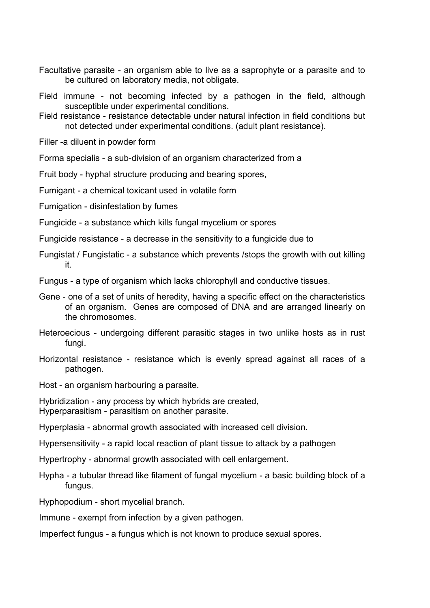- Facultative parasite an organism able to live as a saprophyte or a parasite and to be cultured on laboratory media, not obligate.
- Field immune not becoming infected by a pathogen in the field, although susceptible under experimental conditions.
- Field resistance resistance detectable under natural infection in field conditions but not detected under experimental conditions. (adult plant resistance).

Filler -a diluent in powder form

Forma specialis - a sub-division of an organism characterized from a

Fruit body - hyphal structure producing and bearing spores,

Fumigant - a chemical toxicant used in volatile form

Fumigation - disinfestation by fumes

- Fungicide a substance which kills fungal mycelium or spores
- Fungicide resistance a decrease in the sensitivity to a fungicide due to
- Fungistat / Fungistatic a substance which prevents /stops the growth with out killing it.

Fungus - a type of organism which lacks chlorophyll and conductive tissues.

- Gene one of a set of units of heredity, having a specific effect on the characteristics of an organism. Genes are composed of DNA and are arranged linearly on the chromosomes.
- Heteroecious undergoing different parasitic stages in two unlike hosts as in rust fungi.
- Horizontal resistance resistance which is evenly spread against all races of a pathogen.
- Host an organism harbouring a parasite.

Hybridization - any process by which hybrids are created, Hyperparasitism - parasitism on another parasite.

Hyperplasia - abnormal growth associated with increased cell division.

Hypersensitivity - a rapid local reaction of plant tissue to attack by a pathogen

Hypertrophy - abnormal growth associated with cell enlargement.

Hypha - a tubular thread like filament of fungal mycelium - a basic building block of a fungus.

Hyphopodium - short mycelial branch.

Immune - exempt from infection by a given pathogen.

Imperfect fungus - a fungus which is not known to produce sexual spores.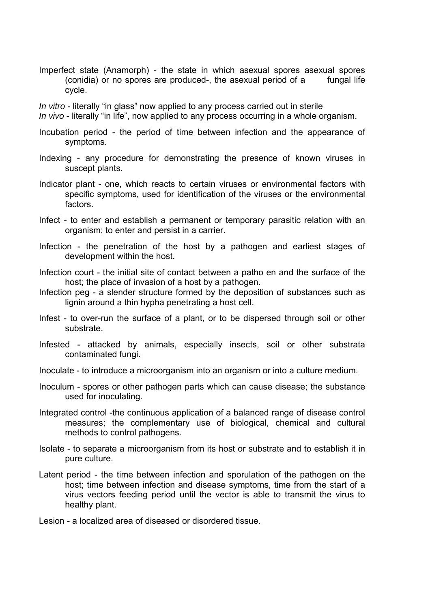Imperfect state (Anamorph) - the state in which asexual spores asexual spores (conidia) or no spores are produced-, the asexual period of a fungal life cycle.

*In vitro* - literally "in glass" now applied to any process carried out in sterile

*In vivo* - literally "in life", now applied to any process occurring in a whole organism.

- Incubation period the period of time between infection and the appearance of symptoms.
- Indexing any procedure for demonstrating the presence of known viruses in suscept plants.
- Indicator plant one, which reacts to certain viruses or environmental factors with specific symptoms, used for identification of the viruses or the environmental factors.
- Infect to enter and establish a permanent or temporary parasitic relation with an organism; to enter and persist in a carrier.
- Infection the penetration of the host by a pathogen and earliest stages of development within the host.
- Infection court the initial site of contact between a patho en and the surface of the host; the place of invasion of a host by a pathogen.
- Infection peg a slender structure formed by the deposition of substances such as lignin around a thin hypha penetrating a host cell.
- Infest to over-run the surface of a plant, or to be dispersed through soil or other substrate.
- Infested attacked by animals, especially insects, soil or other substrata contaminated fungi.
- Inoculate to introduce a microorganism into an organism or into a culture medium.
- Inoculum spores or other pathogen parts which can cause disease; the substance used for inoculating.
- Integrated control -the continuous application of a balanced range of disease control measures; the complementary use of biological, chemical and cultural methods to control pathogens.
- Isolate to separate a microorganism from its host or substrate and to establish it in pure culture.
- Latent period the time between infection and sporulation of the pathogen on the host; time between infection and disease symptoms, time from the start of a virus vectors feeding period until the vector is able to transmit the virus to healthy plant.
- Lesion a localized area of diseased or disordered tissue.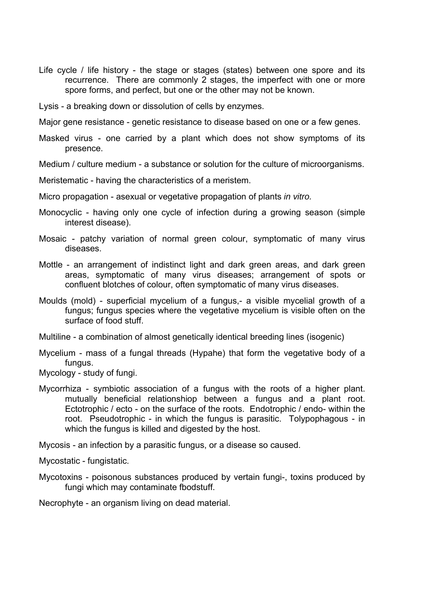- Life cycle / life history the stage or stages (states) between one spore and its recurrence. There are commonly 2 stages, the imperfect with one or more spore forms, and perfect, but one or the other may not be known.
- Lysis a breaking down or dissolution of cells by enzymes.

Major gene resistance - genetic resistance to disease based on one or a few genes.

Masked virus - one carried by a plant which does not show symptoms of its presence.

Medium / culture medium - a substance or solution for the culture of microorganisms.

Meristematic - having the characteristics of a meristem.

Micro propagation - asexual or vegetative propagation of plants *in vitro.*

- Monocyclic having only one cycle of infection during a growing season (simple interest disease).
- Mosaic patchy variation of normal green colour, symptomatic of many virus diseases.
- Mottle an arrangement of indistinct light and dark green areas, and dark green areas, symptomatic of many virus diseases; arrangement of spots or confluent blotches of colour, often symptomatic of many virus diseases.
- Moulds (mold) superficial mycelium of a fungus,- a visible mycelial growth of a fungus; fungus species where the vegetative mycelium is visible often on the surface of food stuff.
- Multiline a combination of almost genetically identical breeding lines (isogenic)
- Mycelium mass of a fungal threads (Hypahe) that form the vegetative body of a fungus.

Mycology - study of fungi.

Mycorrhiza - symbiotic association of a fungus with the roots of a higher plant. mutually beneficial relationshiop between a fungus and a plant root. Ectotrophic / ecto - on the surface of the roots. Endotrophic / endo- within the root. Pseudotrophic - in which the fungus is parasitic. Tolypophagous - in which the fungus is killed and digested by the host.

Mycosis - an infection by a parasitic fungus, or a disease so caused.

Mycostatic - fungistatic.

Mycotoxins - poisonous substances produced by vertain fungi-, toxins produced by fungi which may contaminate fbodstuff.

Necrophyte - an organism living on dead material.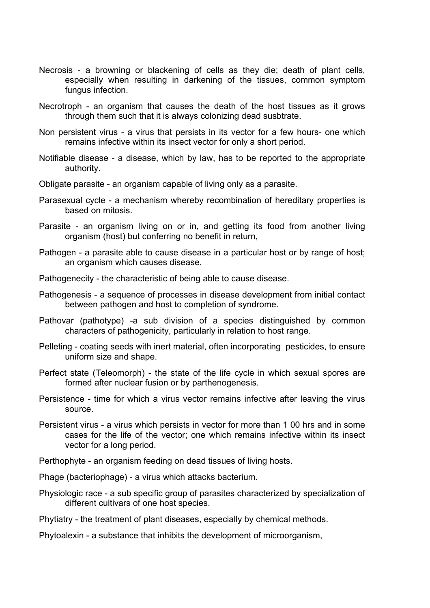- Necrosis a browning or blackening of cells as they die; death of plant cells, especially when resulting in darkening of the tissues, common symptom fungus infection.
- Necrotroph an organism that causes the death of the host tissues as it grows through them such that it is always colonizing dead susbtrate.
- Non persistent virus a virus that persists in its vector for a few hours- one which remains infective within its insect vector for only a short period.
- Notifiable disease a disease, which by law, has to be reported to the appropriate authority.
- Obligate parasite an organism capable of living only as a parasite.
- Parasexual cycle a mechanism whereby recombination of hereditary properties is based on mitosis.
- Parasite an organism living on or in, and getting its food from another living organism (host) but conferring no benefit in return,
- Pathogen a parasite able to cause disease in a particular host or by range of host; an organism which causes disease.
- Pathogenecity the characteristic of being able to cause disease.
- Pathogenesis a sequence of processes in disease development from initial contact between pathogen and host to completion of syndrome.
- Pathovar (pathotype) -a sub division of a species distinguished by common characters of pathogenicity, particularly in relation to host range.
- Pelleting coating seeds with inert material, often incorporating pesticides, to ensure uniform size and shape.
- Perfect state (Teleomorph) the state of the life cycle in which sexual spores are formed after nuclear fusion or by parthenogenesis.
- Persistence time for which a virus vector remains infective after leaving the virus source.
- Persistent virus a virus which persists in vector for more than 1 00 hrs and in some cases for the life of the vector; one which remains infective within its insect vector for a long period.
- Perthophyte an organism feeding on dead tissues of living hosts.
- Phage (bacteriophage) a virus which attacks bacterium.
- Physiologic race a sub specific group of parasites characterized by specialization of different cultivars of one host species.
- Phytiatry the treatment of plant diseases, especially by chemical methods.
- Phytoalexin a substance that inhibits the development of microorganism,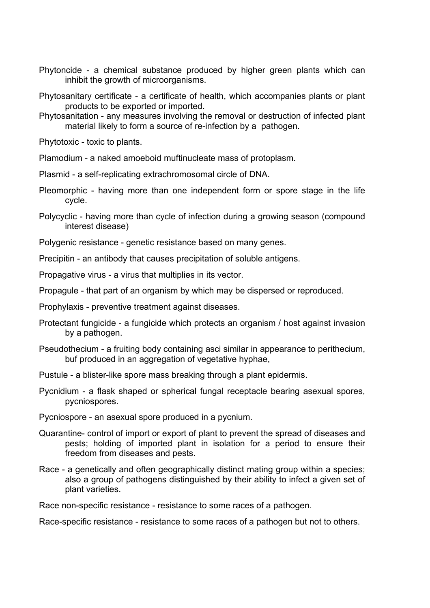- Phytoncide a chemical substance produced by higher green plants which can inhibit the growth of microorganisms.
- Phytosanitary certificate a certificate of health, which accompanies plants or plant products to be exported or imported.
- Phytosanitation any measures involving the removal or destruction of infected plant material likely to form a source of re-infection by a pathogen.

Phytotoxic - toxic to plants.

- Plamodium a naked amoeboid muftinucleate mass of protoplasm.
- Plasmid a self-replicating extrachromosomal circle of DNA.
- Pleomorphic having more than one independent form or spore stage in the life cycle.
- Polycyclic having more than cycle of infection during a growing season (compound interest disease)
- Polygenic resistance genetic resistance based on many genes.
- Precipitin an antibody that causes precipitation of soluble antigens.
- Propagative virus a virus that multiplies in its vector.
- Propagule that part of an organism by which may be dispersed or reproduced.
- Prophylaxis preventive treatment against diseases.
- Protectant fungicide a fungicide which protects an organism / host against invasion by a pathogen.
- Pseudothecium a fruiting body containing asci similar in appearance to perithecium, buf produced in an aggregation of vegetative hyphae,
- Pustule a blister-like spore mass breaking through a plant epidermis.
- Pycnidium a flask shaped or spherical fungal receptacle bearing asexual spores, pycniospores.
- Pycniospore an asexual spore produced in a pycnium.
- Quarantine- control of import or export of plant to prevent the spread of diseases and pests; holding of imported plant in isolation for a period to ensure their freedom from diseases and pests.
- Race a genetically and often geographically distinct mating group within a species; also a group of pathogens distinguished by their ability to infect a given set of plant varieties.

Race non-specific resistance - resistance to some races of a pathogen.

Race-specific resistance - resistance to some races of a pathogen but not to others.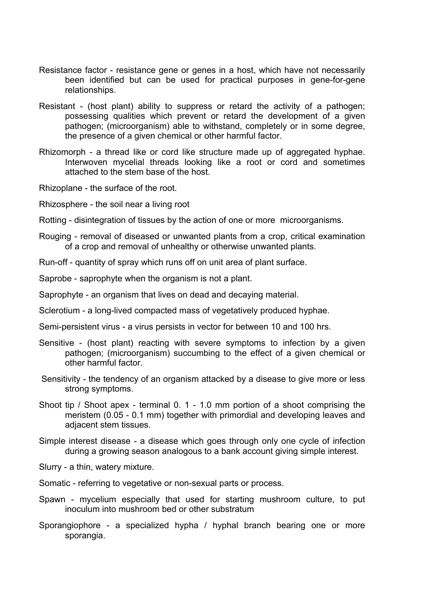- Resistance factor resistance gene or genes in a host, which have not necessarily been identified but can be used for practical purposes in gene-for-gene relationships.
- Resistant (host plant) ability to suppress or retard the activity of a pathogen; possessing qualities which prevent or retard the development of a given pathogen; (microorganism) able to withstand, completely or in some degree, the presence of a given chemical or other harmful factor.
- Rhizomorph a thread like or cord like structure made up of aggregated hyphae. Interwoven mycelial threads looking like a root or cord and sometimes attached to the stem base of the host.
- Rhizoplane the surface of the root.
- Rhizosphere the soil near a living root
- Rotting disintegration of tissues by the action of one or more microorganisms.
- Rouging removal of diseased or unwanted plants from a crop, critical examination of a crop and removal of unhealthy or otherwise unwanted plants.
- Run-off quantity of spray which runs off on unit area of plant surface.
- Saprobe saprophyte when the organism is not a plant.
- Saprophyte an organism that lives on dead and decaying material.
- Sclerotium a long-lived compacted mass of vegetatively produced hyphae.
- Semi-persistent virus a virus persists in vector for between 10 and 100 hrs.
- Sensitive (host plant) reacting with severe symptoms to infection by a given pathogen; (microorganism) succumbing to the effect of a given chemical or other harmful factor.
- Sensitivity the tendency of an organism attacked by a disease to give more or less strong symptoms.
- Shoot tip / Shoot apex terminal 0. 1 1.0 mm portion of a shoot comprising the meristem (0.05 - 0.1 mm) together with primordial and developing leaves and adjacent stem tissues.
- Simple interest disease a disease which goes through only one cycle of infection during a growing season analogous to a bank account giving simple interest.
- Slurry a thin, watery mixture.
- Somatic referring to vegetative or non-sexual parts or process.
- Spawn mycelium especially that used for starting mushroom culture, to put inoculum into mushroom bed or other substratum
- Sporangiophore a specialized hypha / hyphal branch bearing one or more sporangia.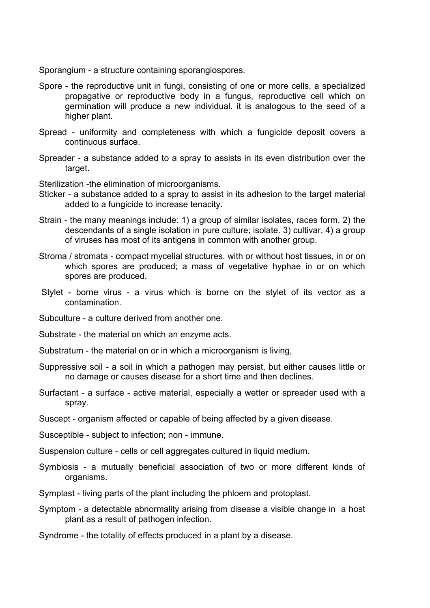Sporangium - a structure containing sporangiospores.

- Spore the reproductive unit in fungi, consisting of one or more cells, a specialized propagative or reproductive body in a fungus, reproductive cell which on germination will produce a new individual. it is analogous to the seed of a higher plant.
- Spread uniformity and completeness with which a fungicide deposit covers a continuous surface.
- Spreader a substance added to a spray to assists in its even distribution over the target.

Sterilization -the elimination of microorganisms.

- Sticker a substance added to a spray to assist in its adhesion to the target material added to a fungicide to increase tenacity.
- Strain the many meanings include: 1) a group of similar isolates, races form. 2) the descendants of a single isolation in pure culture; isolate. 3) cultivar. 4) a group of viruses has most of its antigens in common with another group.
- Stroma / stromata compact mycelial structures, with or without host tissues, in or on which spores are produced; a mass of vegetative hyphae in or on which spores are produced.
- Stylet borne virus a virus which is borne on the stylet of its vector as a contamination.
- Subculture a culture derived from another one.
- Substrate the material on which an enzyme acts.
- Substratum the material on or in which a microorganism is living,
- Suppressive soil a soil in which a pathogen may persist, but either causes little or no damage or causes disease for a short time and then declines.
- Surfactant a surface active material, especially a wetter or spreader used with a spray.
- Suscept organism affected or capable of being affected by a given disease.
- Susceptible subject to infection; non immune.
- Suspension culture cells or cell aggregates cultured in liquid medium.
- Symbiosis a mutually beneficial association of two or more different kinds of organisms.
- Symplast living parts of the plant including the phloem and protoplast.
- Symptom a detectable abnormality arising from disease a visible change in a host plant as a result of pathogen infection.
- Syndrome the totality of effects produced in a plant by a disease.